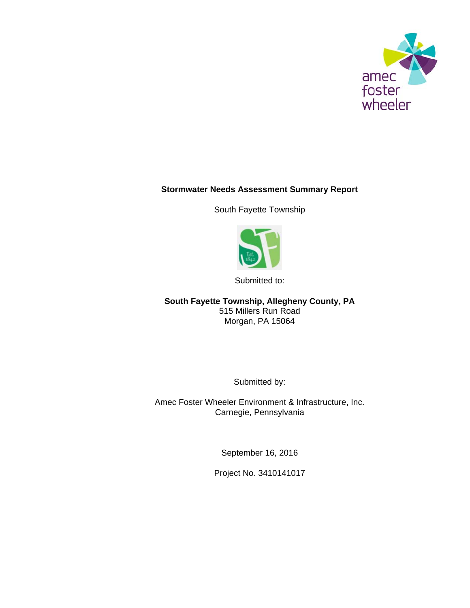

# **Stormwater Needs Assessment Summary Report**

South Fayette Township



Submitted to:

**South Fayette Township, Allegheny County, PA**  515 Millers Run Road Morgan, PA 15064

Submitted by:

Amec Foster Wheeler Environment & Infrastructure, Inc. Carnegie, Pennsylvania

September 16, 2016

Project No. 3410141017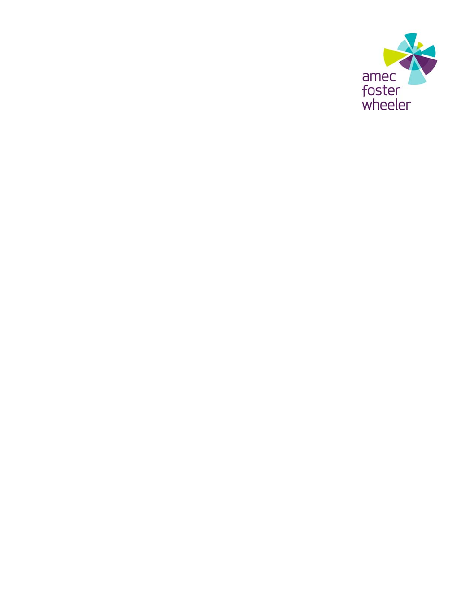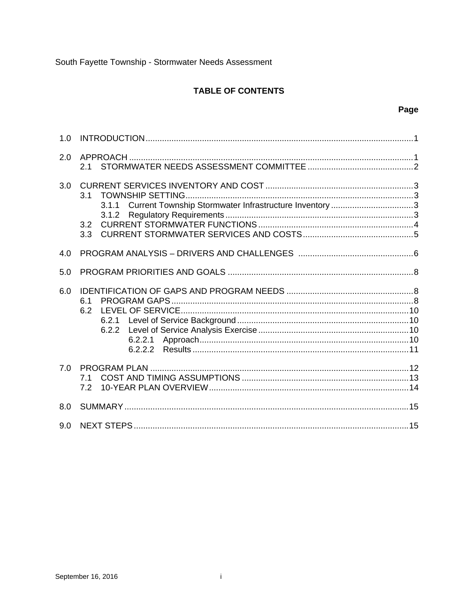# **TABLE OF CONTENTS**

| 1.0 |                                                                                               |
|-----|-----------------------------------------------------------------------------------------------|
| 2.0 | 2.1                                                                                           |
| 3.0 | 3.1<br>Current Township Stormwater Infrastructure Inventory 3<br>3.1.1<br>3.1.2<br>3.2<br>3.3 |
| 4.0 |                                                                                               |
| 5.0 |                                                                                               |
| 6.0 | 6.1<br>6.2<br>6.2.1<br>6.2.2<br>6.2.2.1<br>6.2.2.2                                            |
| 7.0 | 7.1<br>7.2                                                                                    |
| 8.0 |                                                                                               |
| 9.0 |                                                                                               |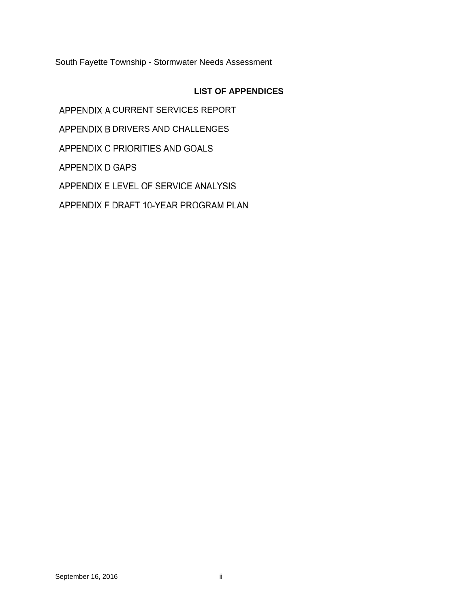# **LIST OF APPENDICES**

APPENDIX A CURRENT SERVICES REPORT APPENDIX B DRIVERS AND CHALLENGES APPENDIX C PRIORITIES AND GOALS APPENDIX D GAPS APPENDIX E LEVEL OF SERVICE ANALYSIS APPENDIX F DRAFT 10-YEAR PROGRAM PLAN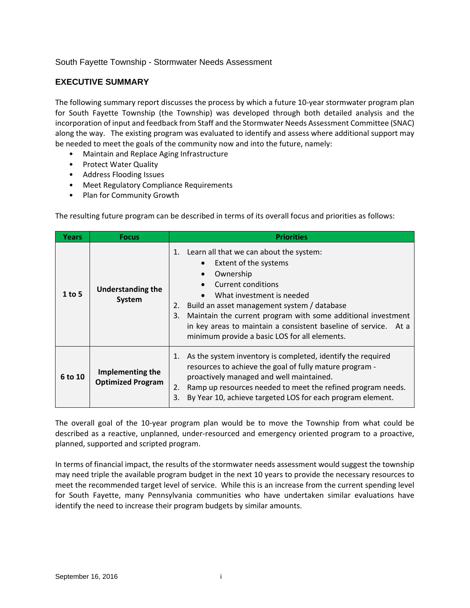#### **EXECUTIVE SUMMARY**

The following summary report discusses the process by which a future 10-year stormwater program plan for South Fayette Township (the Township) was developed through both detailed analysis and the incorporation of input and feedback from Staff and the Stormwater Needs Assessment Committee (SNAC) along the way. The existing program was evaluated to identify and assess where additional support may be needed to meet the goals of the community now and into the future, namely:

- Maintain and Replace Aging Infrastructure
- Protect Water Quality
- Address Flooding Issues
- Meet Regulatory Compliance Requirements
- Plan for Community Growth

The resulting future program can be described in terms of its overall focus and priorities as follows:

| Years    | <b>Focus</b>                                 | <b>Priorities</b>                                                                                                                                                                                                                                                                                                                                                                     |
|----------|----------------------------------------------|---------------------------------------------------------------------------------------------------------------------------------------------------------------------------------------------------------------------------------------------------------------------------------------------------------------------------------------------------------------------------------------|
| $1$ to 5 | <b>Understanding the</b><br>System           | Learn all that we can about the system:<br>1.<br>Extent of the systems<br>Ownership<br>Current conditions<br>What investment is needed<br>Build an asset management system / database<br>2.<br>Maintain the current program with some additional investment<br>3.<br>in key areas to maintain a consistent baseline of service. At a<br>minimum provide a basic LOS for all elements. |
| 6 to 10  | Implementing the<br><b>Optimized Program</b> | As the system inventory is completed, identify the required<br>resources to achieve the goal of fully mature program -<br>proactively managed and well maintained.<br>Ramp up resources needed to meet the refined program needs.<br>2.<br>By Year 10, achieve targeted LOS for each program element.<br>3.                                                                           |

The overall goal of the 10-year program plan would be to move the Township from what could be described as a reactive, unplanned, under‐resourced and emergency oriented program to a proactive, planned, supported and scripted program.

In terms of financial impact, the results of the stormwater needs assessment would suggest the township may need triple the available program budget in the next 10 years to provide the necessary resources to meet the recommended target level of service. While this is an increase from the current spending level for South Fayette, many Pennsylvania communities who have undertaken similar evaluations have identify the need to increase their program budgets by similar amounts.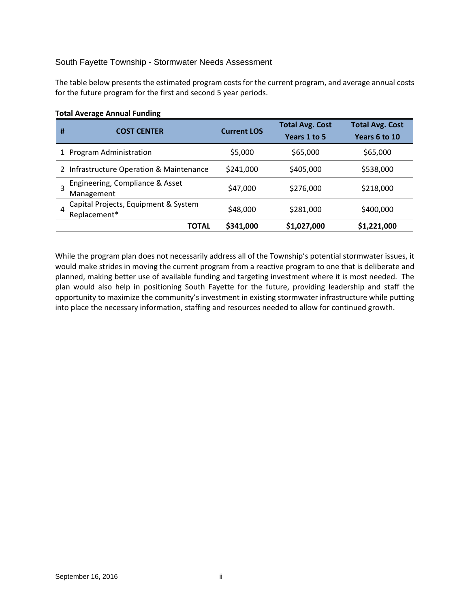The table below presents the estimated program costs for the current program, and average annual costs for the future program for the first and second 5 year periods.

| # | <b>COST CENTER</b>                                   | <b>Current LOS</b> | <b>Total Avg. Cost</b><br>Years 1 to 5 | <b>Total Avg. Cost</b><br>Years 6 to 10 |
|---|------------------------------------------------------|--------------------|----------------------------------------|-----------------------------------------|
|   | 1 Program Administration                             | \$5,000            | \$65,000                               | \$65,000                                |
|   | 2 Infrastructure Operation & Maintenance             | \$241,000          | \$405,000                              | \$538,000                               |
|   | Engineering, Compliance & Asset<br>Management        | \$47,000           | \$276,000                              | \$218,000                               |
|   | Capital Projects, Equipment & System<br>Replacement* | \$48,000           | \$281,000                              | \$400,000                               |
|   | TOTAL                                                | \$341,000          | \$1,027,000                            | \$1,221,000                             |

#### **Total Average Annual Funding**

While the program plan does not necessarily address all of the Township's potential stormwater issues, it would make strides in moving the current program from a reactive program to one that is deliberate and planned, making better use of available funding and targeting investment where it is most needed. The plan would also help in positioning South Fayette for the future, providing leadership and staff the opportunity to maximize the community's investment in existing stormwater infrastructure while putting into place the necessary information, staffing and resources needed to allow for continued growth.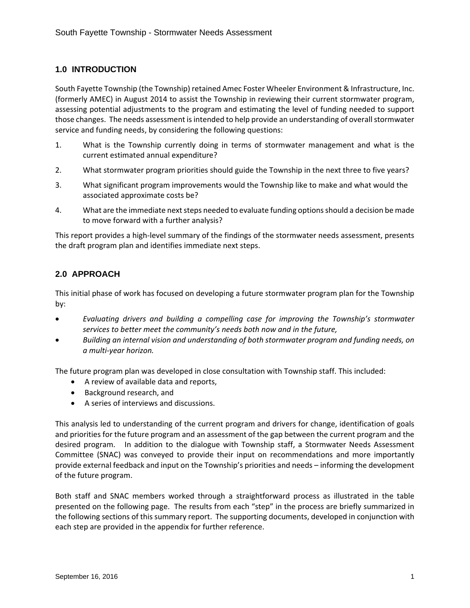# **1.0 INTRODUCTION**

South Fayette Township (the Township) retained Amec Foster Wheeler Environment & Infrastructure, Inc. (formerly AMEC) in August 2014 to assist the Township in reviewing their current stormwater program, assessing potential adjustments to the program and estimating the level of funding needed to support those changes. The needs assessment is intended to help provide an understanding of overall stormwater service and funding needs, by considering the following questions:

- 1. What is the Township currently doing in terms of stormwater management and what is the current estimated annual expenditure?
- 2. What stormwater program priorities should guide the Township in the next three to five years?
- 3. What significant program improvements would the Township like to make and what would the associated approximate costs be?
- 4. What are the immediate next steps needed to evaluate funding options should a decision be made to move forward with a further analysis?

This report provides a high‐level summary of the findings of the stormwater needs assessment, presents the draft program plan and identifies immediate next steps.

# **2.0 APPROACH**

This initial phase of work has focused on developing a future stormwater program plan for the Township by:

- *Evaluating drivers and building a compelling case for improving the Township's stormwater services to better meet the community's needs both now and in the future,*
- *Building an internal vision and understanding of both stormwater program and funding needs, on a multi‐year horizon.*

The future program plan was developed in close consultation with Township staff. This included:

- A review of available data and reports,
- Background research, and
- A series of interviews and discussions.

This analysis led to understanding of the current program and drivers for change, identification of goals and priorities for the future program and an assessment of the gap between the current program and the desired program. In addition to the dialogue with Township staff, a Stormwater Needs Assessment Committee (SNAC) was conveyed to provide their input on recommendations and more importantly provide external feedback and input on the Township's priorities and needs – informing the development of the future program.

Both staff and SNAC members worked through a straightforward process as illustrated in the table presented on the following page. The results from each "step" in the process are briefly summarized in the following sections of this summary report. The supporting documents, developed in conjunction with each step are provided in the appendix for further reference.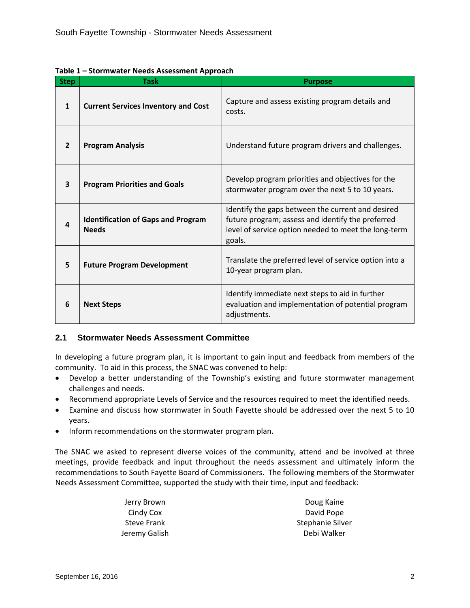| <b>Step</b>    | <b>Task</b>                                               | <b>Purpose</b>                                                                                                                                                           |
|----------------|-----------------------------------------------------------|--------------------------------------------------------------------------------------------------------------------------------------------------------------------------|
| 1              | <b>Current Services Inventory and Cost</b>                | Capture and assess existing program details and<br>costs.                                                                                                                |
| $\overline{2}$ | <b>Program Analysis</b>                                   | Understand future program drivers and challenges.                                                                                                                        |
| 3              | <b>Program Priorities and Goals</b>                       | Develop program priorities and objectives for the<br>stormwater program over the next 5 to 10 years.                                                                     |
| 4              | <b>Identification of Gaps and Program</b><br><b>Needs</b> | Identify the gaps between the current and desired<br>future program; assess and identify the preferred<br>level of service option needed to meet the long-term<br>goals. |
| 5              | <b>Future Program Development</b>                         | Translate the preferred level of service option into a<br>10-year program plan.                                                                                          |
| 6              | <b>Next Steps</b>                                         | Identify immediate next steps to aid in further<br>evaluation and implementation of potential program<br>adjustments.                                                    |

**Table 1 – Stormwater Needs Assessment Approach** 

# **2.1 Stormwater Needs Assessment Committee**

In developing a future program plan, it is important to gain input and feedback from members of the community. To aid in this process, the SNAC was convened to help:

- Develop a better understanding of the Township's existing and future stormwater management challenges and needs.
- Recommend appropriate Levels of Service and the resources required to meet the identified needs.
- Examine and discuss how stormwater in South Fayette should be addressed over the next 5 to 10 years.
- Inform recommendations on the stormwater program plan.

The SNAC we asked to represent diverse voices of the community, attend and be involved at three meetings, provide feedback and input throughout the needs assessment and ultimately inform the recommendations to South Fayette Board of Commissioners. The following members of the Stormwater Needs Assessment Committee, supported the study with their time, input and feedback:

| Jerry Brown        | Doug Kaine       |
|--------------------|------------------|
| Cindy Cox          | David Pope       |
| <b>Steve Frank</b> | Stephanie Silver |
| Jeremy Galish      | Debi Walker      |
|                    |                  |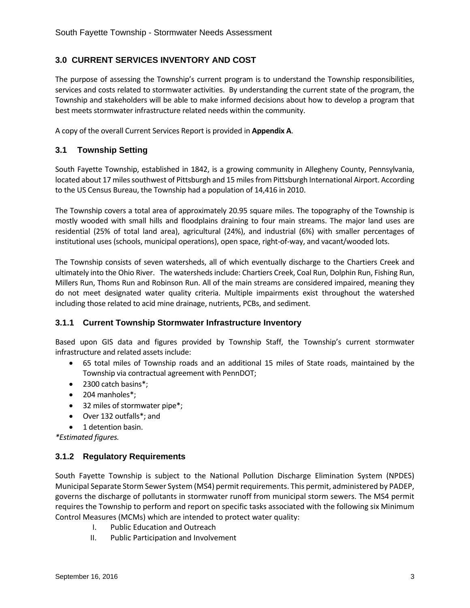# **3.0 CURRENT SERVICES INVENTORY AND COST**

The purpose of assessing the Township's current program is to understand the Township responsibilities, services and costs related to stormwater activities. By understanding the current state of the program, the Township and stakeholders will be able to make informed decisions about how to develop a program that best meets stormwater infrastructure related needs within the community.

A copy of the overall Current Services Report is provided in **Appendix A**.

# **3.1 Township Setting**

South Fayette Township, established in 1842, is a growing community in Allegheny County, Pennsylvania, located about 17 miles southwest of Pittsburgh and 15 miles from Pittsburgh International Airport. According to the US Census Bureau, the Township had a population of 14,416 in 2010.

The Township covers a total area of approximately 20.95 square miles. The topography of the Township is mostly wooded with small hills and floodplains draining to four main streams. The major land uses are residential (25% of total land area), agricultural (24%), and industrial (6%) with smaller percentages of institutional uses (schools, municipal operations), open space, right‐of‐way, and vacant/wooded lots.

The Township consists of seven watersheds, all of which eventually discharge to the Chartiers Creek and ultimately into the Ohio River. The watersheds include: Chartiers Creek, Coal Run, Dolphin Run, Fishing Run, Millers Run, Thoms Run and Robinson Run. All of the main streams are considered impaired, meaning they do not meet designated water quality criteria. Multiple impairments exist throughout the watershed including those related to acid mine drainage, nutrients, PCBs, and sediment.

# **3.1.1 Current Township Stormwater Infrastructure Inventory**

Based upon GIS data and figures provided by Township Staff, the Township's current stormwater infrastructure and related assets include:

- 65 total miles of Township roads and an additional 15 miles of State roads, maintained by the Township via contractual agreement with PennDOT;
- 2300 catch basins\*;
- 204 manholes\*;
- 32 miles of stormwater pipe\*;
- Over 132 outfalls\*; and
- 1 detention basin.

*\*Estimated figures.*

#### **3.1.2 Regulatory Requirements**

South Fayette Township is subject to the National Pollution Discharge Elimination System (NPDES) Municipal Separate Storm Sewer System (MS4) permit requirements. This permit, administered by PADEP, governs the discharge of pollutants in stormwater runoff from municipal storm sewers. The MS4 permit requires the Township to perform and report on specific tasks associated with the following six Minimum Control Measures (MCMs) which are intended to protect water quality:

- I. Public Education and Outreach
- II. Public Participation and Involvement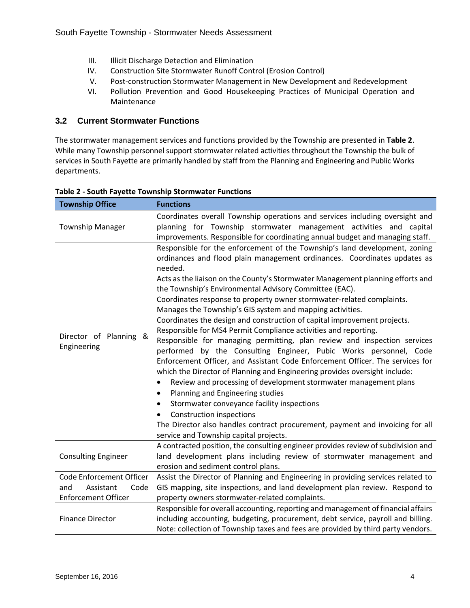- III. Illicit Discharge Detection and Elimination
- IV. Construction Site Stormwater Runoff Control (Erosion Control)
- V. Post-construction Stormwater Management in New Development and Redevelopment
- VI. Pollution Prevention and Good Housekeeping Practices of Municipal Operation and Maintenance

#### **3.2 Current Stormwater Functions**

The stormwater management services and functions provided by the Township are presented in **Table 2**. While many Township personnel support stormwater related activities throughout the Township the bulk of services in South Fayette are primarily handled by staff from the Planning and Engineering and Public Works departments.

| <b>Township Office</b>                   | <b>Functions</b>                                                                                                                                                                                                                                                                                                                                                                                                                                                                                                                                                                                                                                                                                                                                                                                                                                                                                                                                                                                                                                                                                                                                                                                                                                                      |
|------------------------------------------|-----------------------------------------------------------------------------------------------------------------------------------------------------------------------------------------------------------------------------------------------------------------------------------------------------------------------------------------------------------------------------------------------------------------------------------------------------------------------------------------------------------------------------------------------------------------------------------------------------------------------------------------------------------------------------------------------------------------------------------------------------------------------------------------------------------------------------------------------------------------------------------------------------------------------------------------------------------------------------------------------------------------------------------------------------------------------------------------------------------------------------------------------------------------------------------------------------------------------------------------------------------------------|
| <b>Township Manager</b>                  | Coordinates overall Township operations and services including oversight and<br>planning for Township stormwater management activities and capital<br>improvements. Responsible for coordinating annual budget and managing staff.                                                                                                                                                                                                                                                                                                                                                                                                                                                                                                                                                                                                                                                                                                                                                                                                                                                                                                                                                                                                                                    |
| Director of Planning<br>&<br>Engineering | Responsible for the enforcement of the Township's land development, zoning<br>ordinances and flood plain management ordinances. Coordinates updates as<br>needed.<br>Acts as the liaison on the County's Stormwater Management planning efforts and<br>the Township's Environmental Advisory Committee (EAC).<br>Coordinates response to property owner stormwater-related complaints.<br>Manages the Township's GIS system and mapping activities.<br>Coordinates the design and construction of capital improvement projects.<br>Responsible for MS4 Permit Compliance activities and reporting.<br>Responsible for managing permitting, plan review and inspection services<br>performed by the Consulting Engineer, Pubic Works personnel, Code<br>Enforcement Officer, and Assistant Code Enforcement Officer. The services for<br>which the Director of Planning and Engineering provides oversight include:<br>Review and processing of development stormwater management plans<br>$\bullet$<br>Planning and Engineering studies<br>٠<br>Stormwater conveyance facility inspections<br>$\bullet$<br><b>Construction inspections</b><br>The Director also handles contract procurement, payment and invoicing for all<br>service and Township capital projects. |
| <b>Consulting Engineer</b>               | A contracted position, the consulting engineer provides review of subdivision and<br>land development plans including review of stormwater management and<br>erosion and sediment control plans.                                                                                                                                                                                                                                                                                                                                                                                                                                                                                                                                                                                                                                                                                                                                                                                                                                                                                                                                                                                                                                                                      |
| Code Enforcement Officer                 | Assist the Director of Planning and Engineering in providing services related to                                                                                                                                                                                                                                                                                                                                                                                                                                                                                                                                                                                                                                                                                                                                                                                                                                                                                                                                                                                                                                                                                                                                                                                      |
| and<br>Assistant<br>Code                 | GIS mapping, site inspections, and land development plan review. Respond to                                                                                                                                                                                                                                                                                                                                                                                                                                                                                                                                                                                                                                                                                                                                                                                                                                                                                                                                                                                                                                                                                                                                                                                           |
| <b>Enforcement Officer</b>               | property owners stormwater-related complaints.                                                                                                                                                                                                                                                                                                                                                                                                                                                                                                                                                                                                                                                                                                                                                                                                                                                                                                                                                                                                                                                                                                                                                                                                                        |
| <b>Finance Director</b>                  | Responsible for overall accounting, reporting and management of financial affairs<br>including accounting, budgeting, procurement, debt service, payroll and billing.<br>Note: collection of Township taxes and fees are provided by third party vendors.                                                                                                                                                                                                                                                                                                                                                                                                                                                                                                                                                                                                                                                                                                                                                                                                                                                                                                                                                                                                             |
|                                          |                                                                                                                                                                                                                                                                                                                                                                                                                                                                                                                                                                                                                                                                                                                                                                                                                                                                                                                                                                                                                                                                                                                                                                                                                                                                       |

#### **Table 2 ‐ South Fayette Township Stormwater Functions**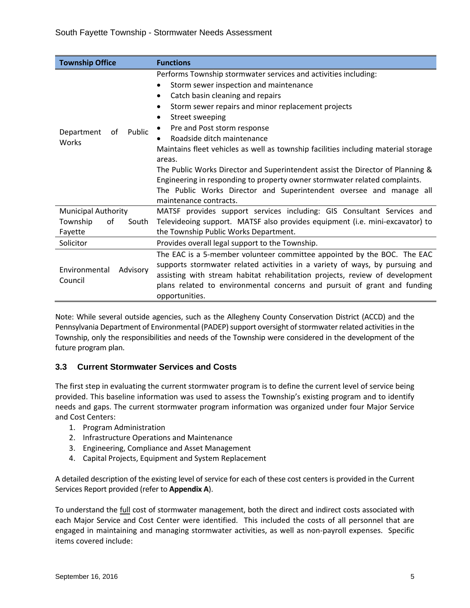| <b>Township Office</b>                                           | <b>Functions</b>                                                                                                                                                                                                                                                                                                                                                                                                                                                                                                                                                                                                                                                                         |
|------------------------------------------------------------------|------------------------------------------------------------------------------------------------------------------------------------------------------------------------------------------------------------------------------------------------------------------------------------------------------------------------------------------------------------------------------------------------------------------------------------------------------------------------------------------------------------------------------------------------------------------------------------------------------------------------------------------------------------------------------------------|
| Public<br>Department<br>of<br>Works                              | Performs Township stormwater services and activities including:<br>Storm sewer inspection and maintenance<br>$\bullet$<br>Catch basin cleaning and repairs<br>٠<br>Storm sewer repairs and minor replacement projects<br>$\bullet$<br>Street sweeping<br>٠<br>Pre and Post storm response<br>Roadside ditch maintenance<br>Maintains fleet vehicles as well as township facilities including material storage<br>areas.<br>The Public Works Director and Superintendent assist the Director of Planning &<br>Engineering in responding to property owner stormwater related complaints.<br>The Public Works Director and Superintendent oversee and manage all<br>maintenance contracts. |
| <b>Municipal Authority</b><br>Township<br>οf<br>South<br>Fayette | MATSF provides support services including: GIS Consultant Services and<br>Televideoing support. MATSF also provides equipment (i.e. mini-excavator) to<br>the Township Public Works Department.                                                                                                                                                                                                                                                                                                                                                                                                                                                                                          |
| Solicitor                                                        | Provides overall legal support to the Township.                                                                                                                                                                                                                                                                                                                                                                                                                                                                                                                                                                                                                                          |
| Environmental<br>Advisory<br>Council                             | The EAC is a 5-member volunteer committee appointed by the BOC. The EAC<br>supports stormwater related activities in a variety of ways, by pursuing and<br>assisting with stream habitat rehabilitation projects, review of development<br>plans related to environmental concerns and pursuit of grant and funding<br>opportunities.                                                                                                                                                                                                                                                                                                                                                    |

Note: While several outside agencies, such as the Allegheny County Conservation District (ACCD) and the Pennsylvania Department of Environmental (PADEP) support oversight of stormwater related activities in the Township, only the responsibilities and needs of the Township were considered in the development of the future program plan.

# **3.3 Current Stormwater Services and Costs**

The first step in evaluating the current stormwater program is to define the current level of service being provided. This baseline information was used to assess the Township's existing program and to identify needs and gaps. The current stormwater program information was organized under four Major Service and Cost Centers:

- 1. Program Administration
- 2. Infrastructure Operations and Maintenance
- 3. Engineering, Compliance and Asset Management
- 4. Capital Projects, Equipment and System Replacement

A detailed description of the existing level of service for each of these cost centers is provided in the Current Services Report provided (refer to **Appendix A**).

To understand the full cost of stormwater management, both the direct and indirect costs associated with each Major Service and Cost Center were identified. This included the costs of all personnel that are engaged in maintaining and managing stormwater activities, as well as non-payroll expenses. Specific items covered include: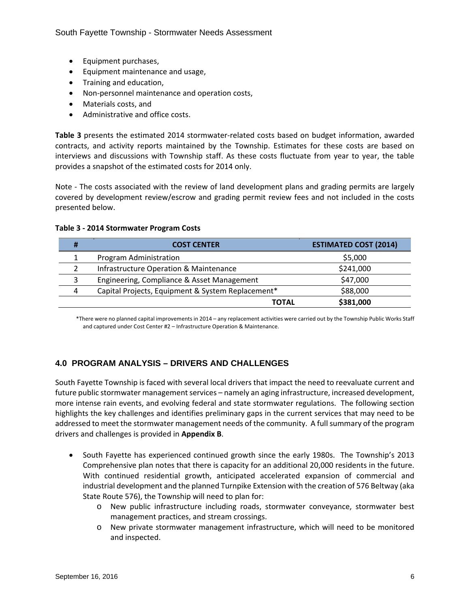- Equipment purchases,
- Equipment maintenance and usage,
- Training and education,
- Non-personnel maintenance and operation costs,
- Materials costs, and
- Administrative and office costs.

**Table 3** presents the estimated 2014 stormwater‐related costs based on budget information, awarded contracts, and activity reports maintained by the Township. Estimates for these costs are based on interviews and discussions with Township staff. As these costs fluctuate from year to year, the table provides a snapshot of the estimated costs for 2014 only.

Note - The costs associated with the review of land development plans and grading permits are largely covered by development review/escrow and grading permit review fees and not included in the costs presented below.

| <b>COST CENTER</b>                                | <b>ESTIMATED COST (2014)</b> |
|---------------------------------------------------|------------------------------|
| Program Administration                            | \$5,000                      |
| <b>Infrastructure Operation &amp; Maintenance</b> | \$241,000                    |
| Engineering, Compliance & Asset Management        | \$47,000                     |
| Capital Projects, Equipment & System Replacement* | \$88,000                     |
| TOTAL                                             | \$381,000                    |

#### **Table 3 ‐ 2014 Stormwater Program Costs**

\*There were no planned capital improvements in 2014 – any replacement activities were carried out by the Township Public Works Staff and captured under Cost Center #2 – Infrastructure Operation & Maintenance.

# **4.0 PROGRAM ANALYSIS – DRIVERS AND CHALLENGES**

South Fayette Township is faced with several local drivers that impact the need to reevaluate current and future public stormwater management services – namely an aging infrastructure, increased development, more intense rain events, and evolving federal and state stormwater regulations. The following section highlights the key challenges and identifies preliminary gaps in the current services that may need to be addressed to meet the stormwater management needs of the community. A full summary of the program drivers and challenges is provided in **Appendix B**.

- South Fayette has experienced continued growth since the early 1980s. The Township's 2013 Comprehensive plan notes that there is capacity for an additional 20,000 residents in the future. With continued residential growth, anticipated accelerated expansion of commercial and industrial development and the planned Turnpike Extension with the creation of 576 Beltway (aka State Route 576), the Township will need to plan for:
	- o New public infrastructure including roads, stormwater conveyance, stormwater best management practices, and stream crossings.
	- o New private stormwater management infrastructure, which will need to be monitored and inspected.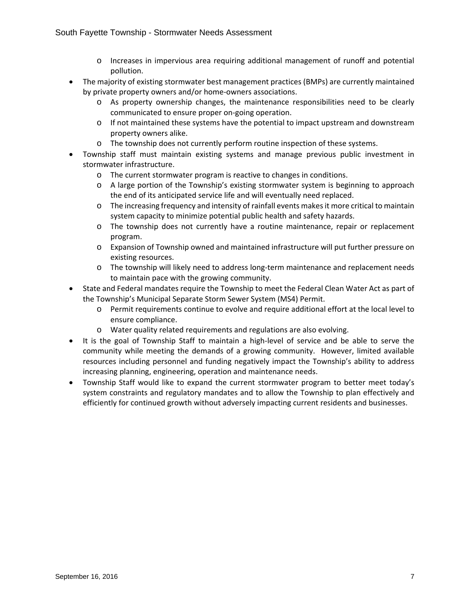- o Increases in impervious area requiring additional management of runoff and potential pollution.
- The majority of existing stormwater best management practices (BMPs) are currently maintained by private property owners and/or home‐owners associations.
	- o As property ownership changes, the maintenance responsibilities need to be clearly communicated to ensure proper on‐going operation.
	- o If not maintained these systems have the potential to impact upstream and downstream property owners alike.
	- o The township does not currently perform routine inspection of these systems.
- Township staff must maintain existing systems and manage previous public investment in stormwater infrastructure.
	- o The current stormwater program is reactive to changes in conditions.
	- o A large portion of the Township's existing stormwater system is beginning to approach the end of its anticipated service life and will eventually need replaced.
	- o The increasing frequency and intensity of rainfall events makesit more critical to maintain system capacity to minimize potential public health and safety hazards.
	- o The township does not currently have a routine maintenance, repair or replacement program.
	- o Expansion of Township owned and maintained infrastructure will put further pressure on existing resources.
	- o The township will likely need to address long‐term maintenance and replacement needs to maintain pace with the growing community.
- State and Federal mandates require the Township to meet the Federal Clean Water Act as part of the Township's Municipal Separate Storm Sewer System (MS4) Permit.
	- o Permit requirements continue to evolve and require additional effort at the local level to ensure compliance.
	- o Water quality related requirements and regulations are also evolving.
- It is the goal of Township Staff to maintain a high-level of service and be able to serve the community while meeting the demands of a growing community. However, limited available resources including personnel and funding negatively impact the Township's ability to address increasing planning, engineering, operation and maintenance needs.
- Township Staff would like to expand the current stormwater program to better meet today's system constraints and regulatory mandates and to allow the Township to plan effectively and efficiently for continued growth without adversely impacting current residents and businesses.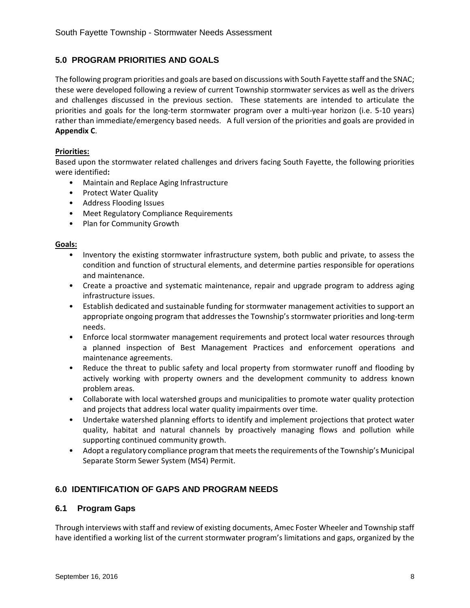# **5.0 PROGRAM PRIORITIES AND GOALS**

The following program priorities and goals are based on discussions with South Fayette staff and the SNAC; these were developed following a review of current Township stormwater services as well as the drivers and challenges discussed in the previous section. These statements are intended to articulate the priorities and goals for the long-term stormwater program over a multi-year horizon (i.e. 5-10 years) rather than immediate/emergency based needs. A full version of the priorities and goals are provided in **Appendix C**.

#### **Priorities:**

Based upon the stormwater related challenges and drivers facing South Fayette, the following priorities were identified**:**

- Maintain and Replace Aging Infrastructure
- Protect Water Quality
- Address Flooding Issues
- Meet Regulatory Compliance Requirements
- Plan for Community Growth

#### **Goals:**

- Inventory the existing stormwater infrastructure system, both public and private, to assess the condition and function of structural elements, and determine parties responsible for operations and maintenance.
- Create a proactive and systematic maintenance, repair and upgrade program to address aging infrastructure issues.
- Establish dedicated and sustainable funding for stormwater management activities to support an appropriate ongoing program that addresses the Township's stormwater priorities and long‐term needs.
- Enforce local stormwater management requirements and protect local water resources through a planned inspection of Best Management Practices and enforcement operations and maintenance agreements.
- Reduce the threat to public safety and local property from stormwater runoff and flooding by actively working with property owners and the development community to address known problem areas.
- Collaborate with local watershed groups and municipalities to promote water quality protection and projects that address local water quality impairments over time.
- Undertake watershed planning efforts to identify and implement projections that protect water quality, habitat and natural channels by proactively managing flows and pollution while supporting continued community growth.
- Adopt a regulatory compliance program that meets the requirements of the Township's Municipal Separate Storm Sewer System (MS4) Permit.

# **6.0 IDENTIFICATION OF GAPS AND PROGRAM NEEDS**

#### **6.1 Program Gaps**

Through interviews with staff and review of existing documents, Amec Foster Wheeler and Township staff have identified a working list of the current stormwater program's limitations and gaps, organized by the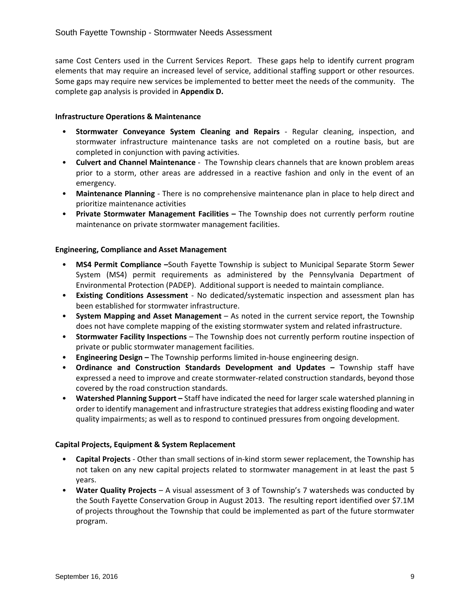same Cost Centers used in the Current Services Report. These gaps help to identify current program elements that may require an increased level of service, additional staffing support or other resources. Some gaps may require new services be implemented to better meet the needs of the community. The complete gap analysis is provided in **Appendix D.**

#### **Infrastructure Operations & Maintenance**

- **Stormwater Conveyance System Cleaning and Repairs** ‐ Regular cleaning, inspection, and stormwater infrastructure maintenance tasks are not completed on a routine basis, but are completed in conjunction with paving activities.
- **Culvert and Channel Maintenance** ‐ The Township clears channels that are known problem areas prior to a storm, other areas are addressed in a reactive fashion and only in the event of an emergency.
- **Maintenance Planning** ‐ There is no comprehensive maintenance plan in place to help direct and prioritize maintenance activities
- **Private Stormwater Management Facilities –** The Township does not currently perform routine maintenance on private stormwater management facilities.

#### **Engineering, Compliance and Asset Management**

- **MS4 Permit Compliance –**South Fayette Township is subject to Municipal Separate Storm Sewer System (MS4) permit requirements as administered by the Pennsylvania Department of Environmental Protection (PADEP). Additional support is needed to maintain compliance.
- **Existing Conditions Assessment** ‐ No dedicated/systematic inspection and assessment plan has been established for stormwater infrastructure.
- **System Mapping and Asset Management** As noted in the current service report, the Township does not have complete mapping of the existing stormwater system and related infrastructure.
- **Stormwater Facility Inspections** The Township does not currently perform routine inspection of private or public stormwater management facilities.
- **Engineering Design –** The Township performs limited in‐house engineering design.
- **Ordinance and Construction Standards Development and Updates –** Township staff have expressed a need to improve and create stormwater‐related construction standards, beyond those covered by the road construction standards.
- **Watershed Planning Support –** Staff have indicated the need for larger scale watershed planning in order to identify management and infrastructure strategiesthat address existing flooding and water quality impairments; as well as to respond to continued pressures from ongoing development.

#### **Capital Projects, Equipment & System Replacement**

- **Capital Projects** ‐ Other than small sections of in‐kind storm sewer replacement, the Township has not taken on any new capital projects related to stormwater management in at least the past 5 years.
- **Water Quality Projects** A visual assessment of 3 of Township's 7 watersheds was conducted by the South Fayette Conservation Group in August 2013. The resulting report identified over \$7.1M of projects throughout the Township that could be implemented as part of the future stormwater program.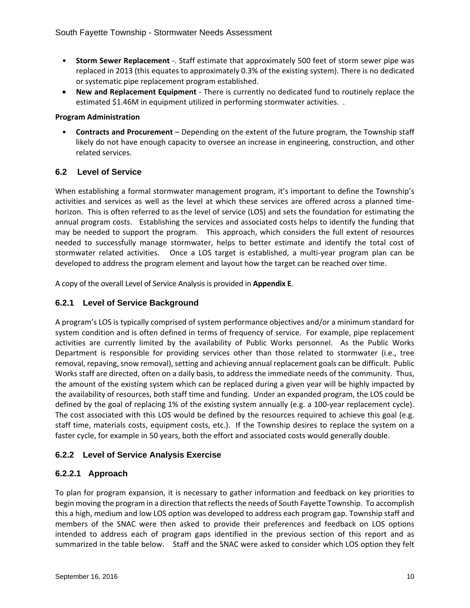- **Storm Sewer Replacement** ‐. Staff estimate that approximately 500 feet of storm sewer pipe was replaced in 2013 (this equates to approximately 0.3% of the existing system). There is no dedicated or systematic pipe replacement program established.
- **New and Replacement Equipment** ‐ There is currently no dedicated fund to routinely replace the estimated \$1.46M in equipment utilized in performing stormwater activities. .

#### **Program Administration**

• **Contracts and Procurement** – Depending on the extent of the future program, the Township staff likely do not have enough capacity to oversee an increase in engineering, construction, and other related services.

# **6.2 Level of Service**

When establishing a formal stormwater management program, it's important to define the Township's activities and services as well as the level at which these services are offered across a planned time‐ horizon. This is often referred to as the level of service (LOS) and sets the foundation for estimating the annual program costs. Establishing the services and associated costs helps to identify the funding that may be needed to support the program. This approach, which considers the full extent of resources needed to successfully manage stormwater, helps to better estimate and identify the total cost of stormwater related activities. Once a LOS target is established, a multi-year program plan can be developed to address the program element and layout how the target can be reached over time.

A copy of the overall Level of Service Analysis is provided in **Appendix E**.

# **6.2.1 Level of Service Background**

A program's LOS is typically comprised of system performance objectives and/or a minimum standard for system condition and is often defined in terms of frequency of service. For example, pipe replacement activities are currently limited by the availability of Public Works personnel. As the Public Works Department is responsible for providing services other than those related to stormwater (i.e., tree removal, repaving, snow removal), setting and achieving annual replacement goals can be difficult. Public Works staff are directed, often on a daily basis, to address the immediate needs of the community. Thus, the amount of the existing system which can be replaced during a given year will be highly impacted by the availability of resources, both staff time and funding. Under an expanded program, the LOS could be defined by the goal of replacing 1% of the existing system annually (e.g. a 100‐year replacement cycle). The cost associated with this LOS would be defined by the resources required to achieve this goal (e.g. staff time, materials costs, equipment costs, etc.). If the Township desires to replace the system on a faster cycle, for example in 50 years, both the effort and associated costs would generally double.

# **6.2.2 Level of Service Analysis Exercise**

# **6.2.2.1 Approach**

To plan for program expansion, it is necessary to gather information and feedback on key priorities to begin moving the program in a direction that reflects the needs of South Fayette Township. To accomplish this a high, medium and low LOS option was developed to address each program gap. Township staff and members of the SNAC were then asked to provide their preferences and feedback on LOS options intended to address each of program gaps identified in the previous section of this report and as summarized in the table below. Staff and the SNAC were asked to consider which LOS option they felt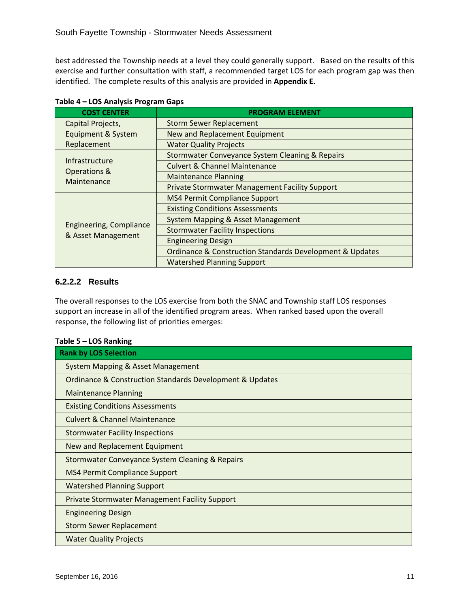best addressed the Township needs at a level they could generally support. Based on the results of this exercise and further consultation with staff, a recommended target LOS for each program gap was then identified. The complete results of this analysis are provided in **Appendix E.**

| <b>COST CENTER</b>                            | <b>PROGRAM ELEMENT</b>                                     |
|-----------------------------------------------|------------------------------------------------------------|
| Capital Projects,                             | <b>Storm Sewer Replacement</b>                             |
| Equipment & System                            | New and Replacement Equipment                              |
| Replacement                                   | <b>Water Quality Projects</b>                              |
| Infrastructure                                | <b>Stormwater Conveyance System Cleaning &amp; Repairs</b> |
| Operations &                                  | <b>Culvert &amp; Channel Maintenance</b>                   |
| Maintenance                                   | <b>Maintenance Planning</b>                                |
|                                               | <b>Private Stormwater Management Facility Support</b>      |
|                                               | <b>MS4 Permit Compliance Support</b>                       |
|                                               | <b>Existing Conditions Assessments</b>                     |
|                                               | <b>System Mapping &amp; Asset Management</b>               |
| Engineering, Compliance<br>& Asset Management | <b>Stormwater Facility Inspections</b>                     |
|                                               | <b>Engineering Design</b>                                  |
|                                               | Ordinance & Construction Standards Development & Updates   |
|                                               | <b>Watershed Planning Support</b>                          |

|  |  |  | Table 4 - LOS Analysis Program Gaps |  |
|--|--|--|-------------------------------------|--|
|--|--|--|-------------------------------------|--|

# **6.2.2.2 Results**

The overall responses to the LOS exercise from both the SNAC and Township staff LOS responses support an increase in all of the identified program areas. When ranked based upon the overall response, the following list of priorities emerges:

#### **Table 5 – LOS Ranking**

| <b>Rank by LOS Selection</b>                                            |
|-------------------------------------------------------------------------|
| <b>System Mapping &amp; Asset Management</b>                            |
| <b>Ordinance &amp; Construction Standards Development &amp; Updates</b> |
| <b>Maintenance Planning</b>                                             |
| <b>Existing Conditions Assessments</b>                                  |
| <b>Culvert &amp; Channel Maintenance</b>                                |
| <b>Stormwater Facility Inspections</b>                                  |
| New and Replacement Equipment                                           |
| <b>Stormwater Conveyance System Cleaning &amp; Repairs</b>              |
| <b>MS4 Permit Compliance Support</b>                                    |
| <b>Watershed Planning Support</b>                                       |
| <b>Private Stormwater Management Facility Support</b>                   |
| <b>Engineering Design</b>                                               |
| <b>Storm Sewer Replacement</b>                                          |
| <b>Water Quality Projects</b>                                           |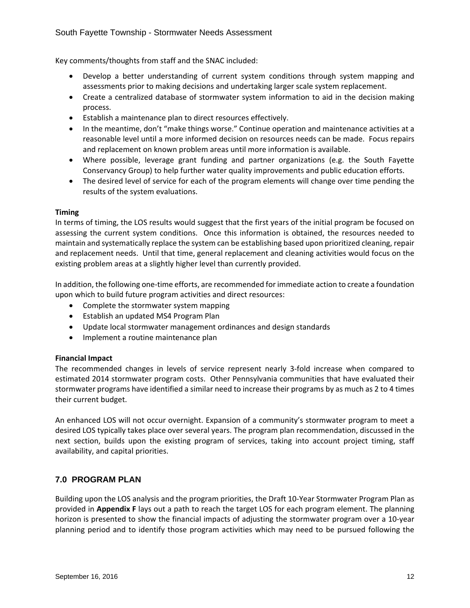Key comments/thoughts from staff and the SNAC included:

- Develop a better understanding of current system conditions through system mapping and assessments prior to making decisions and undertaking larger scale system replacement.
- Create a centralized database of stormwater system information to aid in the decision making process.
- Establish a maintenance plan to direct resources effectively.
- In the meantime, don't "make things worse." Continue operation and maintenance activities at a reasonable level until a more informed decision on resources needs can be made. Focus repairs and replacement on known problem areas until more information is available.
- Where possible, leverage grant funding and partner organizations (e.g. the South Fayette Conservancy Group) to help further water quality improvements and public education efforts.
- The desired level of service for each of the program elements will change over time pending the results of the system evaluations.

#### **Timing**

In terms of timing, the LOS results would suggest that the first years of the initial program be focused on assessing the current system conditions. Once this information is obtained, the resources needed to maintain and systematically replace the system can be establishing based upon prioritized cleaning, repair and replacement needs. Until that time, general replacement and cleaning activities would focus on the existing problem areas at a slightly higher level than currently provided.

In addition, the following one‐time efforts, are recommended for immediate action to create a foundation upon which to build future program activities and direct resources:

- Complete the stormwater system mapping
- Establish an updated MS4 Program Plan
- Update local stormwater management ordinances and design standards
- Implement a routine maintenance plan

#### **Financial Impact**

The recommended changes in levels of service represent nearly 3‐fold increase when compared to estimated 2014 stormwater program costs. Other Pennsylvania communities that have evaluated their stormwater programs have identified a similar need to increase their programs by as much as 2 to 4 times their current budget.

An enhanced LOS will not occur overnight. Expansion of a community's stormwater program to meet a desired LOS typically takes place over several years. The program plan recommendation, discussed in the next section, builds upon the existing program of services, taking into account project timing, staff availability, and capital priorities.

# **7.0 PROGRAM PLAN**

Building upon the LOS analysis and the program priorities, the Draft 10‐Year Stormwater Program Plan as provided in **Appendix F** lays out a path to reach the target LOS for each program element. The planning horizon is presented to show the financial impacts of adjusting the stormwater program over a 10-year planning period and to identify those program activities which may need to be pursued following the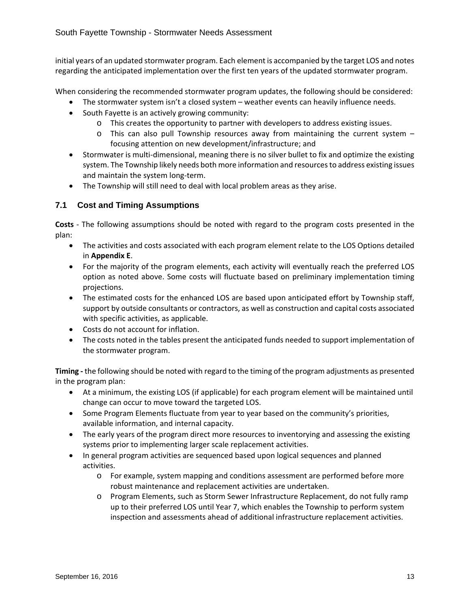initial years of an updated stormwater program. Each element is accompanied by the target LOS and notes regarding the anticipated implementation over the first ten years of the updated stormwater program.

When considering the recommended stormwater program updates, the following should be considered:

- The stormwater system isn't a closed system weather events can heavily influence needs.
- South Fayette is an actively growing community:
	- o This creates the opportunity to partner with developers to address existing issues.
		- o This can also pull Township resources away from maintaining the current system focusing attention on new development/infrastructure; and
- Stormwater is multi-dimensional, meaning there is no silver bullet to fix and optimize the existing system. The Township likely needs both more information and resourcesto address existing issues and maintain the system long‐term.
- The Township will still need to deal with local problem areas as they arise.

# **7.1 Cost and Timing Assumptions**

**Costs** ‐ The following assumptions should be noted with regard to the program costs presented in the plan:

- The activities and costs associated with each program element relate to the LOS Options detailed in **Appendix E**.
- For the majority of the program elements, each activity will eventually reach the preferred LOS option as noted above. Some costs will fluctuate based on preliminary implementation timing projections.
- The estimated costs for the enhanced LOS are based upon anticipated effort by Township staff, support by outside consultants or contractors, as well as construction and capital costs associated with specific activities, as applicable.
- Costs do not account for inflation.
- The costs noted in the tables present the anticipated funds needed to support implementation of the stormwater program.

**Timing ‐** the following should be noted with regard to the timing of the program adjustments as presented in the program plan:

- At a minimum, the existing LOS (if applicable) for each program element will be maintained until change can occur to move toward the targeted LOS.
- Some Program Elements fluctuate from year to year based on the community's priorities, available information, and internal capacity.
- The early years of the program direct more resources to inventorying and assessing the existing systems prior to implementing larger scale replacement activities.
- In general program activities are sequenced based upon logical sequences and planned activities.
	- o For example, system mapping and conditions assessment are performed before more robust maintenance and replacement activities are undertaken.
	- o Program Elements, such as Storm Sewer Infrastructure Replacement, do not fully ramp up to their preferred LOS until Year 7, which enables the Township to perform system inspection and assessments ahead of additional infrastructure replacement activities.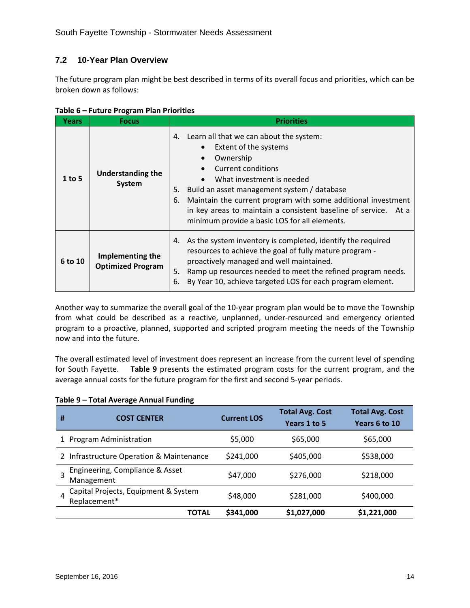# **7.2 10-Year Plan Overview**

The future program plan might be best described in terms of its overall focus and priorities, which can be broken down as follows:

| <b>Years</b> | <b>Focus</b>                                 | <b>Priorities</b>                                                                                                                                                                                                                                                                                                                                                                  |
|--------------|----------------------------------------------|------------------------------------------------------------------------------------------------------------------------------------------------------------------------------------------------------------------------------------------------------------------------------------------------------------------------------------------------------------------------------------|
| $1$ to 5     | <b>Understanding the</b><br>System           | 4. Learn all that we can about the system:<br>Extent of the systems<br>Ownership<br>Current conditions<br>What investment is needed<br>Build an asset management system / database<br>5.<br>Maintain the current program with some additional investment<br>6.<br>in key areas to maintain a consistent baseline of service. At a<br>minimum provide a basic LOS for all elements. |
| 6 to 10      | Implementing the<br><b>Optimized Program</b> | 4. As the system inventory is completed, identify the required<br>resources to achieve the goal of fully mature program -<br>proactively managed and well maintained.<br>Ramp up resources needed to meet the refined program needs.<br>5.<br>By Year 10, achieve targeted LOS for each program element.<br>6.                                                                     |

# **Table 6 – Future Program Plan Priorities**

Another way to summarize the overall goal of the 10‐year program plan would be to move the Township from what could be described as a reactive, unplanned, under-resourced and emergency oriented program to a proactive, planned, supported and scripted program meeting the needs of the Township now and into the future.

The overall estimated level of investment does represent an increase from the current level of spending for South Fayette. **Table 9** presents the estimated program costs for the current program, and the average annual costs for the future program for the first and second 5‐year periods.

| Table 9 - Total Average Annual Funding |  |  |  |  |
|----------------------------------------|--|--|--|--|
|----------------------------------------|--|--|--|--|

| Ħ                                             | <b>COST CENTER</b>                                   | <b>Current LOS</b>     | <b>Total Avg. Cost</b><br>Years 1 to 5 | <b>Total Avg. Cost</b><br>Years 6 to 10 |
|-----------------------------------------------|------------------------------------------------------|------------------------|----------------------------------------|-----------------------------------------|
|                                               | 1 Program Administration                             | \$5,000                | \$65,000                               | \$65,000                                |
|                                               | 2 Infrastructure Operation & Maintenance             | \$405,000<br>\$241,000 |                                        | \$538,000                               |
| Engineering, Compliance & Asset<br>Management |                                                      | \$47,000               | \$276,000                              | \$218,000                               |
| 4                                             | Capital Projects, Equipment & System<br>Replacement* | \$48,000               | \$281,000                              | \$400,000                               |
|                                               | TOTAL                                                | \$341,000              | \$1,027,000                            | \$1,221,000                             |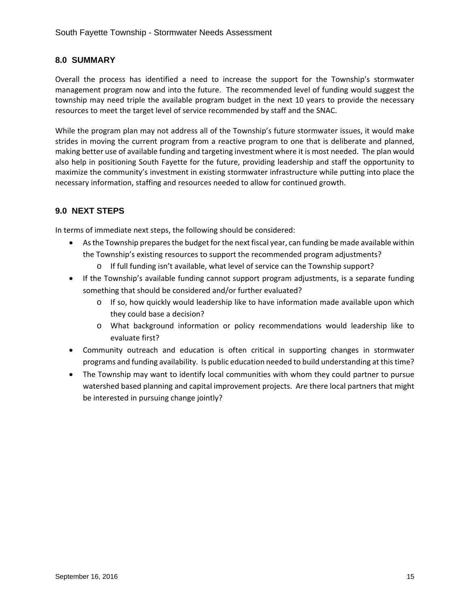# **8.0 SUMMARY**

Overall the process has identified a need to increase the support for the Township's stormwater management program now and into the future. The recommended level of funding would suggest the township may need triple the available program budget in the next 10 years to provide the necessary resources to meet the target level of service recommended by staff and the SNAC.

While the program plan may not address all of the Township's future stormwater issues, it would make strides in moving the current program from a reactive program to one that is deliberate and planned, making better use of available funding and targeting investment where it is most needed. The plan would also help in positioning South Fayette for the future, providing leadership and staff the opportunity to maximize the community's investment in existing stormwater infrastructure while putting into place the necessary information, staffing and resources needed to allow for continued growth.

# **9.0 NEXT STEPS**

In terms of immediate next steps, the following should be considered:

- Asthe Township preparesthe budget for the next fiscal year, can funding be made available within the Township's existing resources to support the recommended program adjustments?
	- o If full funding isn't available, what level of service can the Township support?
- If the Township's available funding cannot support program adjustments, is a separate funding something that should be considered and/or further evaluated?
	- o If so, how quickly would leadership like to have information made available upon which they could base a decision?
	- o What background information or policy recommendations would leadership like to evaluate first?
- Community outreach and education is often critical in supporting changes in stormwater programs and funding availability. Is public education needed to build understanding at thistime?
- The Township may want to identify local communities with whom they could partner to pursue watershed based planning and capital improvement projects. Are there local partners that might be interested in pursuing change jointly?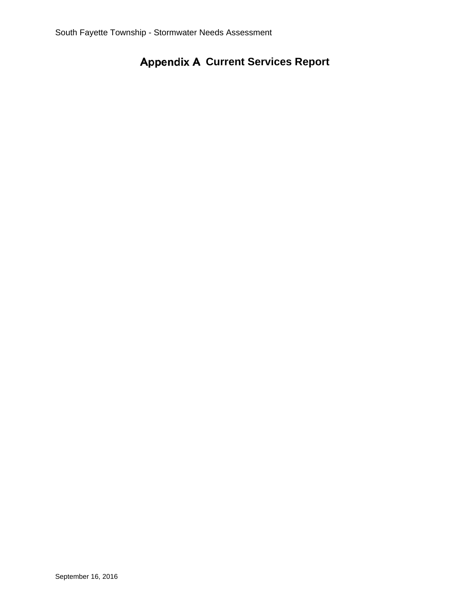# **Appendix A Current Services Report**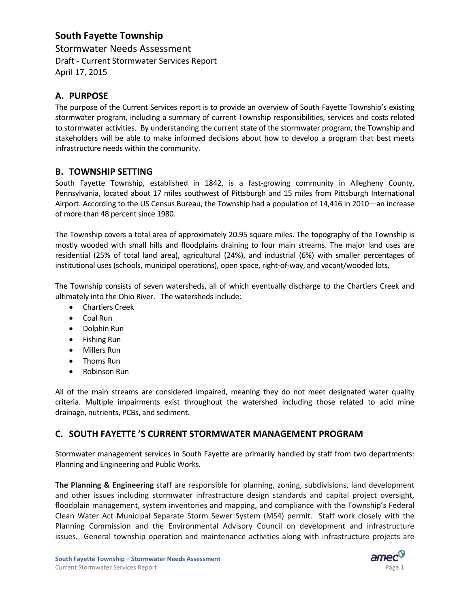# **South Fayette Township**

Stormwater Needs Assessment Draft ‐ Current Stormwater Services Report April 17, 2015

# **A. PURPOSE**

The purpose of the Current Services report is to provide an overview of South Fayette Township's existing stormwater program, including a summary of current Township responsibilities, services and costs related to stormwater activities. By understanding the current state of the stormwater program, the Township and stakeholders will be able to make informed decisions about how to develop a program that best meets infrastructure needs within the community.

# **B. TOWNSHIP SETTING**

South Fayette Township, established in 1842, is a fast-growing community in Allegheny County, Pennsylvania, located about 17 miles southwest of Pittsburgh and 15 miles from Pittsburgh International Airport. According to the US Census Bureau, the Township had a population of 14,416 in 2010—an increase of more than 48 percent since 1980.

The Township covers a total area of approximately 20.95 square miles. The topography of the Township is mostly wooded with small hills and floodplains draining to four main streams. The major land uses are residential (25% of total land area), agricultural (24%), and industrial (6%) with smaller percentages of institutional uses (schools, municipal operations), open space, right‐of‐way, and vacant/wooded lots.

The Township consists of seven watersheds, all of which eventually discharge to the Chartiers Creek and ultimately into the Ohio River. The watersheds include:

- Chartiers Creek
- Coal Run
- Dolphin Run
- Fishing Run
- Millers Run
- Thoms Run
- Robinson Run

All of the main streams are considered impaired, meaning they do not meet designated water quality criteria. Multiple impairments exist throughout the watershed including those related to acid mine drainage, nutrients, PCBs, and sediment.

# **C. SOUTH FAYETTE 'S CURRENT STORMWATER MANAGEMENT PROGRAM**

Stormwater management services in South Fayette are primarily handled by staff from two departments: Planning and Engineering and Public Works.

**The Planning & Engineering** staff are responsible for planning, zoning, subdivisions, land development and other issues including stormwater infrastructure design standards and capital project oversight, floodplain management, system inventories and mapping, and compliance with the Township's Federal Clean Water Act Municipal Separate Storm Sewer System (MS4) permit. Staff work closely with the Planning Commission and the Environmental Advisory Council on development and infrastructure issues. General township operation and maintenance activities along with infrastructure projects are

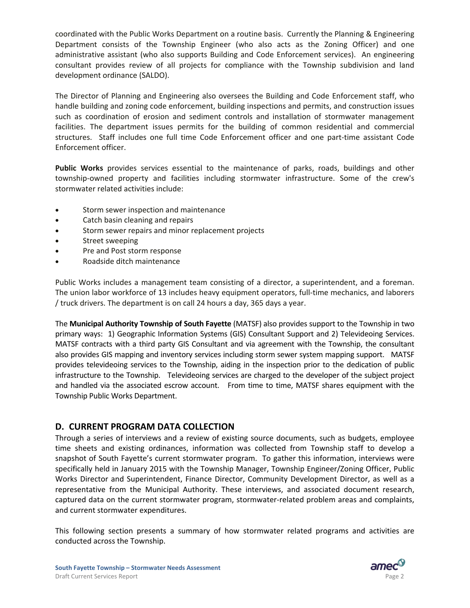coordinated with the Public Works Department on a routine basis. Currently the Planning & Engineering Department consists of the Township Engineer (who also acts as the Zoning Officer) and one administrative assistant (who also supports Building and Code Enforcement services). An engineering consultant provides review of all projects for compliance with the Township subdivision and land development ordinance (SALDO).

The Director of Planning and Engineering also oversees the Building and Code Enforcement staff, who handle building and zoning code enforcement, building inspections and permits, and construction issues such as coordination of erosion and sediment controls and installation of stormwater management facilities. The department issues permits for the building of common residential and commercial structures. Staff includes one full time Code Enforcement officer and one part-time assistant Code Enforcement officer.

**Public Works** provides services essential to the maintenance of parks, roads, buildings and other township-owned property and facilities including stormwater infrastructure. Some of the crew's stormwater related activities include:

- Storm sewer inspection and maintenance
- Catch basin cleaning and repairs
- Storm sewer repairs and minor replacement projects
- Street sweeping
- Pre and Post storm response
- Roadside ditch maintenance

Public Works includes a management team consisting of a director, a superintendent, and a foreman. The union labor workforce of 13 includes heavy equipment operators, full-time mechanics, and laborers / truck drivers. The department is on call 24 hours a day, 365 days a year.

The **Municipal Authority Township of South Fayette** (MATSF) also provides support to the Township in two primary ways: 1) Geographic Information Systems (GIS) Consultant Support and 2) Televideoing Services. MATSF contracts with a third party GIS Consultant and via agreement with the Township, the consultant also provides GIS mapping and inventory services including storm sewer system mapping support. MATSF provides televideoing services to the Township, aiding in the inspection prior to the dedication of public infrastructure to the Township. Televideoing services are charged to the developer of the subject project and handled via the associated escrow account. From time to time, MATSF shares equipment with the Township Public Works Department.

# **D. CURRENT PROGRAM DATA COLLECTION**

Through a series of interviews and a review of existing source documents, such as budgets, employee time sheets and existing ordinances, information was collected from Township staff to develop a snapshot of South Fayette's current stormwater program. To gather this information, interviews were specifically held in January 2015 with the Township Manager, Township Engineer/Zoning Officer, Public Works Director and Superintendent, Finance Director, Community Development Director, as well as a representative from the Municipal Authority. These interviews, and associated document research, captured data on the current stormwater program, stormwater‐related problem areas and complaints, and current stormwater expenditures.

This following section presents a summary of how stormwater related programs and activities are conducted across the Township.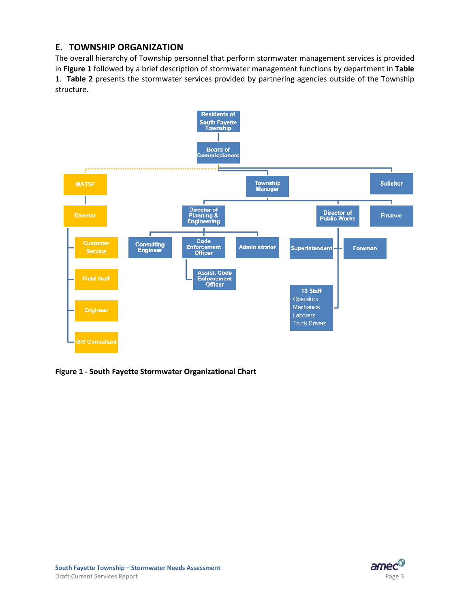# **E. TOWNSHIP ORGANIZATION**

The overall hierarchy of Township personnel that perform stormwater management services is provided in **Figure 1** followed by a brief description of stormwater management functions by department in **Table 1**. **Table 2** presents the stormwater services provided by partnering agencies outside of the Township structure.



**Figure 1 ‐ South Fayette Stormwater Organizational Chart** 

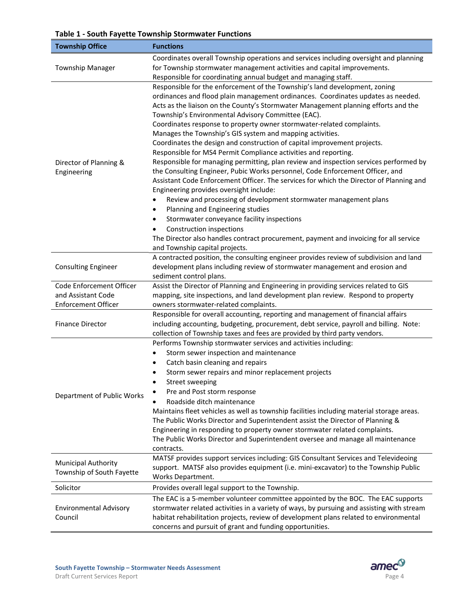# **Table 1 ‐ South Fayette Township Stormwater Functions**

| <b>Township Office</b>                   | <b>Functions</b>                                                                                                                                                                                                                                                                                                                                                                                                                                                                                                                                                                                                                                                                                                                                                                                                                                                                                                                                                                                                                                                                                                 |  |
|------------------------------------------|------------------------------------------------------------------------------------------------------------------------------------------------------------------------------------------------------------------------------------------------------------------------------------------------------------------------------------------------------------------------------------------------------------------------------------------------------------------------------------------------------------------------------------------------------------------------------------------------------------------------------------------------------------------------------------------------------------------------------------------------------------------------------------------------------------------------------------------------------------------------------------------------------------------------------------------------------------------------------------------------------------------------------------------------------------------------------------------------------------------|--|
|                                          | Coordinates overall Township operations and services including oversight and planning                                                                                                                                                                                                                                                                                                                                                                                                                                                                                                                                                                                                                                                                                                                                                                                                                                                                                                                                                                                                                            |  |
| <b>Township Manager</b>                  | for Township stormwater management activities and capital improvements.                                                                                                                                                                                                                                                                                                                                                                                                                                                                                                                                                                                                                                                                                                                                                                                                                                                                                                                                                                                                                                          |  |
|                                          | Responsible for coordinating annual budget and managing staff.                                                                                                                                                                                                                                                                                                                                                                                                                                                                                                                                                                                                                                                                                                                                                                                                                                                                                                                                                                                                                                                   |  |
| Director of Planning &<br>Engineering    | Responsible for the enforcement of the Township's land development, zoning<br>ordinances and flood plain management ordinances. Coordinates updates as needed.<br>Acts as the liaison on the County's Stormwater Management planning efforts and the<br>Township's Environmental Advisory Committee (EAC).<br>Coordinates response to property owner stormwater-related complaints.<br>Manages the Township's GIS system and mapping activities.<br>Coordinates the design and construction of capital improvement projects.<br>Responsible for MS4 Permit Compliance activities and reporting.<br>Responsible for managing permitting, plan review and inspection services performed by<br>the Consulting Engineer, Pubic Works personnel, Code Enforcement Officer, and<br>Assistant Code Enforcement Officer. The services for which the Director of Planning and<br>Engineering provides oversight include:<br>Review and processing of development stormwater management plans<br>Planning and Engineering studies<br>٠<br>Stormwater conveyance facility inspections<br>٠<br>Construction inspections<br>٠ |  |
|                                          | The Director also handles contract procurement, payment and invoicing for all service<br>and Township capital projects.                                                                                                                                                                                                                                                                                                                                                                                                                                                                                                                                                                                                                                                                                                                                                                                                                                                                                                                                                                                          |  |
| <b>Consulting Engineer</b>               | A contracted position, the consulting engineer provides review of subdivision and land<br>development plans including review of stormwater management and erosion and<br>sediment control plans.                                                                                                                                                                                                                                                                                                                                                                                                                                                                                                                                                                                                                                                                                                                                                                                                                                                                                                                 |  |
| Code Enforcement Officer                 | Assist the Director of Planning and Engineering in providing services related to GIS                                                                                                                                                                                                                                                                                                                                                                                                                                                                                                                                                                                                                                                                                                                                                                                                                                                                                                                                                                                                                             |  |
| and Assistant Code                       | mapping, site inspections, and land development plan review. Respond to property                                                                                                                                                                                                                                                                                                                                                                                                                                                                                                                                                                                                                                                                                                                                                                                                                                                                                                                                                                                                                                 |  |
| <b>Enforcement Officer</b>               | owners stormwater-related complaints.                                                                                                                                                                                                                                                                                                                                                                                                                                                                                                                                                                                                                                                                                                                                                                                                                                                                                                                                                                                                                                                                            |  |
| <b>Finance Director</b>                  | Responsible for overall accounting, reporting and management of financial affairs<br>including accounting, budgeting, procurement, debt service, payroll and billing. Note:<br>collection of Township taxes and fees are provided by third party vendors.                                                                                                                                                                                                                                                                                                                                                                                                                                                                                                                                                                                                                                                                                                                                                                                                                                                        |  |
| Department of Public Works               | Performs Township stormwater services and activities including:<br>Storm sewer inspection and maintenance<br>٠<br>Catch basin cleaning and repairs<br>٠<br>Storm sewer repairs and minor replacement projects<br>Street sweeping<br>Pre and Post storm response<br>Roadside ditch maintenance<br>Maintains fleet vehicles as well as township facilities including material storage areas.<br>The Public Works Director and Superintendent assist the Director of Planning &<br>Engineering in responding to property owner stormwater related complaints.<br>The Public Works Director and Superintendent oversee and manage all maintenance                                                                                                                                                                                                                                                                                                                                                                                                                                                                    |  |
| <b>Municipal Authority</b>               | contracts.<br>MATSF provides support services including: GIS Consultant Services and Televideoing                                                                                                                                                                                                                                                                                                                                                                                                                                                                                                                                                                                                                                                                                                                                                                                                                                                                                                                                                                                                                |  |
| Township of South Fayette                | support. MATSF also provides equipment (i.e. mini-excavator) to the Township Public<br>Works Department.                                                                                                                                                                                                                                                                                                                                                                                                                                                                                                                                                                                                                                                                                                                                                                                                                                                                                                                                                                                                         |  |
| Solicitor                                | Provides overall legal support to the Township.                                                                                                                                                                                                                                                                                                                                                                                                                                                                                                                                                                                                                                                                                                                                                                                                                                                                                                                                                                                                                                                                  |  |
|                                          | The EAC is a 5-member volunteer committee appointed by the BOC. The EAC supports                                                                                                                                                                                                                                                                                                                                                                                                                                                                                                                                                                                                                                                                                                                                                                                                                                                                                                                                                                                                                                 |  |
| <b>Environmental Advisory</b><br>Council | stormwater related activities in a variety of ways, by pursuing and assisting with stream<br>habitat rehabilitation projects, review of development plans related to environmental<br>concerns and pursuit of grant and funding opportunities.                                                                                                                                                                                                                                                                                                                                                                                                                                                                                                                                                                                                                                                                                                                                                                                                                                                                   |  |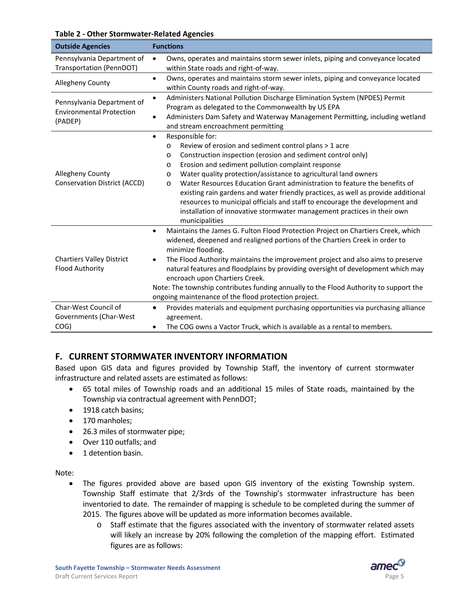#### **Table 2 ‐ Other Stormwater‐Related Agencies**

| <b>Outside Agencies</b>                                                  | <b>Functions</b>                                                                                                                                                                                                                                                                                                                                                                                                                                                                                                                                                                                                                                     |  |  |
|--------------------------------------------------------------------------|------------------------------------------------------------------------------------------------------------------------------------------------------------------------------------------------------------------------------------------------------------------------------------------------------------------------------------------------------------------------------------------------------------------------------------------------------------------------------------------------------------------------------------------------------------------------------------------------------------------------------------------------------|--|--|
| Pennsylvania Department of<br>Transportation (PennDOT)                   | Owns, operates and maintains storm sewer inlets, piping and conveyance located<br>$\bullet$<br>within State roads and right-of-way.                                                                                                                                                                                                                                                                                                                                                                                                                                                                                                                  |  |  |
| Allegheny County                                                         | Owns, operates and maintains storm sewer inlets, piping and conveyance located<br>$\bullet$<br>within County roads and right-of-way.                                                                                                                                                                                                                                                                                                                                                                                                                                                                                                                 |  |  |
| Pennsylvania Department of<br><b>Environmental Protection</b><br>(PADEP) | Administers National Pollution Discharge Elimination System (NPDES) Permit<br>Program as delegated to the Commonwealth by US EPA<br>Administers Dam Safety and Waterway Management Permitting, including wetland<br>and stream encroachment permitting                                                                                                                                                                                                                                                                                                                                                                                               |  |  |
| Allegheny County<br><b>Conservation District (ACCD)</b>                  | Responsible for:<br>$\bullet$<br>Review of erosion and sediment control plans > 1 acre<br>O<br>Construction inspection (erosion and sediment control only)<br>O<br>Erosion and sediment pollution complaint response<br>O<br>Water quality protection/assistance to agricultural land owners<br>O<br>Water Resources Education Grant administration to feature the benefits of<br>O<br>existing rain gardens and water friendly practices, as well as provide additional<br>resources to municipal officials and staff to encourage the development and<br>installation of innovative stormwater management practices in their own<br>municipalities |  |  |
| <b>Chartiers Valley District</b><br><b>Flood Authority</b>               | Maintains the James G. Fulton Flood Protection Project on Chartiers Creek, which<br>$\bullet$<br>widened, deepened and realigned portions of the Chartiers Creek in order to<br>minimize flooding.<br>The Flood Authority maintains the improvement project and also aims to preserve<br>٠<br>natural features and floodplains by providing oversight of development which may<br>encroach upon Chartiers Creek.<br>Note: The township contributes funding annually to the Flood Authority to support the<br>ongoing maintenance of the flood protection project.                                                                                    |  |  |
| Char-West Council of<br>Governments (Char-West<br>COG)                   | Provides materials and equipment purchasing opportunities via purchasing alliance<br>$\bullet$<br>agreement.<br>The COG owns a Vactor Truck, which is available as a rental to members.<br>$\bullet$                                                                                                                                                                                                                                                                                                                                                                                                                                                 |  |  |

# **F. CURRENT STORMWATER INVENTORY INFORMATION**

Based upon GIS data and figures provided by Township Staff, the inventory of current stormwater infrastructure and related assets are estimated as follows:

- 65 total miles of Township roads and an additional 15 miles of State roads, maintained by the Township via contractual agreement with PennDOT;
- 1918 catch basins;
- 170 manholes;
- 26.3 miles of stormwater pipe;
- Over 110 outfalls; and
- 1 detention basin.

Note:

- The figures provided above are based upon GIS inventory of the existing Township system. Township Staff estimate that 2/3rds of the Township's stormwater infrastructure has been inventoried to date. The remainder of mapping is schedule to be completed during the summer of 2015. The figures above will be updated as more information becomes available.
	- o Staff estimate that the figures associated with the inventory of stormwater related assets will likely an increase by 20% following the completion of the mapping effort. Estimated figures are as follows:

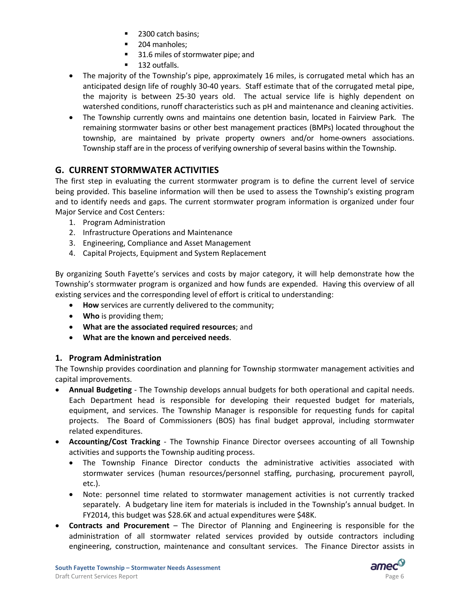- 2300 catch basins;
- **204 manholes:**
- 31.6 miles of stormwater pipe; and
- 132 outfalls.
- The majority of the Township's pipe, approximately 16 miles, is corrugated metal which has an anticipated design life of roughly 30‐40 years. Staff estimate that of the corrugated metal pipe, the majority is between 25-30 years old. The actual service life is highly dependent on watershed conditions, runoff characteristics such as pH and maintenance and cleaning activities.
- The Township currently owns and maintains one detention basin, located in Fairview Park. The remaining stormwater basins or other best management practices (BMPs) located throughout the township, are maintained by private property owners and/or home‐owners associations. Township staff are in the process of verifying ownership of several basins within the Township.

# **G. CURRENT STORMWATER ACTIVITIES**

The first step in evaluating the current stormwater program is to define the current level of service being provided. This baseline information will then be used to assess the Township's existing program and to identify needs and gaps. The current stormwater program information is organized under four Major Service and Cost Centers:

- 1. Program Administration
- 2. Infrastructure Operations and Maintenance
- 3. Engineering, Compliance and Asset Management
- 4. Capital Projects, Equipment and System Replacement

By organizing South Fayette's services and costs by major category, it will help demonstrate how the Township's stormwater program is organized and how funds are expended. Having this overview of all existing services and the corresponding level of effort is critical to understanding:

- **How** services are currently delivered to the community;
- **Who** is providing them;
- **What are the associated required resources**; and
- **What are the known and perceived needs**.

# **1. Program Administration**

The Township provides coordination and planning for Township stormwater management activities and capital improvements.

- **Annual Budgeting** ‐ The Township develops annual budgets for both operational and capital needs. Each Department head is responsible for developing their requested budget for materials, equipment, and services. The Township Manager is responsible for requesting funds for capital projects. The Board of Commissioners (BOS) has final budget approval, including stormwater related expenditures.
- **Accounting/Cost Tracking** The Township Finance Director oversees accounting of all Township activities and supports the Township auditing process.
	- The Township Finance Director conducts the administrative activities associated with stormwater services (human resources/personnel staffing, purchasing, procurement payroll, etc.).
	- Note: personnel time related to stormwater management activities is not currently tracked separately. A budgetary line item for materials is included in the Township's annual budget. In FY2014, this budget was \$28.6K and actual expenditures were \$48K.
- **Contracts and Procurement** The Director of Planning and Engineering is responsible for the administration of all stormwater related services provided by outside contractors including engineering, construction, maintenance and consultant services. The Finance Director assists in

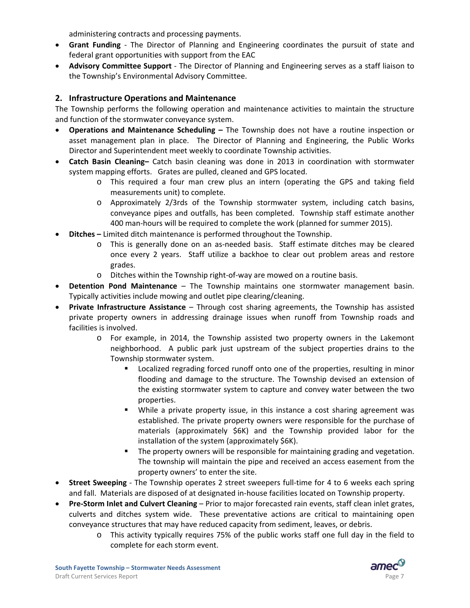administering contracts and processing payments.

- **Grant Funding** ‐ The Director of Planning and Engineering coordinates the pursuit of state and federal grant opportunities with support from the EAC
- **Advisory Committee Support** ‐ The Director of Planning and Engineering serves as a staff liaison to the Township's Environmental Advisory Committee.

# **2. Infrastructure Operations and Maintenance**

The Township performs the following operation and maintenance activities to maintain the structure and function of the stormwater conveyance system.

- **Operations and Maintenance Scheduling –** The Township does not have a routine inspection or asset management plan in place. The Director of Planning and Engineering, the Public Works Director and Superintendent meet weekly to coordinate Township activities.
- **Catch Basin Cleaning–** Catch basin cleaning was done in 2013 in coordination with stormwater system mapping efforts. Grates are pulled, cleaned and GPS located.
	- o This required a four man crew plus an intern (operating the GPS and taking field measurements unit) to complete.
	- o Approximately 2/3rds of the Township stormwater system, including catch basins, conveyance pipes and outfalls, has been completed. Township staff estimate another 400 man‐hours will be required to complete the work (planned for summer 2015).
- **Ditches –** Limited ditch maintenance is performed throughout the Township.
	- o This is generally done on an as‐needed basis. Staff estimate ditches may be cleared once every 2 years. Staff utilize a backhoe to clear out problem areas and restore grades.
	- o Ditches within the Township right‐of‐way are mowed on a routine basis.
- **Detention Pond Maintenance** The Township maintains one stormwater management basin. Typically activities include mowing and outlet pipe clearing/cleaning.
- **Private Infrastructure Assistance** Through cost sharing agreements, the Township has assisted private property owners in addressing drainage issues when runoff from Township roads and facilities is involved.
	- o For example, in 2014, the Township assisted two property owners in the Lakemont neighborhood. A public park just upstream of the subject properties drains to the Township stormwater system.
		- Localized regrading forced runoff onto one of the properties, resulting in minor flooding and damage to the structure. The Township devised an extension of the existing stormwater system to capture and convey water between the two properties.
		- While a private property issue, in this instance a cost sharing agreement was established. The private property owners were responsible for the purchase of materials (approximately \$6K) and the Township provided labor for the installation of the system (approximately \$6K).
		- The property owners will be responsible for maintaining grading and vegetation. The township will maintain the pipe and received an access easement from the property owners' to enter the site.
- **Street Sweeping** The Township operates 2 street sweepers full-time for 4 to 6 weeks each spring and fall. Materials are disposed of at designated in‐house facilities located on Township property.
- **Pre‐Storm Inlet and Culvert Cleaning** Prior to major forecasted rain events, staff clean inlet grates, culverts and ditches system wide. These preventative actions are critical to maintaining open conveyance structures that may have reduced capacity from sediment, leaves, or debris.
	- o This activity typically requires 75% of the public works staff one full day in the field to complete for each storm event.

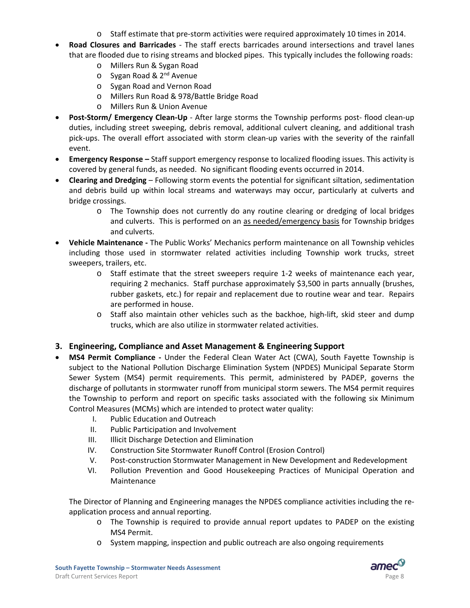- o Staff estimate that pre‐storm activities were required approximately 10 times in 2014.
- **Road Closures and Barricades** ‐ The staff erects barricades around intersections and travel lanes that are flooded due to rising streams and blocked pipes. This typically includes the following roads:
	- o Millers Run & Sygan Road
	- o Sygan Road & 2<sup>nd</sup> Avenue
	- o Sygan Road and Vernon Road
	- o Millers Run Road & 978/Battle Bridge Road
	- o Millers Run & Union Avenue
- **Post‐Storm/ Emergency Clean‐Up** ‐ After large storms the Township performs post‐ flood clean‐up duties, including street sweeping, debris removal, additional culvert cleaning, and additional trash pick‐ups. The overall effort associated with storm clean‐up varies with the severity of the rainfall event.
- **Emergency Response –** Staff support emergency response to localized flooding issues. This activity is covered by general funds, as needed. No significant flooding events occurred in 2014.
- **Clearing and Dredging** Following storm events the potential for significant siltation, sedimentation and debris build up within local streams and waterways may occur, particularly at culverts and bridge crossings.
	- o The Township does not currently do any routine clearing or dredging of local bridges and culverts. This is performed on an as needed/emergency basis for Township bridges and culverts.
- **Vehicle Maintenance ‐** The Public Works' Mechanics perform maintenance on all Township vehicles including those used in stormwater related activities including Township work trucks, street sweepers, trailers, etc.
	- o Staff estimate that the street sweepers require 1‐2 weeks of maintenance each year, requiring 2 mechanics. Staff purchase approximately \$3,500 in parts annually (brushes, rubber gaskets, etc.) for repair and replacement due to routine wear and tear. Repairs are performed in house.
	- o Staff also maintain other vehicles such as the backhoe, high‐lift, skid steer and dump trucks, which are also utilize in stormwater related activities.

# **3. Engineering, Compliance and Asset Management & Engineering Support**

- **MS4 Permit Compliance ‐** Under the Federal Clean Water Act (CWA), South Fayette Township is subject to the National Pollution Discharge Elimination System (NPDES) Municipal Separate Storm Sewer System (MS4) permit requirements. This permit, administered by PADEP, governs the discharge of pollutants in stormwater runoff from municipal storm sewers. The MS4 permit requires the Township to perform and report on specific tasks associated with the following six Minimum Control Measures (MCMs) which are intended to protect water quality:
	- I. Public Education and Outreach
	- II. Public Participation and Involvement
	- III. Illicit Discharge Detection and Elimination
	- IV. Construction Site Stormwater Runoff Control (Erosion Control)
	- V. Post‐construction Stormwater Management in New Development and Redevelopment
	- VI. Pollution Prevention and Good Housekeeping Practices of Municipal Operation and Maintenance

The Director of Planning and Engineering manages the NPDES compliance activities including the re‐ application process and annual reporting.

- o The Township is required to provide annual report updates to PADEP on the existing MS4 Permit.
- o System mapping, inspection and public outreach are also ongoing requirements

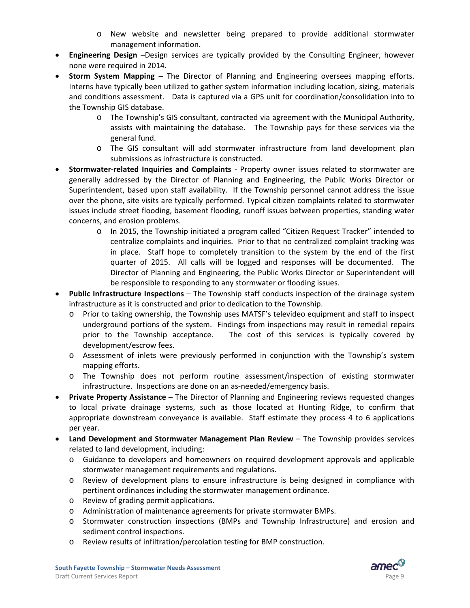- o New website and newsletter being prepared to provide additional stormwater management information.
- **Engineering Design –**Design services are typically provided by the Consulting Engineer, however none were required in 2014.
- **Storm System Mapping –** The Director of Planning and Engineering oversees mapping efforts. Interns have typically been utilized to gather system information including location, sizing, materials and conditions assessment. Data is captured via a GPS unit for coordination/consolidation into to the Township GIS database.
	- o The Township's GIS consultant, contracted via agreement with the Municipal Authority, assists with maintaining the database. The Township pays for these services via the general fund.
	- o The GIS consultant will add stormwater infrastructure from land development plan submissions as infrastructure is constructed.
- **Stormwater‐related Inquiries and Complaints** ‐ Property owner issues related to stormwater are generally addressed by the Director of Planning and Engineering, the Public Works Director or Superintendent, based upon staff availability. If the Township personnel cannot address the issue over the phone, site visits are typically performed. Typical citizen complaints related to stormwater issues include street flooding, basement flooding, runoff issues between properties, standing water concerns, and erosion problems.
	- o In 2015, the Township initiated a program called "Citizen Request Tracker" intended to centralize complaints and inquiries. Prior to that no centralized complaint tracking was in place. Staff hope to completely transition to the system by the end of the first quarter of 2015. All calls will be logged and responses will be documented. The Director of Planning and Engineering, the Public Works Director or Superintendent will be responsible to responding to any stormwater or flooding issues.
- **Public Infrastructure Inspections** The Township staff conducts inspection of the drainage system infrastructure as it is constructed and prior to dedication to the Township.
	- o Prior to taking ownership, the Township uses MATSF's televideo equipment and staff to inspect underground portions of the system. Findings from inspections may result in remedial repairs prior to the Township acceptance. The cost of this services is typically covered by development/escrow fees.
	- o Assessment of inlets were previously performed in conjunction with the Township's system mapping efforts.
	- o The Township does not perform routine assessment/inspection of existing stormwater infrastructure. Inspections are done on an as-needed/emergency basis.
- **Private Property Assistance** The Director of Planning and Engineering reviews requested changes to local private drainage systems, such as those located at Hunting Ridge, to confirm that appropriate downstream conveyance is available. Staff estimate they process 4 to 6 applications per year.
- **Land Development and Stormwater Management Plan Review** The Township provides services related to land development, including:
	- o Guidance to developers and homeowners on required development approvals and applicable stormwater management requirements and regulations.
	- o Review of development plans to ensure infrastructure is being designed in compliance with pertinent ordinances including the stormwater management ordinance.
	- o Review of grading permit applications.
	- o Administration of maintenance agreements for private stormwater BMPs.
	- o Stormwater construction inspections (BMPs and Township Infrastructure) and erosion and sediment control inspections.
	- o Review results of infiltration/percolation testing for BMP construction.

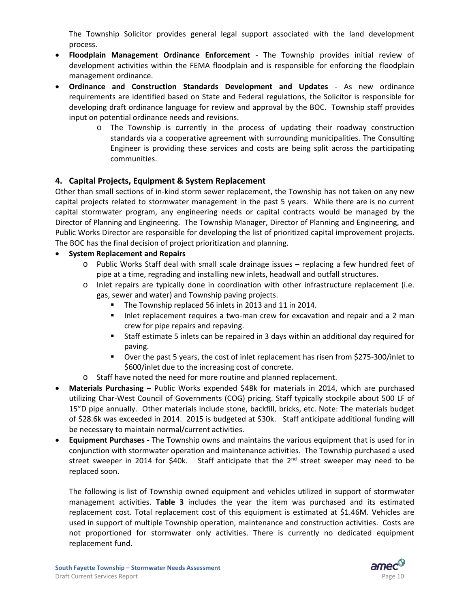The Township Solicitor provides general legal support associated with the land development process.

- **Floodplain Management Ordinance Enforcement** ‐ The Township provides initial review of development activities within the FEMA floodplain and is responsible for enforcing the floodplain management ordinance.
- **Ordinance and Construction Standards Development and Updates** ‐ As new ordinance requirements are identified based on State and Federal regulations, the Solicitor is responsible for developing draft ordinance language for review and approval by the BOC. Township staff provides input on potential ordinance needs and revisions.
	- o The Township is currently in the process of updating their roadway construction standards via a cooperative agreement with surrounding municipalities. The Consulting Engineer is providing these services and costs are being split across the participating communities.

# **4. Capital Projects, Equipment & System Replacement**

Other than small sections of in‐kind storm sewer replacement, the Township has not taken on any new capital projects related to stormwater management in the past 5 years. While there are is no current capital stormwater program, any engineering needs or capital contracts would be managed by the Director of Planning and Engineering. The Township Manager, Director of Planning and Engineering, and Public Works Director are responsible for developing the list of prioritized capital improvement projects. The BOC has the final decision of project prioritization and planning.

#### **System Replacement and Repairs**

- o Public Works Staff deal with small scale drainage issues replacing a few hundred feet of pipe at a time, regrading and installing new inlets, headwall and outfall structures.
- o Inlet repairs are typically done in coordination with other infrastructure replacement (i.e. gas, sewer and water) and Township paving projects.
	- The Township replaced 56 inlets in 2013 and 11 in 2014.
	- Inlet replacement requires a two-man crew for excavation and repair and a 2 man crew for pipe repairs and repaving.
	- Staff estimate 5 inlets can be repaired in 3 days within an additional day required for paving.
	- Over the past 5 years, the cost of inlet replacement has risen from \$275-300/inlet to \$600/inlet due to the increasing cost of concrete.
- o Staff have noted the need for more routine and planned replacement.
- **Materials Purchasing** Public Works expended \$48k for materials in 2014, which are purchased utilizing Char‐West Council of Governments (COG) pricing. Staff typically stockpile about 500 LF of 15"D pipe annually. Other materials include stone, backfill, bricks, etc. Note: The materials budget of \$28.6k was exceeded in 2014. 2015 is budgeted at \$30k. Staff anticipate additional funding will be necessary to maintain normal/current activities.
- **Equipment Purchases ‐** The Township owns and maintains the various equipment that is used for in conjunction with stormwater operation and maintenance activities. The Township purchased a used street sweeper in 2014 for \$40k. Staff anticipate that the  $2<sup>nd</sup>$  street sweeper may need to be replaced soon.

The following is list of Township owned equipment and vehicles utilized in support of stormwater management activities. **Table 3** includes the year the item was purchased and its estimated replacement cost. Total replacement cost of this equipment is estimated at \$1.46M. Vehicles are used in support of multiple Township operation, maintenance and construction activities. Costs are not proportioned for stormwater only activities. There is currently no dedicated equipment replacement fund.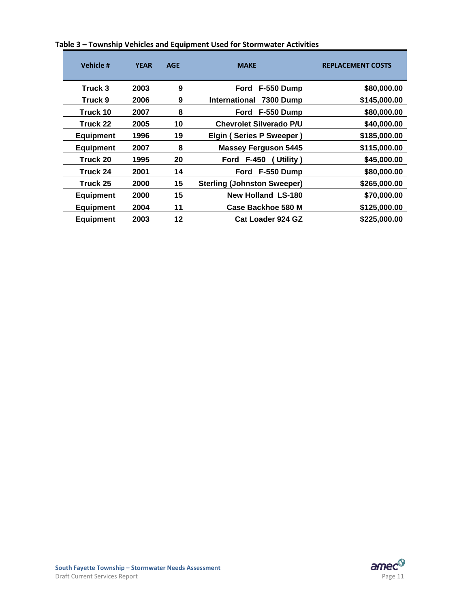| Vehicle #        | <b>YEAR</b> | <b>AGE</b> | <b>MAKE</b>                              | <b>REPLACEMENT COSTS</b> |
|------------------|-------------|------------|------------------------------------------|--------------------------|
| Truck 3          | 2003        | 9          | F-550 Dump<br>Ford                       | \$80,000.00              |
| Truck 9          | 2006        | 9          | <b>International</b><br><b>7300 Dump</b> | \$145,000.00             |
| Truck 10         | 2007        | 8          | Ford F-550 Dump                          | \$80,000.00              |
| Truck 22         | 2005        | 10         | <b>Chevrolet Silverado P/U</b>           | \$40,000.00              |
| <b>Equipment</b> | 1996        | 19         | Elgin (Series P Sweeper)                 | \$185,000.00             |
| <b>Equipment</b> | 2007        | 8          | <b>Massey Ferguson 5445</b>              | \$115,000.00             |
| Truck 20         | 1995        | 20         | Utility)<br><b>Ford F-450</b>            | \$45,000.00              |
| Truck 24         | 2001        | 14         | F-550 Dump<br>Ford                       | \$80,000.00              |
| Truck 25         | 2000        | 15         | <b>Sterling (Johnston Sweeper)</b>       | \$265,000.00             |
| <b>Equipment</b> | 2000        | 15         | <b>New Holland LS-180</b>                | \$70,000.00              |
| <b>Equipment</b> | 2004        | 11         | Case Backhoe 580 M                       | \$125,000.00             |
| <b>Equipment</b> | 2003        | 12         | Cat Loader 924 GZ                        | \$225,000.00             |

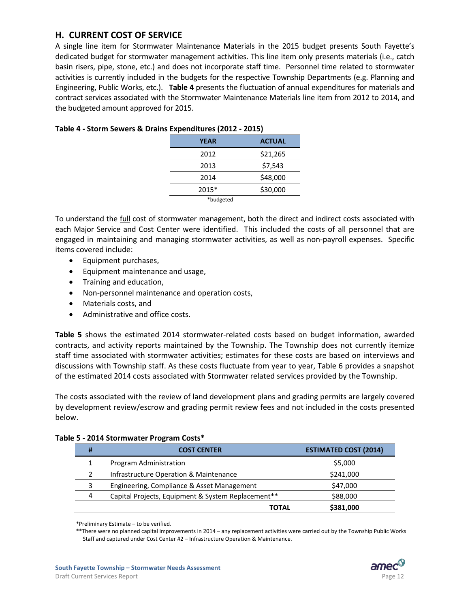# **H. CURRENT COST OF SERVICE**

A single line item for Stormwater Maintenance Materials in the 2015 budget presents South Fayette's dedicated budget for stormwater management activities. This line item only presents materials (i.e., catch basin risers, pipe, stone, etc.) and does not incorporate staff time. Personnel time related to stormwater activities is currently included in the budgets for the respective Township Departments (e.g. Planning and Engineering, Public Works, etc.). **Table 4** presents the fluctuation of annual expenditures for materials and contract services associated with the Stormwater Maintenance Materials line item from 2012 to 2014, and the budgeted amount approved for 2015.

| <b>YEAR</b> | <b>ACTUAL</b> |
|-------------|---------------|
| 2012        | \$21,265      |
| 2013        | \$7,543       |
| 2014        | \$48,000      |
| 2015*       | \$30,000      |
| *budgeted   |               |

#### **Table 4 ‐ Storm Sewers & Drains Expenditures (2012 ‐ 2015)**

To understand the **full cost of stormwater management**, both the direct and indirect costs associated with each Major Service and Cost Center were identified. This included the costs of all personnel that are engaged in maintaining and managing stormwater activities, as well as non-payroll expenses. Specific items covered include:

- Equipment purchases,
- Equipment maintenance and usage,
- Training and education,
- Non-personnel maintenance and operation costs,
- Materials costs, and
- Administrative and office costs.

**Table 5** shows the estimated 2014 stormwater-related costs based on budget information, awarded contracts, and activity reports maintained by the Township. The Township does not currently itemize staff time associated with stormwater activities; estimates for these costs are based on interviews and discussions with Township staff. As these costs fluctuate from year to year, Table 6 provides a snapshot of the estimated 2014 costs associated with Stormwater related services provided by the Township.

The costs associated with the review of land development plans and grading permits are largely covered by development review/escrow and grading permit review fees and not included in the costs presented below.

| # | <b>COST CENTER</b>                                 | <b>ESTIMATED COST (2014)</b> |
|---|----------------------------------------------------|------------------------------|
|   | Program Administration                             | \$5,000                      |
|   | Infrastructure Operation & Maintenance             | \$241,000                    |
|   | Engineering, Compliance & Asset Management         | \$47,000                     |
| 4 | Capital Projects, Equipment & System Replacement** | \$88,000                     |
|   | TOTAL                                              | \$381,000                    |

#### **Table 5 ‐ 2014 Stormwater Program Costs\***

\*\*There were no planned capital improvements in 2014 – any replacement activities were carried out by the Township Public Works Staff and captured under Cost Center #2 – Infrastructure Operation & Maintenance.

<sup>\*</sup>Preliminary Estimate – to be verified.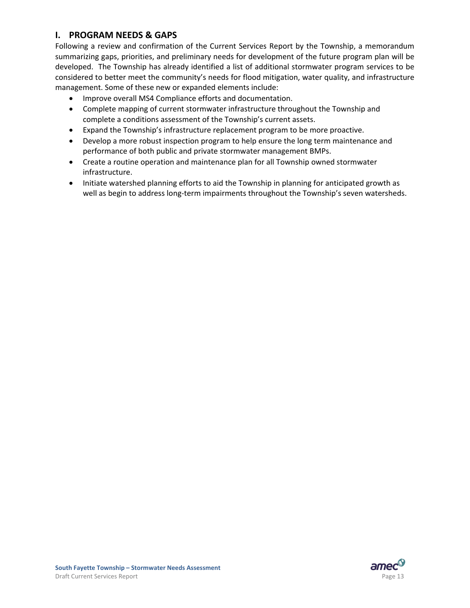# **I. PROGRAM NEEDS & GAPS**

Following a review and confirmation of the Current Services Report by the Township, a memorandum summarizing gaps, priorities, and preliminary needs for development of the future program plan will be developed. The Township has already identified a list of additional stormwater program services to be considered to better meet the community's needs for flood mitigation, water quality, and infrastructure management. Some of these new or expanded elements include:

- Improve overall MS4 Compliance efforts and documentation.
- Complete mapping of current stormwater infrastructure throughout the Township and complete a conditions assessment of the Township's current assets.
- Expand the Township's infrastructure replacement program to be more proactive.
- Develop a more robust inspection program to help ensure the long term maintenance and performance of both public and private stormwater management BMPs.
- Create a routine operation and maintenance plan for all Township owned stormwater infrastructure.
- Initiate watershed planning efforts to aid the Township in planning for anticipated growth as well as begin to address long-term impairments throughout the Township's seven watersheds.

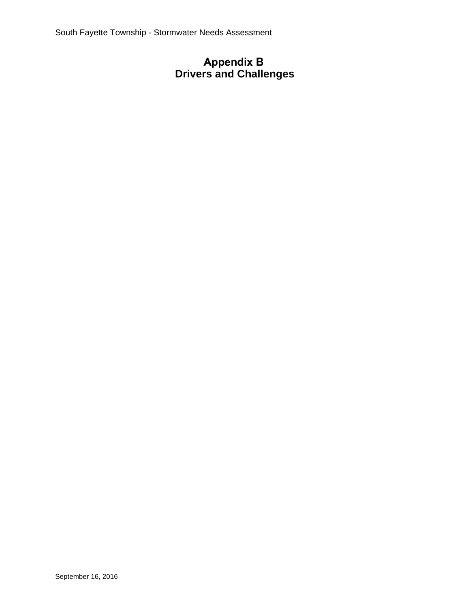# **Drivers and Challenges**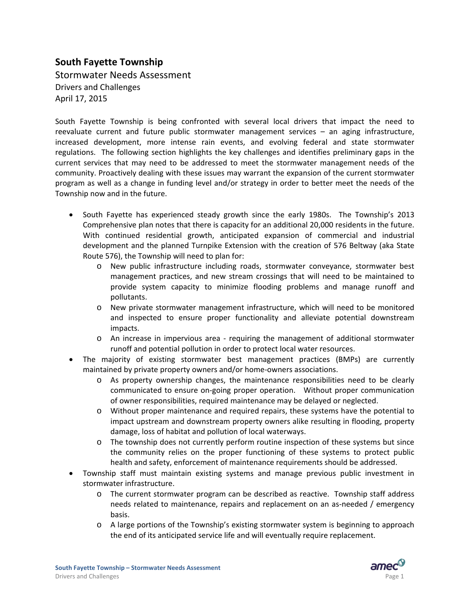## **South Fayette Township**

Stormwater Needs Assessment Drivers and Challenges April 17, 2015

South Fayette Township is being confronted with several local drivers that impact the need to reevaluate current and future public stormwater management services – an aging infrastructure, increased development, more intense rain events, and evolving federal and state stormwater regulations. The following section highlights the key challenges and identifies preliminary gaps in the current services that may need to be addressed to meet the stormwater management needs of the community. Proactively dealing with these issues may warrant the expansion of the current stormwater program as well as a change in funding level and/or strategy in order to better meet the needs of the Township now and in the future.

- South Fayette has experienced steady growth since the early 1980s. The Township's 2013 Comprehensive plan notes that there is capacity for an additional 20,000 residents in the future. With continued residential growth, anticipated expansion of commercial and industrial development and the planned Turnpike Extension with the creation of 576 Beltway (aka State Route 576), the Township will need to plan for:
	- o New public infrastructure including roads, stormwater conveyance, stormwater best management practices, and new stream crossings that will need to be maintained to provide system capacity to minimize flooding problems and manage runoff and pollutants.
	- o New private stormwater management infrastructure, which will need to be monitored and inspected to ensure proper functionality and alleviate potential downstream impacts.
	- o An increase in impervious area ‐ requiring the management of additional stormwater runoff and potential pollution in order to protect local water resources.
- The majority of existing stormwater best management practices (BMPs) are currently maintained by private property owners and/or home‐owners associations.
	- o As property ownership changes, the maintenance responsibilities need to be clearly communicated to ensure on‐going proper operation. Without proper communication of owner responsibilities, required maintenance may be delayed or neglected.
	- o Without proper maintenance and required repairs, these systems have the potential to impact upstream and downstream property owners alike resulting in flooding, property damage, loss of habitat and pollution of local waterways.
	- o The township does not currently perform routine inspection of these systems but since the community relies on the proper functioning of these systems to protect public health and safety, enforcement of maintenance requirements should be addressed.
- Township staff must maintain existing systems and manage previous public investment in stormwater infrastructure.
	- o The current stormwater program can be described as reactive. Township staff address needs related to maintenance, repairs and replacement on an as‐needed / emergency basis.
	- o A large portions of the Township's existing stormwater system is beginning to approach the end of its anticipated service life and will eventually require replacement.

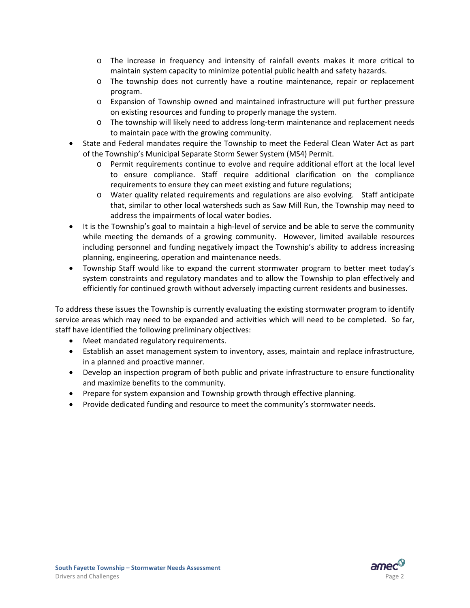- o The increase in frequency and intensity of rainfall events makes it more critical to maintain system capacity to minimize potential public health and safety hazards.
- o The township does not currently have a routine maintenance, repair or replacement program.
- o Expansion of Township owned and maintained infrastructure will put further pressure on existing resources and funding to properly manage the system.
- o The township will likely need to address long‐term maintenance and replacement needs to maintain pace with the growing community.
- State and Federal mandates require the Township to meet the Federal Clean Water Act as part of the Township's Municipal Separate Storm Sewer System (MS4) Permit.
	- o Permit requirements continue to evolve and require additional effort at the local level to ensure compliance. Staff require additional clarification on the compliance requirements to ensure they can meet existing and future regulations;
	- o Water quality related requirements and regulations are also evolving. Staff anticipate that, similar to other local watersheds such as Saw Mill Run, the Township may need to address the impairments of local water bodies.
- It is the Township's goal to maintain a high-level of service and be able to serve the community while meeting the demands of a growing community. However, limited available resources including personnel and funding negatively impact the Township's ability to address increasing planning, engineering, operation and maintenance needs.
- Township Staff would like to expand the current stormwater program to better meet today's system constraints and regulatory mandates and to allow the Township to plan effectively and efficiently for continued growth without adversely impacting current residents and businesses.

To address these issues the Township is currently evaluating the existing stormwater program to identify service areas which may need to be expanded and activities which will need to be completed. So far, staff have identified the following preliminary objectives:

- Meet mandated regulatory requirements.
- Establish an asset management system to inventory, asses, maintain and replace infrastructure, in a planned and proactive manner.
- Develop an inspection program of both public and private infrastructure to ensure functionality and maximize benefits to the community.
- Prepare for system expansion and Township growth through effective planning.
- Provide dedicated funding and resource to meet the community's stormwater needs.

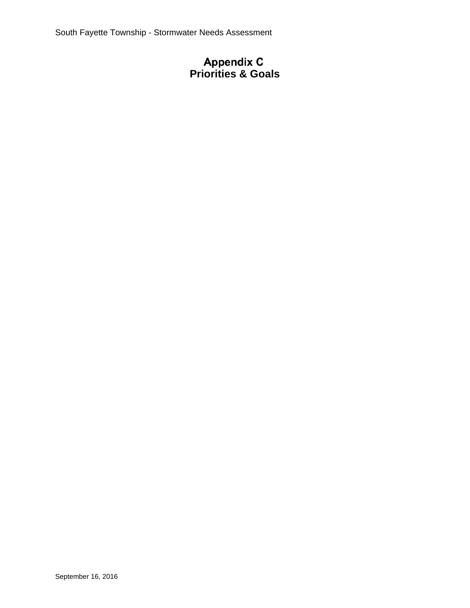## **Priorities & Goals**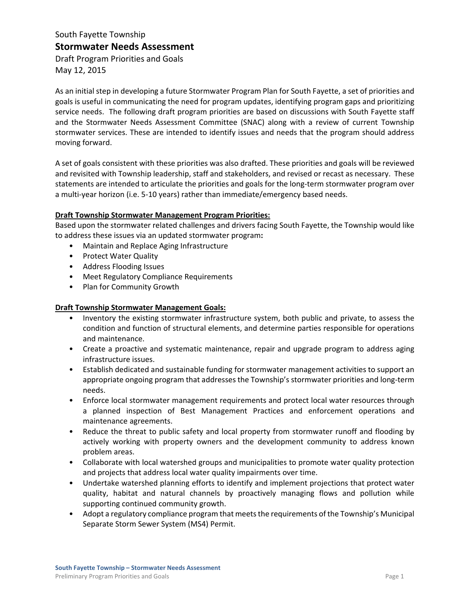## South Fayette Township **Stormwater Needs Assessment**

Draft Program Priorities and Goals May 12, 2015

As an initial step in developing a future Stormwater Program Plan for South Fayette, a set of priorities and goals is useful in communicating the need for program updates, identifying program gaps and prioritizing service needs. The following draft program priorities are based on discussions with South Fayette staff and the Stormwater Needs Assessment Committee (SNAC) along with a review of current Township stormwater services. These are intended to identify issues and needs that the program should address moving forward.

A set of goals consistent with these priorities was also drafted. These priorities and goals will be reviewed and revisited with Township leadership, staff and stakeholders, and revised or recast as necessary. These statements are intended to articulate the priorities and goals for the long-term stormwater program over a multi-year horizon (i.e. 5-10 years) rather than immediate/emergency based needs.

#### **Draft Township Stormwater Management Program Priorities:**

Based upon the stormwater related challenges and drivers facing South Fayette, the Township would like to address these issues via an updated stormwater program**:**

- Maintain and Replace Aging Infrastructure
- Protect Water Quality
- Address Flooding Issues
- Meet Regulatory Compliance Requirements
- Plan for Community Growth

#### **Draft Township Stormwater Management Goals:**

- Inventory the existing stormwater infrastructure system, both public and private, to assess the condition and function of structural elements, and determine parties responsible for operations and maintenance.
- Create a proactive and systematic maintenance, repair and upgrade program to address aging infrastructure issues.
- Establish dedicated and sustainable funding for stormwater management activities to support an appropriate ongoing program that addresses the Township's stormwater priorities and long-term needs.
- Enforce local stormwater management requirements and protect local water resources through a planned inspection of Best Management Practices and enforcement operations and maintenance agreements.
- Reduce the threat to public safety and local property from stormwater runoff and flooding by actively working with property owners and the development community to address known problem areas.
- Collaborate with local watershed groups and municipalities to promote water quality protection and projects that address local water quality impairments over time.
- Undertake watershed planning efforts to identify and implement projections that protect water quality, habitat and natural channels by proactively managing flows and pollution while supporting continued community growth.
- Adopt a regulatory compliance program that meets the requirements of the Township's Municipal Separate Storm Sewer System (MS4) Permit.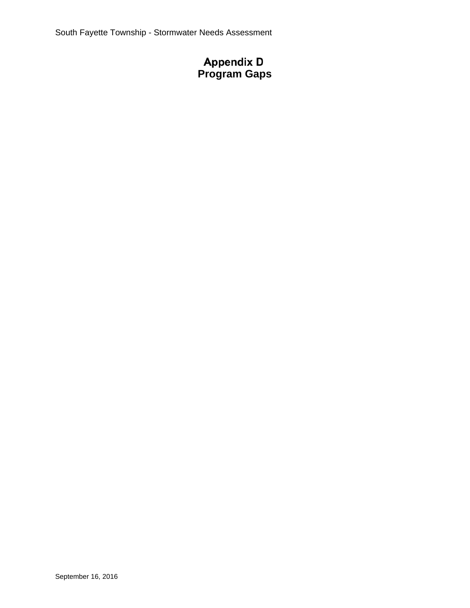# **Program Gaps**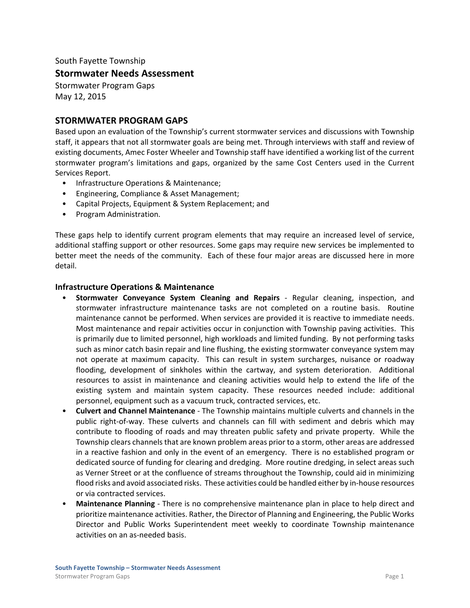South Fayette Township

#### **Stormwater Needs Assessment**

Stormwater Program Gaps May 12, 2015

#### **STORMWATER PROGRAM GAPS**

Based upon an evaluation of the Township's current stormwater services and discussions with Township staff, it appears that not all stormwater goals are being met. Through interviews with staff and review of existing documents, Amec Foster Wheeler and Township staff have identified a working list of the current stormwater program's limitations and gaps, organized by the same Cost Centers used in the Current Services Report.

- Infrastructure Operations & Maintenance;
- Engineering, Compliance & Asset Management;
- Capital Projects, Equipment & System Replacement; and
- Program Administration.

These gaps help to identify current program elements that may require an increased level of service, additional staffing support or other resources. Some gaps may require new services be implemented to better meet the needs of the community. Each of these four major areas are discussed here in more detail.

#### **Infrastructure Operations & Maintenance**

- **Stormwater Conveyance System Cleaning and Repairs** ‐ Regular cleaning, inspection, and stormwater infrastructure maintenance tasks are not completed on a routine basis. Routine maintenance cannot be performed. When services are provided it is reactive to immediate needs. Most maintenance and repair activities occur in conjunction with Township paving activities. This is primarily due to limited personnel, high workloads and limited funding. By not performing tasks such as minor catch basin repair and line flushing, the existing stormwater conveyance system may not operate at maximum capacity. This can result in system surcharges, nuisance or roadway flooding, development of sinkholes within the cartway, and system deterioration. Additional resources to assist in maintenance and cleaning activities would help to extend the life of the existing system and maintain system capacity. These resources needed include: additional personnel, equipment such as a vacuum truck, contracted services, etc.
- **Culvert and Channel Maintenance** ‐ The Township maintains multiple culverts and channels in the public right‐of‐way. These culverts and channels can fill with sediment and debris which may contribute to flooding of roads and may threaten public safety and private property. While the Township clears channels that are known problem areas prior to a storm, other areas are addressed in a reactive fashion and only in the event of an emergency. There is no established program or dedicated source of funding for clearing and dredging. More routine dredging, in select areas such as Verner Street or at the confluence of streams throughout the Township, could aid in minimizing flood risks and avoid associated risks. These activities could be handled either by in‐house resources or via contracted services.
- **Maintenance Planning** ‐ There is no comprehensive maintenance plan in place to help direct and prioritize maintenance activities. Rather, the Director of Planning and Engineering, the Public Works Director and Public Works Superintendent meet weekly to coordinate Township maintenance activities on an as‐needed basis.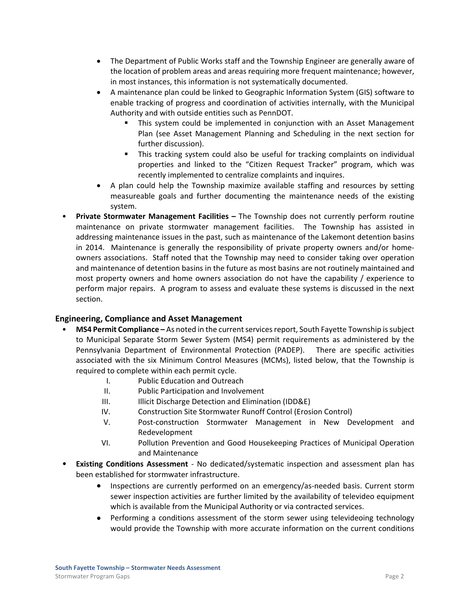- The Department of Public Works staff and the Township Engineer are generally aware of the location of problem areas and areas requiring more frequent maintenance; however, in most instances, this information is not systematically documented.
- A maintenance plan could be linked to Geographic Information System (GIS) software to enable tracking of progress and coordination of activities internally, with the Municipal Authority and with outside entities such as PennDOT.
	- This system could be implemented in conjunction with an Asset Management Plan (see Asset Management Planning and Scheduling in the next section for further discussion).
	- This tracking system could also be useful for tracking complaints on individual properties and linked to the "Citizen Request Tracker" program, which was recently implemented to centralize complaints and inquires.
- A plan could help the Township maximize available staffing and resources by setting measureable goals and further documenting the maintenance needs of the existing system.
- **Private Stormwater Management Facilities –** The Township does not currently perform routine maintenance on private stormwater management facilities. The Township has assisted in addressing maintenance issues in the past, such as maintenance of the Lakemont detention basins in 2014. Maintenance is generally the responsibility of private property owners and/or homeowners associations. Staff noted that the Township may need to consider taking over operation and maintenance of detention basins in the future as most basins are not routinely maintained and most property owners and home owners association do not have the capability / experience to perform major repairs.A program to assess and evaluate these systems is discussed in the next section.

#### **Engineering, Compliance and Asset Management**

- **MS4 Permit Compliance –** As noted in the currentservicesreport, South Fayette Township issubject to Municipal Separate Storm Sewer System (MS4) permit requirements as administered by the Pennsylvania Department of Environmental Protection (PADEP). There are specific activities associated with the six Minimum Control Measures (MCMs), listed below, that the Township is required to complete within each permit cycle.
	- I. Public Education and Outreach
	- II. Public Participation and Involvement
	- III. **Illicit Discharge Detection and Elimination (IDD&E)**
	- IV. Construction Site Stormwater Runoff Control (Erosion Control)
	- V. Post‐construction Stormwater Management in New Development and Redevelopment
	- VI. Pollution Prevention and Good Housekeeping Practices of Municipal Operation and Maintenance
- **Existing Conditions Assessment** ‐ No dedicated/systematic inspection and assessment plan has been established for stormwater infrastructure.
	- Inspections are currently performed on an emergency/as‐needed basis. Current storm sewer inspection activities are further limited by the availability of televideo equipment which is available from the Municipal Authority or via contracted services.
	- Performing a conditions assessment of the storm sewer using televideoing technology would provide the Township with more accurate information on the current conditions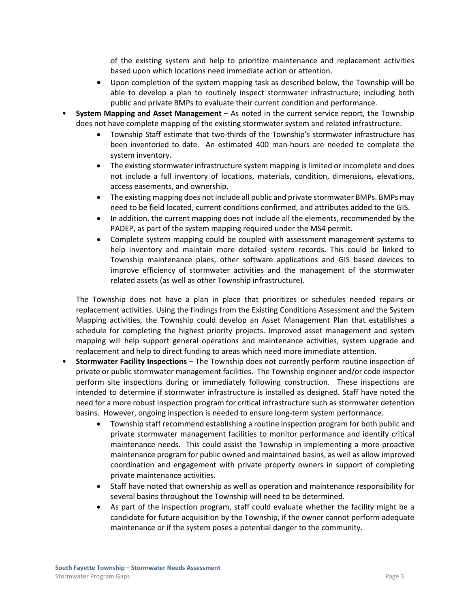of the existing system and help to prioritize maintenance and replacement activities based upon which locations need immediate action or attention.

- Upon completion of the system mapping task as described below, the Township will be able to develop a plan to routinely inspect stormwater infrastructure; including both public and private BMPs to evaluate their current condition and performance.
- **System Mapping and Asset Management** As noted in the current service report, the Township does not have complete mapping of the existing stormwater system and related infrastructure.
	- Township Staff estimate that two-thirds of the Township's stormwater infrastructure has been inventoried to date. An estimated 400 man-hours are needed to complete the system inventory.
	- The existing stormwater infrastructure system mapping is limited or incomplete and does not include a full inventory of locations, materials, condition, dimensions, elevations, access easements, and ownership.
	- The existing mapping does not include all public and private stormwater BMPs. BMPs may need to be field located, current conditions confirmed, and attributes added to the GIS.
	- In addition, the current mapping does not include all the elements, recommended by the PADEP, as part of the system mapping required under the MS4 permit.
	- Complete system mapping could be coupled with assessment management systems to help inventory and maintain more detailed system records. This could be linked to Township maintenance plans, other software applications and GIS based devices to improve efficiency of stormwater activities and the management of the stormwater related assets (as well as other Township infrastructure).

The Township does not have a plan in place that prioritizes or schedules needed repairs or replacement activities. Using the findings from the Existing Conditions Assessment and the System Mapping activities, the Township could develop an Asset Management Plan that establishes a schedule for completing the highest priority projects. Improved asset management and system mapping will help support general operations and maintenance activities, system upgrade and replacement and help to direct funding to areas which need more immediate attention.

- **Stormwater Facility Inspections** The Township does not currently perform routine inspection of private or public stormwater management facilities. The Township engineer and/or code inspector perform site inspections during or immediately following construction. These inspections are intended to determine if stormwater infrastructure is installed as designed. Staff have noted the need for a more robust inspection program for critical infrastructure such as stormwater detention basins. However, ongoing inspection is needed to ensure long-term system performance.
	- Township staff recommend establishing a routine inspection program for both public and private stormwater management facilities to monitor performance and identify critical maintenance needs. This could assist the Township in implementing a more proactive maintenance program for public owned and maintained basins, as well as allow improved coordination and engagement with private property owners in support of completing private maintenance activities.
	- Staff have noted that ownership as well as operation and maintenance responsibility for several basins throughout the Township will need to be determined.
	- As part of the inspection program, staff could evaluate whether the facility might be a candidate for future acquisition by the Township, if the owner cannot perform adequate maintenance or if the system poses a potential danger to the community.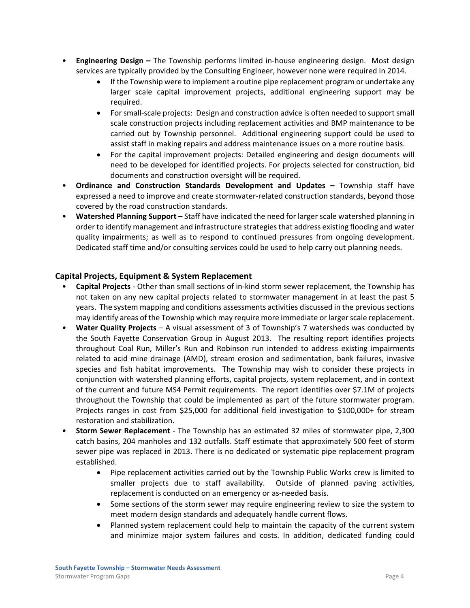- **Engineering Design –** The Township performs limited in‐house engineering design. Most design services are typically provided by the Consulting Engineer, however none were required in 2014.
	- If the Township were to implement a routine pipe replacement program or undertake any larger scale capital improvement projects, additional engineering support may be required.
	- For small‐scale projects: Design and construction advice is often needed to support small scale construction projects including replacement activities and BMP maintenance to be carried out by Township personnel. Additional engineering support could be used to assist staff in making repairs and address maintenance issues on a more routine basis.
	- For the capital improvement projects: Detailed engineering and design documents will need to be developed for identified projects. For projects selected for construction, bid documents and construction oversight will be required.
- **Ordinance and Construction Standards Development and Updates –** Township staff have expressed a need to improve and create stormwater‐related construction standards, beyond those covered by the road construction standards.
- **Watershed Planning Support –** Staff have indicated the need for larger scale watershed planning in order to identify management and infrastructure strategiesthat address existing flooding and water quality impairments; as well as to respond to continued pressures from ongoing development. Dedicated staff time and/or consulting services could be used to help carry out planning needs.

#### **Capital Projects, Equipment & System Replacement**

- **Capital Projects** ‐ Other than small sections of in‐kind storm sewer replacement, the Township has not taken on any new capital projects related to stormwater management in at least the past 5 years. The system mapping and conditions assessments activities discussed in the previous sections may identify areas of the Township which may require more immediate or largerscale replacement.
- **Water Quality Projects** A visual assessment of 3 of Township's 7 watersheds was conducted by the South Fayette Conservation Group in August 2013. The resulting report identifies projects throughout Coal Run, Miller's Run and Robinson run intended to address existing impairments related to acid mine drainage (AMD), stream erosion and sedimentation, bank failures, invasive species and fish habitat improvements. The Township may wish to consider these projects in conjunction with watershed planning efforts, capital projects, system replacement, and in context of the current and future MS4 Permit requirements. The report identifies over \$7.1M of projects throughout the Township that could be implemented as part of the future stormwater program. Projects ranges in cost from \$25,000 for additional field investigation to \$100,000+ for stream restoration and stabilization.
- **Storm Sewer Replacement** ‐ The Township has an estimated 32 miles of stormwater pipe, 2,300 catch basins, 204 manholes and 132 outfalls. Staff estimate that approximately 500 feet of storm sewer pipe was replaced in 2013. There is no dedicated or systematic pipe replacement program established.
	- Pipe replacement activities carried out by the Township Public Works crew is limited to smaller projects due to staff availability. Outside of planned paving activities, replacement is conducted on an emergency or as-needed basis.
	- Some sections of the storm sewer may require engineering review to size the system to meet modern design standards and adequately handle current flows.
	- Planned system replacement could help to maintain the capacity of the current system and minimize major system failures and costs. In addition, dedicated funding could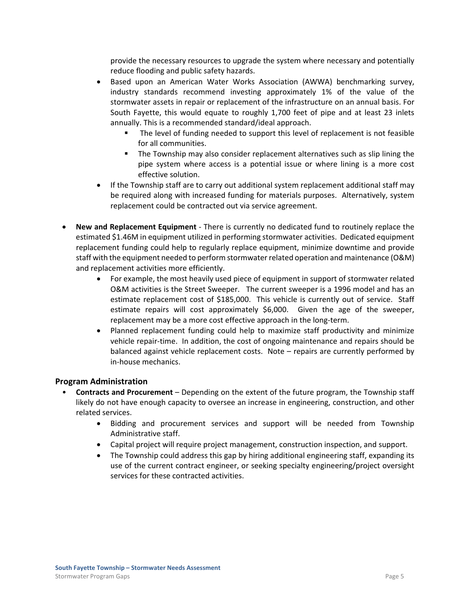provide the necessary resources to upgrade the system where necessary and potentially reduce flooding and public safety hazards.

- Based upon an American Water Works Association (AWWA) benchmarking survey, industry standards recommend investing approximately 1% of the value of the stormwater assets in repair or replacement of the infrastructure on an annual basis. For South Fayette, this would equate to roughly 1,700 feet of pipe and at least 23 inlets annually. This is a recommended standard/ideal approach.
	- The level of funding needed to support this level of replacement is not feasible for all communities.
	- The Township may also consider replacement alternatives such as slip lining the pipe system where access is a potential issue or where lining is a more cost effective solution.
- If the Township staff are to carry out additional system replacement additional staff may be required along with increased funding for materials purposes. Alternatively, system replacement could be contracted out via service agreement.
- **New and Replacement Equipment** ‐ There is currently no dedicated fund to routinely replace the estimated \$1.46M in equipment utilized in performing stormwater activities. Dedicated equipment replacement funding could help to regularly replace equipment, minimize downtime and provide staff with the equipment needed to perform stormwaterrelated operation and maintenance (O&M) and replacement activities more efficiently.
	- For example, the most heavily used piece of equipment in support of stormwater related O&M activities is the Street Sweeper. The current sweeper is a 1996 model and has an estimate replacement cost of \$185,000. This vehicle is currently out of service. Staff estimate repairs will cost approximately \$6,000. Given the age of the sweeper, replacement may be a more cost effective approach in the long‐term.
	- Planned replacement funding could help to maximize staff productivity and minimize vehicle repair-time. In addition, the cost of ongoing maintenance and repairs should be balanced against vehicle replacement costs. Note – repairs are currently performed by in‐house mechanics.

#### **Program Administration**

- **Contracts and Procurement** Depending on the extent of the future program, the Township staff likely do not have enough capacity to oversee an increase in engineering, construction, and other related services.
	- Bidding and procurement services and support will be needed from Township Administrative staff.
	- Capital project will require project management, construction inspection, and support.
	- The Township could address this gap by hiring additional engineering staff, expanding its use of the current contract engineer, or seeking specialty engineering/project oversight services for these contracted activities.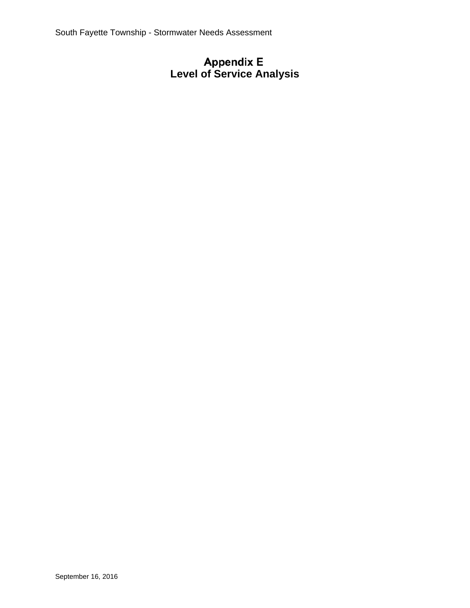# **Level of Service Analysis**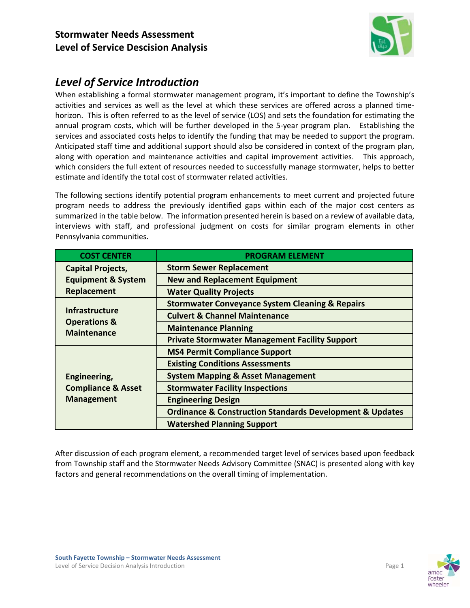

## *Level of Service Introduction*

When establishing a formal stormwater management program, it's important to define the Township's activities and services as well as the level at which these services are offered across a planned time‐ horizon. This is often referred to as the level of service (LOS) and sets the foundation for estimating the annual program costs, which will be further developed in the 5-year program plan. Establishing the services and associated costs helps to identify the funding that may be needed to support the program. Anticipated staff time and additional support should also be considered in context of the program plan, along with operation and maintenance activities and capital improvement activities. This approach, which considers the full extent of resources needed to successfully manage stormwater, helps to better estimate and identify the total cost of stormwater related activities.

The following sections identify potential program enhancements to meet current and projected future program needs to address the previously identified gaps within each of the major cost centers as summarized in the table below. The information presented herein is based on a review of available data, interviews with staff, and professional judgment on costs for similar program elements in other Pennsylvania communities.

| <b>COST CENTER</b>                                                     | <b>PROGRAM ELEMENT</b>                                                  |
|------------------------------------------------------------------------|-------------------------------------------------------------------------|
| <b>Capital Projects,</b>                                               | <b>Storm Sewer Replacement</b>                                          |
| <b>Equipment &amp; System</b>                                          | <b>New and Replacement Equipment</b>                                    |
| Replacement                                                            | <b>Water Quality Projects</b>                                           |
| <b>Infrastructure</b><br><b>Operations &amp;</b><br><b>Maintenance</b> | <b>Stormwater Conveyance System Cleaning &amp; Repairs</b>              |
|                                                                        | <b>Culvert &amp; Channel Maintenance</b>                                |
|                                                                        | <b>Maintenance Planning</b>                                             |
|                                                                        | <b>Private Stormwater Management Facility Support</b>                   |
|                                                                        | <b>MS4 Permit Compliance Support</b>                                    |
|                                                                        | <b>Existing Conditions Assessments</b>                                  |
| Engineering,                                                           | <b>System Mapping &amp; Asset Management</b>                            |
| <b>Compliance &amp; Asset</b>                                          | <b>Stormwater Facility Inspections</b>                                  |
| <b>Management</b>                                                      | <b>Engineering Design</b>                                               |
|                                                                        | <b>Ordinance &amp; Construction Standards Development &amp; Updates</b> |
|                                                                        | <b>Watershed Planning Support</b>                                       |

After discussion of each program element, a recommended target level of services based upon feedback from Township staff and the Stormwater Needs Advisory Committee (SNAC) is presented along with key factors and general recommendations on the overall timing of implementation.

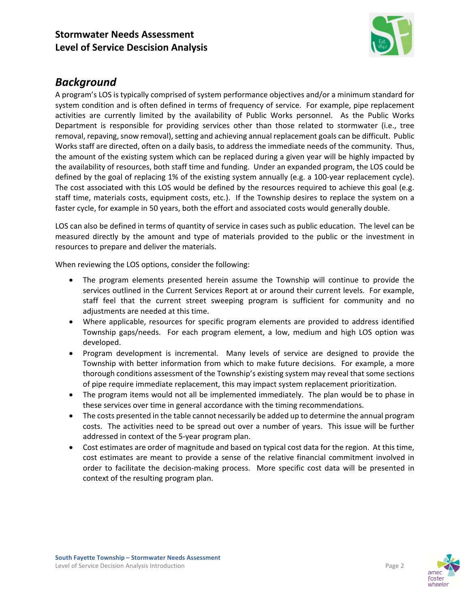

## *Background*

A program's LOS is typically comprised of system performance objectives and/or a minimum standard for system condition and is often defined in terms of frequency of service. For example, pipe replacement activities are currently limited by the availability of Public Works personnel. As the Public Works Department is responsible for providing services other than those related to stormwater (i.e., tree removal, repaving, snow removal), setting and achieving annual replacement goals can be difficult. Public Works staff are directed, often on a daily basis, to address the immediate needs of the community. Thus, the amount of the existing system which can be replaced during a given year will be highly impacted by the availability of resources, both staff time and funding. Under an expanded program, the LOS could be defined by the goal of replacing 1% of the existing system annually (e.g. a 100‐year replacement cycle). The cost associated with this LOS would be defined by the resources required to achieve this goal (e.g. staff time, materials costs, equipment costs, etc.). If the Township desires to replace the system on a faster cycle, for example in 50 years, both the effort and associated costs would generally double.

LOS can also be defined in terms of quantity of service in cases such as public education. The level can be measured directly by the amount and type of materials provided to the public or the investment in resources to prepare and deliver the materials.

When reviewing the LOS options, consider the following:

- The program elements presented herein assume the Township will continue to provide the services outlined in the Current Services Report at or around their current levels. For example, staff feel that the current street sweeping program is sufficient for community and no adjustments are needed at this time.
- Where applicable, resources for specific program elements are provided to address identified Township gaps/needs. For each program element, a low, medium and high LOS option was developed.
- Program development is incremental. Many levels of service are designed to provide the Township with better information from which to make future decisions. For example, a more thorough conditions assessment of the Township's existing system may reveal that some sections of pipe require immediate replacement, this may impact system replacement prioritization.
- The program items would not all be implemented immediately. The plan would be to phase in these services over time in general accordance with the timing recommendations.
- The costs presented in the table cannot necessarily be added up to determine the annual program costs. The activities need to be spread out over a number of years. This issue will be further addressed in context of the 5‐year program plan.
- Cost estimates are order of magnitude and based on typical cost data for the region. At this time, cost estimates are meant to provide a sense of the relative financial commitment involved in order to facilitate the decision‐making process. More specific cost data will be presented in context of the resulting program plan.

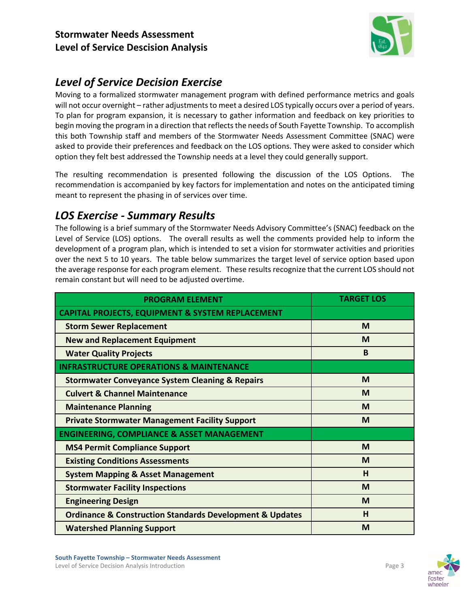

## *Level of Service Decision Exercise*

Moving to a formalized stormwater management program with defined performance metrics and goals will not occur overnight – rather adjustments to meet a desired LOS typically occurs over a period of years. To plan for program expansion, it is necessary to gather information and feedback on key priorities to begin moving the program in a direction that reflects the needs of South Fayette Township. To accomplish this both Township staff and members of the Stormwater Needs Assessment Committee (SNAC) were asked to provide their preferences and feedback on the LOS options. They were asked to consider which option they felt best addressed the Township needs at a level they could generally support.

The resulting recommendation is presented following the discussion of the LOS Options. The recommendation is accompanied by key factors for implementation and notes on the anticipated timing meant to represent the phasing in of services over time.

## *LOS Exercise ‐ Summary Results*

The following is a brief summary of the Stormwater Needs Advisory Committee's (SNAC) feedback on the Level of Service (LOS) options. The overall results as well the comments provided help to inform the development of a program plan, which is intended to set a vision for stormwater activities and priorities over the next 5 to 10 years. The table below summarizes the target level of service option based upon the average response for each program element. These results recognize that the current LOS should not remain constant but will need to be adjusted overtime.

| <b>PROGRAM ELEMENT</b>                                                  | <b>TARGET LOS</b> |
|-------------------------------------------------------------------------|-------------------|
| <b>CAPITAL PROJECTS, EQUIPMENT &amp; SYSTEM REPLACEMENT</b>             |                   |
| <b>Storm Sewer Replacement</b>                                          | M                 |
| <b>New and Replacement Equipment</b>                                    | M                 |
| <b>Water Quality Projects</b>                                           | <sub>B</sub>      |
| <b>INFRASTRUCTURE OPERATIONS &amp; MAINTENANCE</b>                      |                   |
| <b>Stormwater Conveyance System Cleaning &amp; Repairs</b>              | M                 |
| <b>Culvert &amp; Channel Maintenance</b>                                | M                 |
| <b>Maintenance Planning</b>                                             | M                 |
| <b>Private Stormwater Management Facility Support</b>                   | M                 |
| <b>ENGINEERING, COMPLIANCE &amp; ASSET MANAGEMENT</b>                   |                   |
| <b>MS4 Permit Compliance Support</b>                                    | M                 |
| <b>Existing Conditions Assessments</b>                                  | M                 |
| <b>System Mapping &amp; Asset Management</b>                            | н                 |
| <b>Stormwater Facility Inspections</b>                                  | M                 |
| <b>Engineering Design</b>                                               | M                 |
| <b>Ordinance &amp; Construction Standards Development &amp; Updates</b> | н                 |
| <b>Watershed Planning Support</b>                                       | M                 |



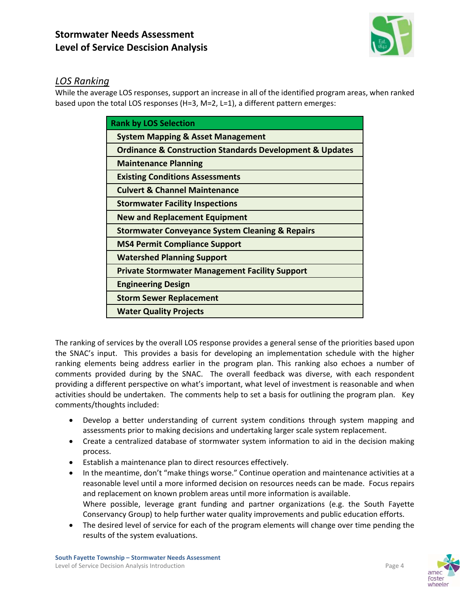

### *LOS Ranking*

While the average LOS responses, support an increase in all of the identified program areas, when ranked based upon the total LOS responses (H=3, M=2, L=1), a different pattern emerges:

| <b>Rank by LOS Selection</b>                                            |
|-------------------------------------------------------------------------|
| <b>System Mapping &amp; Asset Management</b>                            |
| <b>Ordinance &amp; Construction Standards Development &amp; Updates</b> |
| <b>Maintenance Planning</b>                                             |
| <b>Existing Conditions Assessments</b>                                  |
| <b>Culvert &amp; Channel Maintenance</b>                                |
| <b>Stormwater Facility Inspections</b>                                  |
| <b>New and Replacement Equipment</b>                                    |
| <b>Stormwater Conveyance System Cleaning &amp; Repairs</b>              |
| <b>MS4 Permit Compliance Support</b>                                    |
| <b>Watershed Planning Support</b>                                       |
| <b>Private Stormwater Management Facility Support</b>                   |
| <b>Engineering Design</b>                                               |
| <b>Storm Sewer Replacement</b>                                          |
| <b>Water Quality Projects</b>                                           |

The ranking of services by the overall LOS response provides a general sense of the priorities based upon the SNAC's input. This provides a basis for developing an implementation schedule with the higher ranking elements being address earlier in the program plan. This ranking also echoes a number of comments provided during by the SNAC. The overall feedback was diverse, with each respondent providing a different perspective on what's important, what level of investment is reasonable and when activities should be undertaken. The comments help to set a basis for outlining the program plan. Key comments/thoughts included:

- Develop a better understanding of current system conditions through system mapping and assessments prior to making decisions and undertaking larger scale system replacement.
- Create a centralized database of stormwater system information to aid in the decision making process.
- Establish a maintenance plan to direct resources effectively.
- In the meantime, don't "make things worse." Continue operation and maintenance activities at a reasonable level until a more informed decision on resources needs can be made. Focus repairs and replacement on known problem areas until more information is available. Where possible, leverage grant funding and partner organizations (e.g. the South Fayette Conservancy Group) to help further water quality improvements and public education efforts.
- The desired level of service for each of the program elements will change over time pending the results of the system evaluations.



wheele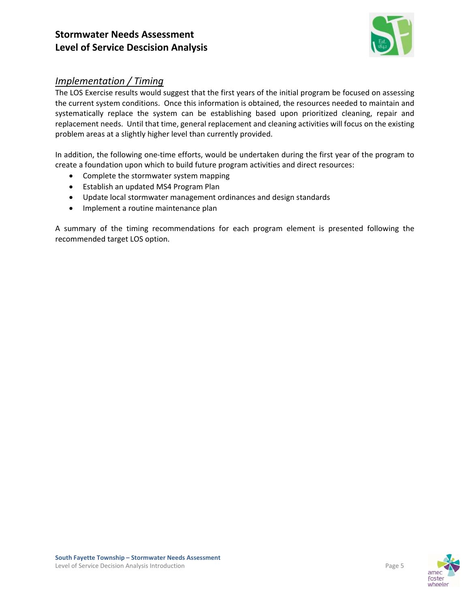

### *Implementation / Timing*

The LOS Exercise results would suggest that the first years of the initial program be focused on assessing the current system conditions. Once this information is obtained, the resources needed to maintain and systematically replace the system can be establishing based upon prioritized cleaning, repair and replacement needs. Until that time, general replacement and cleaning activities will focus on the existing problem areas at a slightly higher level than currently provided.

In addition, the following one-time efforts, would be undertaken during the first year of the program to create a foundation upon which to build future program activities and direct resources:

- Complete the stormwater system mapping
- Establish an updated MS4 Program Plan
- Update local stormwater management ordinances and design standards
- Implement a routine maintenance plan

A summary of the timing recommendations for each program element is presented following the recommended target LOS option.

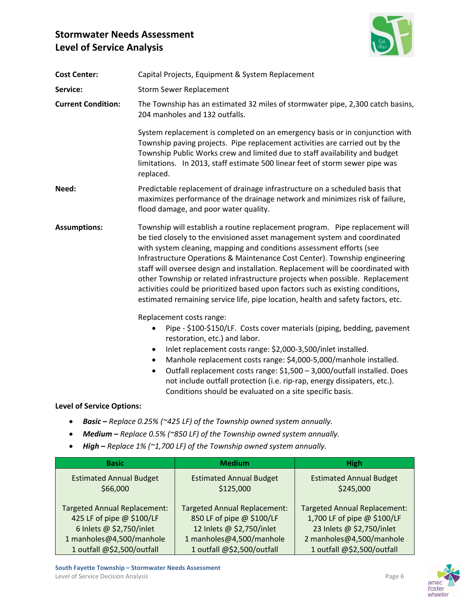

| <b>Cost Center:</b>              | Capital Projects, Equipment & System Replacement                                                                                                                                                                                                                                                                                                                                                                                                                                                                                                                                                                                                           |  |  |
|----------------------------------|------------------------------------------------------------------------------------------------------------------------------------------------------------------------------------------------------------------------------------------------------------------------------------------------------------------------------------------------------------------------------------------------------------------------------------------------------------------------------------------------------------------------------------------------------------------------------------------------------------------------------------------------------------|--|--|
| Service:                         | <b>Storm Sewer Replacement</b>                                                                                                                                                                                                                                                                                                                                                                                                                                                                                                                                                                                                                             |  |  |
| <b>Current Condition:</b>        | The Township has an estimated 32 miles of stormwater pipe, 2,300 catch basins,<br>204 manholes and 132 outfalls.                                                                                                                                                                                                                                                                                                                                                                                                                                                                                                                                           |  |  |
|                                  | System replacement is completed on an emergency basis or in conjunction with<br>Township paving projects. Pipe replacement activities are carried out by the<br>Township Public Works crew and limited due to staff availability and budget<br>limitations. In 2013, staff estimate 500 linear feet of storm sewer pipe was<br>replaced.                                                                                                                                                                                                                                                                                                                   |  |  |
| Need:                            | Predictable replacement of drainage infrastructure on a scheduled basis that<br>maximizes performance of the drainage network and minimizes risk of failure,<br>flood damage, and poor water quality.                                                                                                                                                                                                                                                                                                                                                                                                                                                      |  |  |
| <b>Assumptions:</b>              | Township will establish a routine replacement program. Pipe replacement will<br>be tied closely to the envisioned asset management system and coordinated<br>with system cleaning, mapping and conditions assessment efforts (see<br>Infrastructure Operations & Maintenance Cost Center). Township engineering<br>staff will oversee design and installation. Replacement will be coordinated with<br>other Township or related infrastructure projects when possible. Replacement<br>activities could be prioritized based upon factors such as existing conditions,<br>estimated remaining service life, pipe location, health and safety factors, etc. |  |  |
|                                  | Replacement costs range:<br>Pipe - \$100-\$150/LF. Costs cover materials (piping, bedding, pavement<br>$\bullet$<br>restoration, etc.) and labor.<br>Inlet replacement costs range: \$2,000-3,500/inlet installed.<br>$\bullet$<br>Manhole replacement costs range: \$4,000-5,000/manhole installed.<br>$\bullet$<br>Outfall replacement costs range: \$1,500 - 3,000/outfall installed. Does<br>$\bullet$<br>not include outfall protection (i.e. rip-rap, energy dissipaters, etc.).<br>Conditions should be evaluated on a site specific basis.                                                                                                         |  |  |
| <b>Level of Service Options:</b> |                                                                                                                                                                                                                                                                                                                                                                                                                                                                                                                                                                                                                                                            |  |  |
|                                  |                                                                                                                                                                                                                                                                                                                                                                                                                                                                                                                                                                                                                                                            |  |  |

- *Basic – Replace 0.25% (~425 LF) of the Township owned system annually.*
- *Medium – Replace 0.5% (~850 LF) of the Township owned system annually.*
- *High* **–** *Replace 1% (~1,700 LF) of the Township owned system annually.*

| <b>Basic</b>                        | <b>Medium</b>                       | <b>High</b>                         |
|-------------------------------------|-------------------------------------|-------------------------------------|
| <b>Estimated Annual Budget</b>      | <b>Estimated Annual Budget</b>      | <b>Estimated Annual Budget</b>      |
| \$66,000                            | \$125,000                           | \$245,000                           |
| <b>Targeted Annual Replacement:</b> | <b>Targeted Annual Replacement:</b> | <b>Targeted Annual Replacement:</b> |
| 425 LF of pipe @ \$100/LF           | 850 LF of pipe @ \$100/LF           | 1,700 LF of pipe @ \$100/LF         |
| 6 Inlets @ \$2,750/inlet            | 12 Inlets @ \$2,750/inlet           | 23 Inlets @ \$2,750/inlet           |
| 1 manholes@4,500/manhole            | 1 manholes@4,500/manhole            | 2 manholes@4,500/manhole            |
| 1 outfall @\$2,500/outfall          | 1 outfall @\$2,500/outfall          | 1 outfall @\$2,500/outfall          |



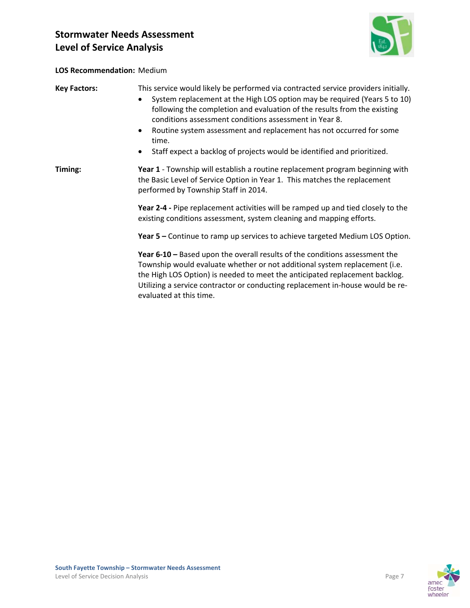

#### **LOS Recommendation:** Medium

| <b>Key Factors:</b> | This service would likely be performed via contracted service providers initially.<br>System replacement at the High LOS option may be required (Years 5 to 10)<br>following the completion and evaluation of the results from the existing<br>conditions assessment conditions assessment in Year 8.<br>Routine system assessment and replacement has not occurred for some<br>time.<br>Staff expect a backlog of projects would be identified and prioritized. |  |
|---------------------|------------------------------------------------------------------------------------------------------------------------------------------------------------------------------------------------------------------------------------------------------------------------------------------------------------------------------------------------------------------------------------------------------------------------------------------------------------------|--|
| Timing:             | Year 1 - Township will establish a routine replacement program beginning with<br>the Basic Level of Service Option in Year 1. This matches the replacement<br>performed by Township Staff in 2014.                                                                                                                                                                                                                                                               |  |
|                     | Year 2-4 - Pipe replacement activities will be ramped up and tied closely to the<br>existing conditions assessment, system cleaning and mapping efforts.                                                                                                                                                                                                                                                                                                         |  |
|                     | Year 5 – Continue to ramp up services to achieve targeted Medium LOS Option.                                                                                                                                                                                                                                                                                                                                                                                     |  |
|                     | Year 6-10 – Based upon the overall results of the conditions assessment the<br>Township would evaluate whether or not additional system replacement (i.e.<br>the High LOS Option) is needed to meet the anticipated replacement backlog.<br>Utilizing a service contractor or conducting replacement in-house would be re-<br>evaluated at this time.                                                                                                            |  |

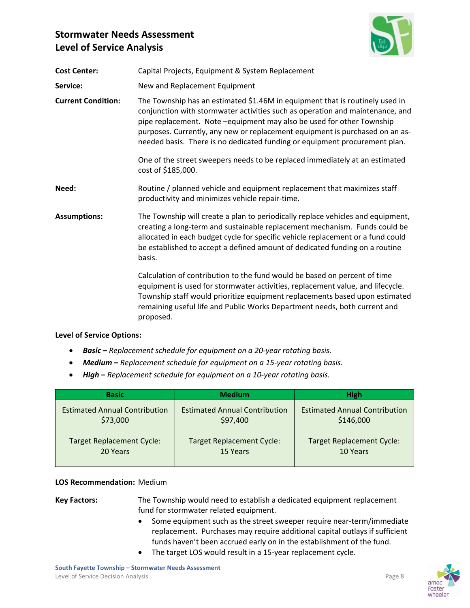

| <b>Cost Center:</b>       | Capital Projects, Equipment & System Replacement                                                                                                                                                                                                                                                                                                                                                     |
|---------------------------|------------------------------------------------------------------------------------------------------------------------------------------------------------------------------------------------------------------------------------------------------------------------------------------------------------------------------------------------------------------------------------------------------|
| Service:                  | New and Replacement Equipment                                                                                                                                                                                                                                                                                                                                                                        |
| <b>Current Condition:</b> | The Township has an estimated \$1.46M in equipment that is routinely used in<br>conjunction with stormwater activities such as operation and maintenance, and<br>pipe replacement. Note -equipment may also be used for other Township<br>purposes. Currently, any new or replacement equipment is purchased on an as-<br>needed basis. There is no dedicated funding or equipment procurement plan. |
|                           | One of the street sweepers needs to be replaced immediately at an estimated<br>cost of \$185,000.                                                                                                                                                                                                                                                                                                    |
| Need:                     | Routine / planned vehicle and equipment replacement that maximizes staff<br>productivity and minimizes vehicle repair-time.                                                                                                                                                                                                                                                                          |
| <b>Assumptions:</b>       | The Township will create a plan to periodically replace vehicles and equipment,<br>creating a long-term and sustainable replacement mechanism. Funds could be<br>allocated in each budget cycle for specific vehicle replacement or a fund could<br>be established to accept a defined amount of dedicated funding on a routine<br>basis.                                                            |
|                           | Calculation of contribution to the fund would be based on percent of time<br>equipment is used for stormwater activities, replacement value, and lifecycle.<br>Township staff would prioritize equipment replacements based upon estimated<br>remaining useful life and Public Works Department needs, both current and<br>proposed.                                                                 |

#### **Level of Service Options:**

- *Basic – Replacement schedule for equipment on a 20‐year rotating basis.*
- *Medium – Replacement schedule for equipment on a 15‐year rotating basis.*
- *High* **–** *Replacement schedule for equipment on a 10‐year rotating basis.*

| <b>Basic</b>                         | <b>Medium</b>                        | <b>High</b>                          |
|--------------------------------------|--------------------------------------|--------------------------------------|
| <b>Estimated Annual Contribution</b> | <b>Estimated Annual Contribution</b> | <b>Estimated Annual Contribution</b> |
| \$73,000                             | \$97,400                             | \$146,000                            |
| <b>Target Replacement Cycle:</b>     | <b>Target Replacement Cycle:</b>     | <b>Target Replacement Cycle:</b>     |
| 20 Years                             | 15 Years                             | 10 Years                             |

#### **LOS Recommendation:** Medium

**Key Factors:** The Township would need to establish a dedicated equipment replacement fund for stormwater related equipment.

- Some equipment such as the street sweeper require near-term/immediate replacement. Purchases may require additional capital outlays if sufficient funds haven't been accrued early on in the establishment of the fund.
- The target LOS would result in a 15‐year replacement cycle.

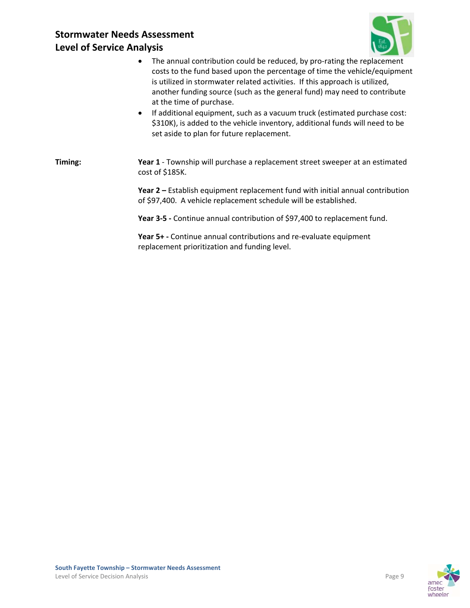

- The annual contribution could be reduced, by pro-rating the replacement costs to the fund based upon the percentage of time the vehicle/equipment is utilized in stormwater related activities. If this approach is utilized, another funding source (such as the general fund) may need to contribute at the time of purchase.
- If additional equipment, such as a vacuum truck (estimated purchase cost: \$310K), is added to the vehicle inventory, additional funds will need to be set aside to plan for future replacement.

**Timing: Year 1** - Township will purchase a replacement street sweeper at an estimated cost of \$185K.

> **Year 2 –** Establish equipment replacement fund with initial annual contribution of \$97,400. A vehicle replacement schedule will be established.

**Year 3‐5 ‐** Continue annual contribution of \$97,400 to replacement fund.

**Year 5+ ‐** Continue annual contributions and re‐evaluate equipment replacement prioritization and funding level.

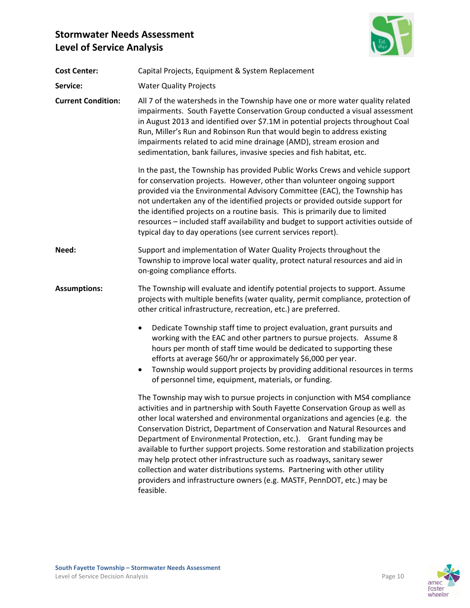

| <b>Cost Center:</b>       | Capital Projects, Equipment & System Replacement                                                                                                                                                                                                                                                                                                                                                                                                                                                                                                                                                                                                                                                                                        |  |
|---------------------------|-----------------------------------------------------------------------------------------------------------------------------------------------------------------------------------------------------------------------------------------------------------------------------------------------------------------------------------------------------------------------------------------------------------------------------------------------------------------------------------------------------------------------------------------------------------------------------------------------------------------------------------------------------------------------------------------------------------------------------------------|--|
| Service:                  | <b>Water Quality Projects</b>                                                                                                                                                                                                                                                                                                                                                                                                                                                                                                                                                                                                                                                                                                           |  |
| <b>Current Condition:</b> | All 7 of the watersheds in the Township have one or more water quality related<br>impairments. South Fayette Conservation Group conducted a visual assessment<br>in August 2013 and identified over \$7.1M in potential projects throughout Coal<br>Run, Miller's Run and Robinson Run that would begin to address existing<br>impairments related to acid mine drainage (AMD), stream erosion and<br>sedimentation, bank failures, invasive species and fish habitat, etc.                                                                                                                                                                                                                                                             |  |
|                           | In the past, the Township has provided Public Works Crews and vehicle support<br>for conservation projects. However, other than volunteer ongoing support<br>provided via the Environmental Advisory Committee (EAC), the Township has<br>not undertaken any of the identified projects or provided outside support for<br>the identified projects on a routine basis. This is primarily due to limited<br>resources - included staff availability and budget to support activities outside of<br>typical day to day operations (see current services report).                                                                                                                                                                          |  |
| Need:                     | Support and implementation of Water Quality Projects throughout the<br>Township to improve local water quality, protect natural resources and aid in<br>on-going compliance efforts.                                                                                                                                                                                                                                                                                                                                                                                                                                                                                                                                                    |  |
| <b>Assumptions:</b>       | The Township will evaluate and identify potential projects to support. Assume<br>projects with multiple benefits (water quality, permit compliance, protection of<br>other critical infrastructure, recreation, etc.) are preferred.                                                                                                                                                                                                                                                                                                                                                                                                                                                                                                    |  |
|                           | Dedicate Township staff time to project evaluation, grant pursuits and<br>$\bullet$<br>working with the EAC and other partners to pursue projects. Assume 8<br>hours per month of staff time would be dedicated to supporting these<br>efforts at average \$60/hr or approximately \$6,000 per year.<br>Township would support projects by providing additional resources in terms<br>$\bullet$<br>of personnel time, equipment, materials, or funding.                                                                                                                                                                                                                                                                                 |  |
|                           | The Township may wish to pursue projects in conjunction with MS4 compliance<br>activities and in partnership with South Fayette Conservation Group as well as<br>other local watershed and environmental organizations and agencies (e.g. the<br>Conservation District, Department of Conservation and Natural Resources and<br>Department of Environmental Protection, etc.). Grant funding may be<br>available to further support projects. Some restoration and stabilization projects<br>may help protect other infrastructure such as roadways, sanitary sewer<br>collection and water distributions systems. Partnering with other utility<br>providers and infrastructure owners (e.g. MASTF, PennDOT, etc.) may be<br>feasible. |  |

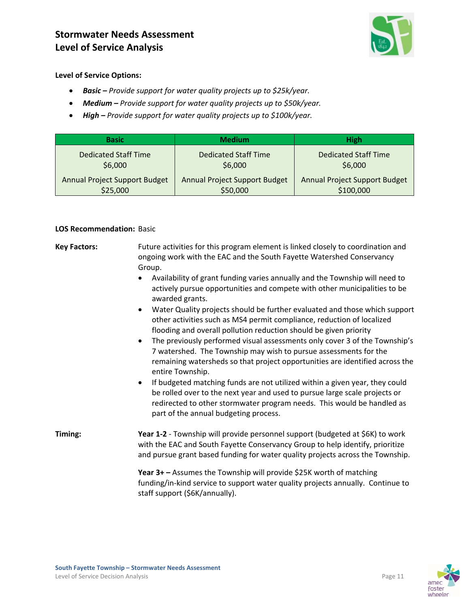

**Level of Service Options:** 

- *Basic – Provide support for water quality projects up to \$25k/year.*
- *Medium – Provide support for water quality projects up to \$50k/year.*
- *High – Provide support for water quality projects up to \$100k/year.*

| <b>Basic</b>                         | <b>Medium</b>                        | <b>High</b>                          |
|--------------------------------------|--------------------------------------|--------------------------------------|
| <b>Dedicated Staff Time</b>          | <b>Dedicated Staff Time</b>          | <b>Dedicated Staff Time</b>          |
| \$6,000                              | \$6,000                              | \$6,000                              |
| <b>Annual Project Support Budget</b> | <b>Annual Project Support Budget</b> | <b>Annual Project Support Budget</b> |
| \$25,000                             | \$50,000                             | \$100,000                            |

#### **LOS Recommendation:** Basic

**Key Factors:** Future activities for this program element is linked closely to coordination and ongoing work with the EAC and the South Fayette Watershed Conservancy Group.

- Availability of grant funding varies annually and the Township will need to actively pursue opportunities and compete with other municipalities to be awarded grants.
- Water Quality projects should be further evaluated and those which support other activities such as MS4 permit compliance, reduction of localized flooding and overall pollution reduction should be given priority
- The previously performed visual assessments only cover 3 of the Township's 7 watershed. The Township may wish to pursue assessments for the remaining watersheds so that project opportunities are identified across the entire Township.
- If budgeted matching funds are not utilized within a given year, they could be rolled over to the next year and used to pursue large scale projects or redirected to other stormwater program needs. This would be handled as part of the annual budgeting process.

**Timing: Year 1‐2** ‐ Township will provide personnel support (budgeted at \$6K) to work with the EAC and South Fayette Conservancy Group to help identify, prioritize and pursue grant based funding for water quality projects across the Township.

> **Year 3+ –** Assumes the Township will provide \$25K worth of matching funding/in‐kind service to support water quality projects annually. Continue to staff support (\$6K/annually).

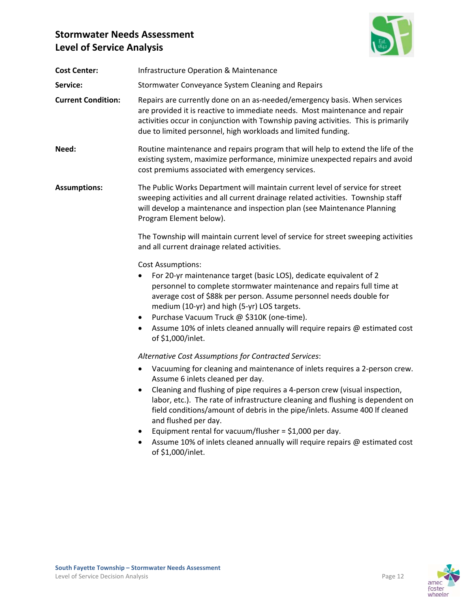

| <b>Infrastructure Operation &amp; Maintenance</b>                                                                                                                                                                                                                                                                                                                                                                                                                                                                                                                                                                  |
|--------------------------------------------------------------------------------------------------------------------------------------------------------------------------------------------------------------------------------------------------------------------------------------------------------------------------------------------------------------------------------------------------------------------------------------------------------------------------------------------------------------------------------------------------------------------------------------------------------------------|
| Stormwater Conveyance System Cleaning and Repairs                                                                                                                                                                                                                                                                                                                                                                                                                                                                                                                                                                  |
| Repairs are currently done on an as-needed/emergency basis. When services<br>are provided it is reactive to immediate needs. Most maintenance and repair<br>activities occur in conjunction with Township paving activities. This is primarily<br>due to limited personnel, high workloads and limited funding.                                                                                                                                                                                                                                                                                                    |
| Routine maintenance and repairs program that will help to extend the life of the<br>existing system, maximize performance, minimize unexpected repairs and avoid<br>cost premiums associated with emergency services.                                                                                                                                                                                                                                                                                                                                                                                              |
| The Public Works Department will maintain current level of service for street<br>sweeping activities and all current drainage related activities. Township staff<br>will develop a maintenance and inspection plan (see Maintenance Planning<br>Program Element below).                                                                                                                                                                                                                                                                                                                                            |
| The Township will maintain current level of service for street sweeping activities<br>and all current drainage related activities.                                                                                                                                                                                                                                                                                                                                                                                                                                                                                 |
| <b>Cost Assumptions:</b><br>For 20-yr maintenance target (basic LOS), dedicate equivalent of 2<br>personnel to complete stormwater maintenance and repairs full time at<br>average cost of \$88k per person. Assume personnel needs double for<br>medium (10-yr) and high (5-yr) LOS targets.<br>Purchase Vacuum Truck @ \$310K (one-time).<br>٠<br>Assume 10% of inlets cleaned annually will require repairs @ estimated cost<br>٠<br>of \$1,000/inlet.                                                                                                                                                          |
| Alternative Cost Assumptions for Contracted Services:<br>Vacuuming for cleaning and maintenance of inlets requires a 2-person crew.<br>٠<br>Assume 6 inlets cleaned per day.<br>Cleaning and flushing of pipe requires a 4-person crew (visual inspection,<br>labor, etc.). The rate of infrastructure cleaning and flushing is dependent on<br>field conditions/amount of debris in the pipe/inlets. Assume 400 If cleaned<br>and flushed per day.<br>Equipment rental for vacuum/flusher = $$1,000$ per day.<br>Assume 10% of inlets cleaned annually will require repairs @ estimated cost<br>of \$1,000/inlet. |
|                                                                                                                                                                                                                                                                                                                                                                                                                                                                                                                                                                                                                    |



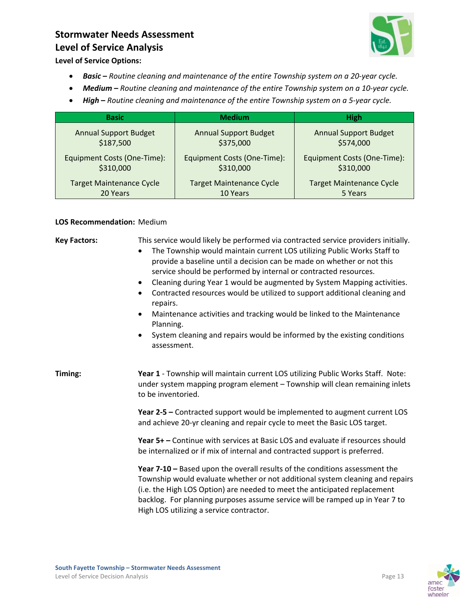

**Level of Service Options:** 

- *Basic – Routine cleaning and maintenance of the entire Township system on a 20‐year cycle.*
- *Medium – Routine cleaning and maintenance of the entire Township system on a 10‐year cycle.*
- *High* **–** *Routine cleaning and maintenance of the entire Township system on a 5‐year cycle.*

| <b>Basic</b>                    | <b>Medium</b>                   | <b>High</b>                     |
|---------------------------------|---------------------------------|---------------------------------|
| <b>Annual Support Budget</b>    | <b>Annual Support Budget</b>    | <b>Annual Support Budget</b>    |
| \$187,500                       | \$375,000                       | \$574,000                       |
| Equipment Costs (One-Time):     | Equipment Costs (One-Time):     | Equipment Costs (One-Time):     |
| \$310,000                       | \$310,000                       | \$310,000                       |
| <b>Target Maintenance Cycle</b> | <b>Target Maintenance Cycle</b> | <b>Target Maintenance Cycle</b> |
| 20 Years                        | 10 Years                        | 5 Years                         |

#### **LOS Recommendation:** Medium

| <b>Key Factors:</b> | This service would likely be performed via contracted service providers initially.<br>The Township would maintain current LOS utilizing Public Works Staff to<br>provide a baseline until a decision can be made on whether or not this<br>service should be performed by internal or contracted resources.<br>Cleaning during Year 1 would be augmented by System Mapping activities.<br>٠<br>Contracted resources would be utilized to support additional cleaning and<br>repairs.<br>Maintenance activities and tracking would be linked to the Maintenance<br>$\bullet$<br>Planning.<br>System cleaning and repairs would be informed by the existing conditions<br>assessment. |
|---------------------|-------------------------------------------------------------------------------------------------------------------------------------------------------------------------------------------------------------------------------------------------------------------------------------------------------------------------------------------------------------------------------------------------------------------------------------------------------------------------------------------------------------------------------------------------------------------------------------------------------------------------------------------------------------------------------------|
| Timing:             | Year 1 - Township will maintain current LOS utilizing Public Works Staff. Note:<br>under system mapping program element - Township will clean remaining inlets<br>to be inventoried.                                                                                                                                                                                                                                                                                                                                                                                                                                                                                                |
|                     | Year 2-5 - Contracted support would be implemented to augment current LOS<br>and achieve 20-yr cleaning and repair cycle to meet the Basic LOS target.                                                                                                                                                                                                                                                                                                                                                                                                                                                                                                                              |
|                     | Year 5+ – Continue with services at Basic LOS and evaluate if resources should<br>be internalized or if mix of internal and contracted support is preferred.                                                                                                                                                                                                                                                                                                                                                                                                                                                                                                                        |
|                     | Year 7-10 - Based upon the overall results of the conditions assessment the<br>Township would evaluate whether or not additional system cleaning and repairs<br>(i.e. the High LOS Option) are needed to meet the anticipated replacement<br>backlog. For planning purposes assume service will be ramped up in Year 7 to<br>High LOS utilizing a service contractor.                                                                                                                                                                                                                                                                                                               |

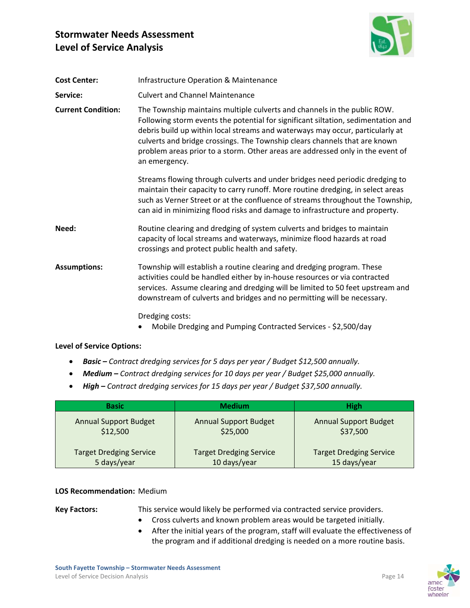

| <b>Cost Center:</b>       | <b>Infrastructure Operation &amp; Maintenance</b>                                                                                                                                                                                                                                                                                                                                                                               |
|---------------------------|---------------------------------------------------------------------------------------------------------------------------------------------------------------------------------------------------------------------------------------------------------------------------------------------------------------------------------------------------------------------------------------------------------------------------------|
| Service:                  | <b>Culvert and Channel Maintenance</b>                                                                                                                                                                                                                                                                                                                                                                                          |
| <b>Current Condition:</b> | The Township maintains multiple culverts and channels in the public ROW.<br>Following storm events the potential for significant siltation, sedimentation and<br>debris build up within local streams and waterways may occur, particularly at<br>culverts and bridge crossings. The Township clears channels that are known<br>problem areas prior to a storm. Other areas are addressed only in the event of<br>an emergency. |
|                           | Streams flowing through culverts and under bridges need periodic dredging to<br>maintain their capacity to carry runoff. More routine dredging, in select areas<br>such as Verner Street or at the confluence of streams throughout the Township,<br>can aid in minimizing flood risks and damage to infrastructure and property.                                                                                               |
| Need:                     | Routine clearing and dredging of system culverts and bridges to maintain<br>capacity of local streams and waterways, minimize flood hazards at road<br>crossings and protect public health and safety.                                                                                                                                                                                                                          |
| <b>Assumptions:</b>       | Township will establish a routine clearing and dredging program. These<br>activities could be handled either by in-house resources or via contracted<br>services. Assume clearing and dredging will be limited to 50 feet upstream and<br>downstream of culverts and bridges and no permitting will be necessary.                                                                                                               |
|                           | Dredging costs:<br>Mobile Dredging and Pumping Contracted Services - \$2,500/day                                                                                                                                                                                                                                                                                                                                                |

#### **Level of Service Options:**

- *Basic – Contract dredging services for 5 days per year / Budget \$12,500 annually.*
- *Medium – Contract dredging services for 10 days per year / Budget \$25,000 annually.*
- *High – Contract dredging services for 15 days per year / Budget \$37,500 annually.*

| <b>Basic</b>                   | <b>Medium</b>                  | <b>High</b>                    |
|--------------------------------|--------------------------------|--------------------------------|
| <b>Annual Support Budget</b>   | <b>Annual Support Budget</b>   | <b>Annual Support Budget</b>   |
| \$12,500                       | \$25,000                       | \$37,500                       |
| <b>Target Dredging Service</b> | <b>Target Dredging Service</b> | <b>Target Dredging Service</b> |
| 5 days/year                    | 10 days/year                   | 15 days/year                   |

#### **LOS Recommendation:** Medium

**Key Factors:** This service would likely be performed via contracted service providers.

- Cross culverts and known problem areas would be targeted initially.
- After the initial years of the program, staff will evaluate the effectiveness of the program and if additional dredging is needed on a more routine basis.

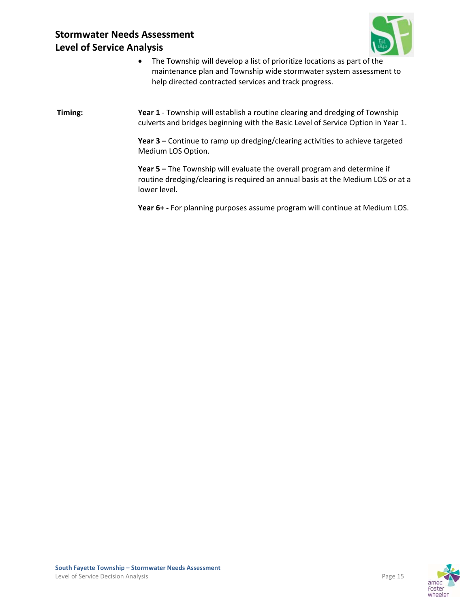

 The Township will develop a list of prioritize locations as part of the maintenance plan and Township wide stormwater system assessment to help directed contracted services and track progress.

**Timing: Year 1** - Township will establish a routine clearing and dredging of Township culverts and bridges beginning with the Basic Level of Service Option in Year 1.

> **Year 3 –** Continue to ramp up dredging/clearing activities to achieve targeted Medium LOS Option.

**Year 5 –** The Township will evaluate the overall program and determine if routine dredging/clearing is required an annual basis at the Medium LOS or at a lower level.

**Year 6+ ‐** For planning purposes assume program will continue at Medium LOS.

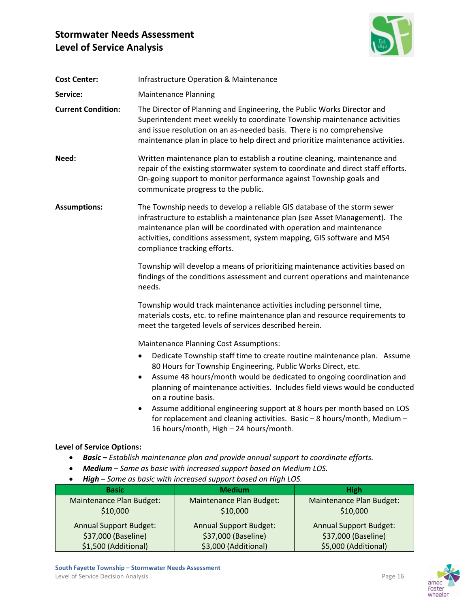

| <b>Cost Center:</b>              | <b>Infrastructure Operation &amp; Maintenance</b>                                                                                                                                                                                                                                                                                                                                                                                                                                                                                      |
|----------------------------------|----------------------------------------------------------------------------------------------------------------------------------------------------------------------------------------------------------------------------------------------------------------------------------------------------------------------------------------------------------------------------------------------------------------------------------------------------------------------------------------------------------------------------------------|
| Service:                         | <b>Maintenance Planning</b>                                                                                                                                                                                                                                                                                                                                                                                                                                                                                                            |
| <b>Current Condition:</b>        | The Director of Planning and Engineering, the Public Works Director and<br>Superintendent meet weekly to coordinate Township maintenance activities<br>and issue resolution on an as-needed basis. There is no comprehensive<br>maintenance plan in place to help direct and prioritize maintenance activities.                                                                                                                                                                                                                        |
| Need:                            | Written maintenance plan to establish a routine cleaning, maintenance and<br>repair of the existing stormwater system to coordinate and direct staff efforts.<br>On-going support to monitor performance against Township goals and<br>communicate progress to the public.                                                                                                                                                                                                                                                             |
| <b>Assumptions:</b>              | The Township needs to develop a reliable GIS database of the storm sewer<br>infrastructure to establish a maintenance plan (see Asset Management). The<br>maintenance plan will be coordinated with operation and maintenance<br>activities, conditions assessment, system mapping, GIS software and MS4<br>compliance tracking efforts.                                                                                                                                                                                               |
|                                  | Township will develop a means of prioritizing maintenance activities based on<br>findings of the conditions assessment and current operations and maintenance<br>needs.                                                                                                                                                                                                                                                                                                                                                                |
|                                  | Township would track maintenance activities including personnel time,<br>materials costs, etc. to refine maintenance plan and resource requirements to<br>meet the targeted levels of services described herein.                                                                                                                                                                                                                                                                                                                       |
|                                  | <b>Maintenance Planning Cost Assumptions:</b>                                                                                                                                                                                                                                                                                                                                                                                                                                                                                          |
|                                  | Dedicate Township staff time to create routine maintenance plan. Assume<br>$\bullet$<br>80 Hours for Township Engineering, Public Works Direct, etc.<br>Assume 48 hours/month would be dedicated to ongoing coordination and<br>planning of maintenance activities. Includes field views would be conducted<br>on a routine basis.<br>Assume additional engineering support at 8 hours per month based on LOS<br>for replacement and cleaning activities. Basic $-8$ hours/month, Medium $-$<br>16 hours/month, High - 24 hours/month. |
| <b>Level of Service Options:</b> |                                                                                                                                                                                                                                                                                                                                                                                                                                                                                                                                        |
|                                  | <b>Basic</b> – Establish maintenance plan and provide annual support to coordinate efforts.<br>Medium - Same as basic with increased support based on Medium LOS.<br>High - Same as basic with increased support based on High LOS.                                                                                                                                                                                                                                                                                                    |

| <b>Basic</b>                  | <b>Medium</b>                 | <b>High</b>                   |
|-------------------------------|-------------------------------|-------------------------------|
| Maintenance Plan Budget:      | Maintenance Plan Budget:      | Maintenance Plan Budget:      |
| \$10,000                      | \$10,000                      | \$10,000                      |
| <b>Annual Support Budget:</b> | <b>Annual Support Budget:</b> | <b>Annual Support Budget:</b> |
| \$37,000 (Baseline)           | \$37,000 (Baseline)           | \$37,000 (Baseline)           |
| \$1,500 (Additional)          | \$3,000 (Additional)          | \$5,000 (Additional)          |



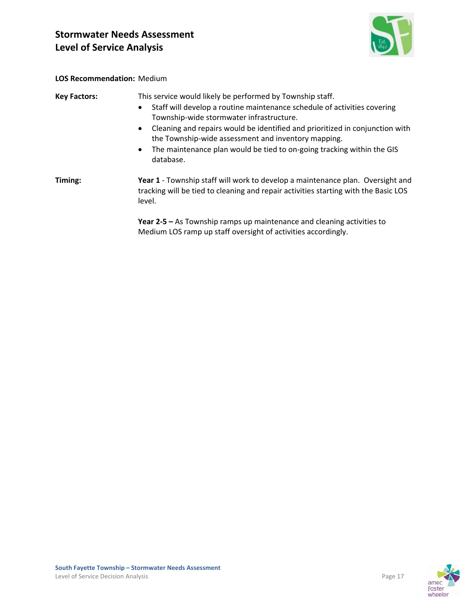

#### **LOS Recommendation:** Medium

| <b>Key Factors:</b> | This service would likely be performed by Township staff.<br>Staff will develop a routine maintenance schedule of activities covering<br>$\bullet$<br>Township-wide stormwater infrastructure.<br>Cleaning and repairs would be identified and prioritized in conjunction with<br>$\bullet$<br>the Township-wide assessment and inventory mapping.<br>The maintenance plan would be tied to on-going tracking within the GIS<br>$\bullet$<br>database. |
|---------------------|--------------------------------------------------------------------------------------------------------------------------------------------------------------------------------------------------------------------------------------------------------------------------------------------------------------------------------------------------------------------------------------------------------------------------------------------------------|
| Timing:             | Year 1 - Township staff will work to develop a maintenance plan. Oversight and<br>tracking will be tied to cleaning and repair activities starting with the Basic LOS<br>level.                                                                                                                                                                                                                                                                        |
|                     | Year $2-5$ – As Township ramps up maintenance and cleaning activities to<br>Medium LOS ramp up staff oversight of activities accordingly.                                                                                                                                                                                                                                                                                                              |

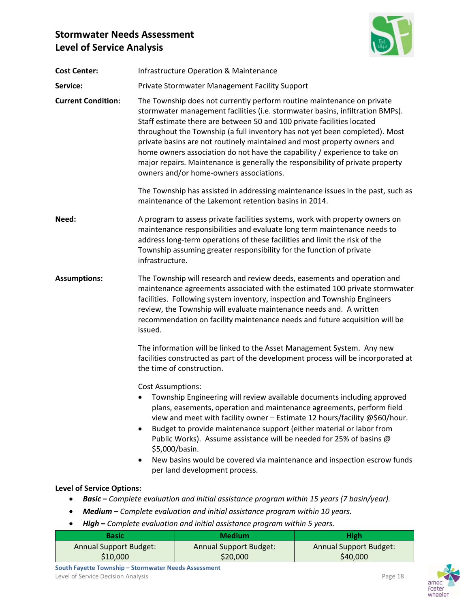

| <b>Cost Center:</b>              | <b>Infrastructure Operation &amp; Maintenance</b>                                                                                                                                                                                                                                                                                                                                                                                                                                                                                                                                                       |  |
|----------------------------------|---------------------------------------------------------------------------------------------------------------------------------------------------------------------------------------------------------------------------------------------------------------------------------------------------------------------------------------------------------------------------------------------------------------------------------------------------------------------------------------------------------------------------------------------------------------------------------------------------------|--|
| Service:                         | Private Stormwater Management Facility Support                                                                                                                                                                                                                                                                                                                                                                                                                                                                                                                                                          |  |
| <b>Current Condition:</b>        | The Township does not currently perform routine maintenance on private<br>stormwater management facilities (i.e. stormwater basins, infiltration BMPs).<br>Staff estimate there are between 50 and 100 private facilities located<br>throughout the Township (a full inventory has not yet been completed). Most<br>private basins are not routinely maintained and most property owners and<br>home owners association do not have the capability / experience to take on<br>major repairs. Maintenance is generally the responsibility of private property<br>owners and/or home-owners associations. |  |
|                                  | The Township has assisted in addressing maintenance issues in the past, such as<br>maintenance of the Lakemont retention basins in 2014.                                                                                                                                                                                                                                                                                                                                                                                                                                                                |  |
| Need:                            | A program to assess private facilities systems, work with property owners on<br>maintenance responsibilities and evaluate long term maintenance needs to<br>address long-term operations of these facilities and limit the risk of the<br>Township assuming greater responsibility for the function of private<br>infrastructure.                                                                                                                                                                                                                                                                       |  |
| <b>Assumptions:</b>              | The Township will research and review deeds, easements and operation and<br>maintenance agreements associated with the estimated 100 private stormwater<br>facilities. Following system inventory, inspection and Township Engineers<br>review, the Township will evaluate maintenance needs and. A written<br>recommendation on facility maintenance needs and future acquisition will be<br>issued.                                                                                                                                                                                                   |  |
|                                  | The information will be linked to the Asset Management System. Any new<br>facilities constructed as part of the development process will be incorporated at<br>the time of construction.                                                                                                                                                                                                                                                                                                                                                                                                                |  |
|                                  | <b>Cost Assumptions:</b><br>Township Engineering will review available documents including approved<br>plans, easements, operation and maintenance agreements, perform field<br>view and meet with facility owner - Estimate 12 hours/facility @\$60/hour.<br>Budget to provide maintenance support (either material or labor from<br>$\bullet$<br>Public Works). Assume assistance will be needed for 25% of basins @<br>\$5,000/basin.<br>New basins would be covered via maintenance and inspection escrow funds<br>٠<br>per land development process.                                               |  |
| <b>Level of Service Options:</b> |                                                                                                                                                                                                                                                                                                                                                                                                                                                                                                                                                                                                         |  |

#### **Level of Service Options:**

- *Basic – Complete evaluation and initial assistance program within 15 years (7 basin/year).*
- *Medium – Complete evaluation and initial assistance program within 10 years.*
- *High* **–** *Complete evaluation and initial assistance program within 5 years.*

| Basic                         | <b>Medium</b>          | <b>High</b>                   |
|-------------------------------|------------------------|-------------------------------|
| <b>Annual Support Budget:</b> | Annual Support Budget: | <b>Annual Support Budget:</b> |
| \$10,000                      | \$20,000               | \$40,000                      |

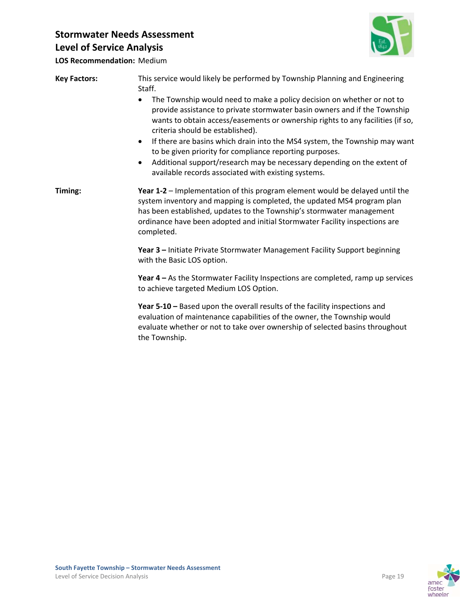

**LOS Recommendation:** Medium

| <b>Key Factors:</b> | This service would likely be performed by Township Planning and Engineering<br>Staff.<br>The Township would need to make a policy decision on whether or not to<br>provide assistance to private stormwater basin owners and if the Township<br>wants to obtain access/easements or ownership rights to any facilities (if so,<br>criteria should be established).<br>If there are basins which drain into the MS4 system, the Township may want<br>$\bullet$<br>to be given priority for compliance reporting purposes.<br>Additional support/research may be necessary depending on the extent of<br>available records associated with existing systems. |
|---------------------|------------------------------------------------------------------------------------------------------------------------------------------------------------------------------------------------------------------------------------------------------------------------------------------------------------------------------------------------------------------------------------------------------------------------------------------------------------------------------------------------------------------------------------------------------------------------------------------------------------------------------------------------------------|
| Timing:             | Year 1-2 - Implementation of this program element would be delayed until the<br>system inventory and mapping is completed, the updated MS4 program plan<br>has been established, updates to the Township's stormwater management<br>ordinance have been adopted and initial Stormwater Facility inspections are<br>completed.                                                                                                                                                                                                                                                                                                                              |
|                     | Year 3 - Initiate Private Stormwater Management Facility Support beginning<br>with the Basic LOS option.                                                                                                                                                                                                                                                                                                                                                                                                                                                                                                                                                   |
|                     | Year 4 – As the Stormwater Facility Inspections are completed, ramp up services<br>to achieve targeted Medium LOS Option.                                                                                                                                                                                                                                                                                                                                                                                                                                                                                                                                  |
|                     | Year 5-10 - Based upon the overall results of the facility inspections and<br>evaluation of maintenance capabilities of the owner, the Township would<br>evaluate whether or not to take over ownership of selected basins throughout<br>the Township.                                                                                                                                                                                                                                                                                                                                                                                                     |

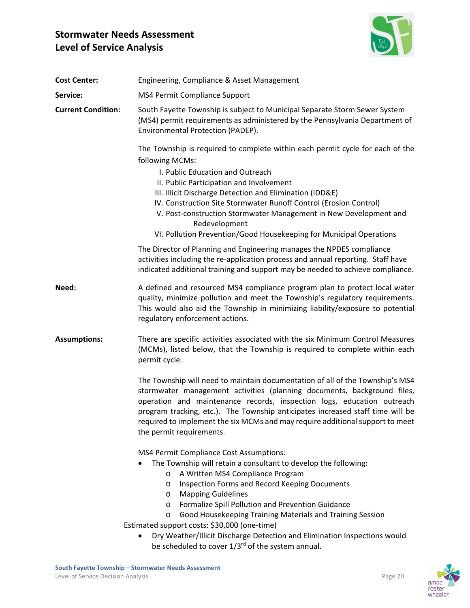

| Engineering, Compliance & Asset Management                                                                                                                                                                                                                                                                                                                                                                                                                                                                                           |
|--------------------------------------------------------------------------------------------------------------------------------------------------------------------------------------------------------------------------------------------------------------------------------------------------------------------------------------------------------------------------------------------------------------------------------------------------------------------------------------------------------------------------------------|
| MS4 Permit Compliance Support                                                                                                                                                                                                                                                                                                                                                                                                                                                                                                        |
| South Fayette Township is subject to Municipal Separate Storm Sewer System<br>(MS4) permit requirements as administered by the Pennsylvania Department of<br>Environmental Protection (PADEP).                                                                                                                                                                                                                                                                                                                                       |
| The Township is required to complete within each permit cycle for each of the<br>following MCMs:<br>I. Public Education and Outreach<br>II. Public Participation and Involvement<br>III. Illicit Discharge Detection and Elimination (IDD&E)<br>IV. Construction Site Stormwater Runoff Control (Erosion Control)<br>V. Post-construction Stormwater Management in New Development and<br>Redevelopment<br>VI. Pollution Prevention/Good Housekeeping for Municipal Operations                                                       |
| The Director of Planning and Engineering manages the NPDES compliance<br>activities including the re-application process and annual reporting. Staff have<br>indicated additional training and support may be needed to achieve compliance.                                                                                                                                                                                                                                                                                          |
| A defined and resourced MS4 compliance program plan to protect local water<br>quality, minimize pollution and meet the Township's regulatory requirements.<br>This would also aid the Township in minimizing liability/exposure to potential<br>regulatory enforcement actions.                                                                                                                                                                                                                                                      |
| There are specific activities associated with the six Minimum Control Measures<br>(MCMs), listed below, that the Township is required to complete within each<br>permit cycle.                                                                                                                                                                                                                                                                                                                                                       |
| The Township will need to maintain documentation of all of the Township's MS4<br>stormwater management activities (planning documents, background files,<br>operation and maintenance records, inspection logs, education outreach<br>program tracking, etc.). The Township anticipates increased staff time will be<br>required to implement the six MCMs and may require additional support to meet<br>the permit requirements.                                                                                                    |
| <b>MS4 Permit Compliance Cost Assumptions:</b><br>The Township will retain a consultant to develop the following:<br>A Written MS4 Compliance Program<br>$\circ$<br><b>Inspection Forms and Record Keeping Documents</b><br>O<br><b>Mapping Guidelines</b><br>O<br>Formalize Spill Pollution and Prevention Guidance<br>$\circ$<br>Good Housekeeping Training Materials and Training Session<br>$\circ$<br>Estimated support costs: \$30,000 (one-time)<br>Dry Weather/Illicit Discharge Detection and Elimination Inspections would |
| <b>Current Condition:</b>                                                                                                                                                                                                                                                                                                                                                                                                                                                                                                            |

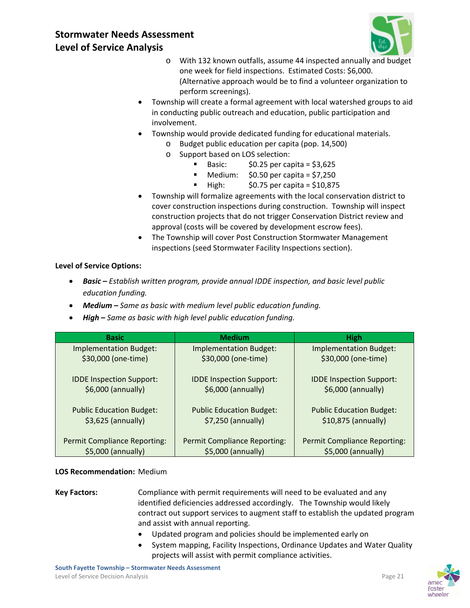

- o With 132 known outfalls, assume 44 inspected annually and budget one week for field inspections. Estimated Costs: \$6,000. (Alternative approach would be to find a volunteer organization to perform screenings).
- Township will create a formal agreement with local watershed groups to aid in conducting public outreach and education, public participation and involvement.
- Township would provide dedicated funding for educational materials.
	- o Budget public education per capita (pop. 14,500)
	- o Support based on LOS selection:
		- Basic:  $$0.25$  per capita = \$3,625
		- Medium:  $$0.50$  per capita = \$7,250
		- $\blacksquare$  High:  $$0.75$  per capita = \$10,875
- Township will formalize agreements with the local conservation district to cover construction inspections during construction. Township will inspect construction projects that do not trigger Conservation District review and approval (costs will be covered by development escrow fees).
- The Township will cover Post Construction Stormwater Management inspections (seed Stormwater Facility Inspections section).

#### **Level of Service Options:**

- *Basic – Establish written program, provide annual IDDE inspection, and basic level public education funding.*
- *Medium – Same as basic with medium level public education funding.*
- *High* **–** *Same as basic with high level public education funding.*

| <b>Basic</b>                        | <b>Medium</b>                       | <b>High</b>                         |
|-------------------------------------|-------------------------------------|-------------------------------------|
| <b>Implementation Budget:</b>       | <b>Implementation Budget:</b>       | <b>Implementation Budget:</b>       |
| \$30,000 (one-time)                 | \$30,000 (one-time)                 | \$30,000 (one-time)                 |
| <b>IDDE Inspection Support:</b>     | <b>IDDE Inspection Support:</b>     | <b>IDDE Inspection Support:</b>     |
| \$6,000 (annually)                  | \$6,000 (annually)                  | \$6,000 (annually)                  |
| <b>Public Education Budget:</b>     | <b>Public Education Budget:</b>     | <b>Public Education Budget:</b>     |
| $$3,625$ (annually)                 | $$7,250$ (annually)                 | \$10,875 (annually)                 |
| <b>Permit Compliance Reporting:</b> | <b>Permit Compliance Reporting:</b> | <b>Permit Compliance Reporting:</b> |
| \$5,000 (annually)                  | \$5,000 (annually)                  | \$5,000 (annually)                  |

#### **LOS Recommendation:** Medium

- **Key Factors:** Compliance with permit requirements will need to be evaluated and any identified deficiencies addressed accordingly. The Township would likely contract out support services to augment staff to establish the updated program and assist with annual reporting.
	- Updated program and policies should be implemented early on
	- System mapping, Facility Inspections, Ordinance Updates and Water Quality projects will assist with permit compliance activities.

**South Fayette Township – Stormwater Needs Assessment**  Level of Service Decision Analysis **Decision Analysis Page 21** 

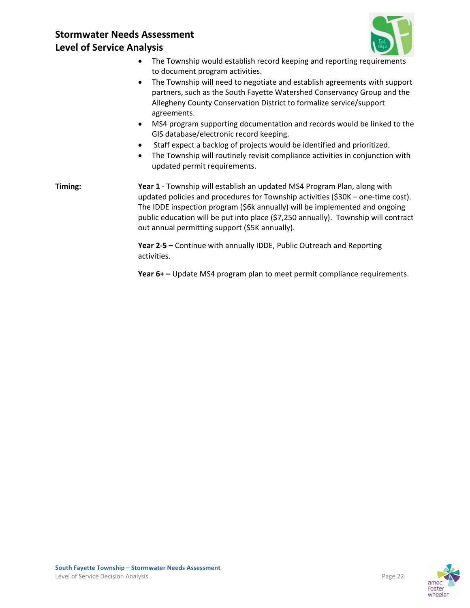

- The Township would establish record keeping and reporting requirements to document program activities.
- The Township will need to negotiate and establish agreements with support partners, such as the South Fayette Watershed Conservancy Group and the Allegheny County Conservation District to formalize service/support agreements.
- MS4 program supporting documentation and records would be linked to the GIS database/electronic record keeping.
- Staff expect a backlog of projects would be identified and prioritized.
- The Township will routinely revisit compliance activities in conjunction with updated permit requirements.

**Timing: Year 1** ‐ Township will establish an updated MS4 Program Plan, along with updated policies and procedures for Township activities (\$30K – one‐time cost). The IDDE inspection program (\$6k annually) will be implemented and ongoing public education will be put into place (\$7,250 annually). Township will contract out annual permitting support (\$5K annually).

> **Year 2‐5 –** Continue with annually IDDE, Public Outreach and Reporting activities.

**Year 6+ –** Update MS4 program plan to meet permit compliance requirements.

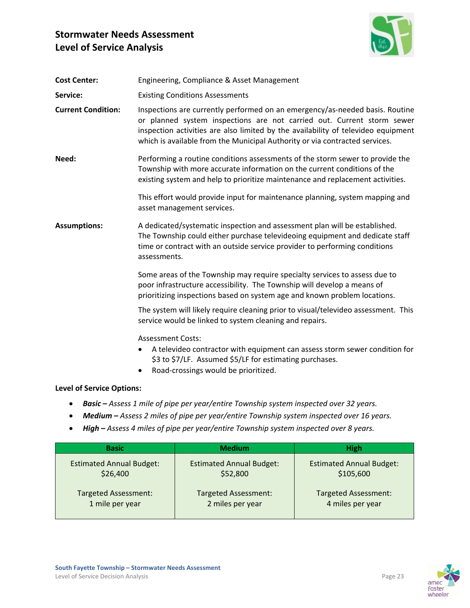

| <b>Cost Center:</b>              | Engineering, Compliance & Asset Management                                                                                                                                                                                                                                                                                 |
|----------------------------------|----------------------------------------------------------------------------------------------------------------------------------------------------------------------------------------------------------------------------------------------------------------------------------------------------------------------------|
| Service:                         | <b>Existing Conditions Assessments</b>                                                                                                                                                                                                                                                                                     |
| <b>Current Condition:</b>        | Inspections are currently performed on an emergency/as-needed basis. Routine<br>or planned system inspections are not carried out. Current storm sewer<br>inspection activities are also limited by the availability of televideo equipment<br>which is available from the Municipal Authority or via contracted services. |
| Need:                            | Performing a routine conditions assessments of the storm sewer to provide the<br>Township with more accurate information on the current conditions of the<br>existing system and help to prioritize maintenance and replacement activities.                                                                                |
|                                  | This effort would provide input for maintenance planning, system mapping and<br>asset management services.                                                                                                                                                                                                                 |
| <b>Assumptions:</b>              | A dedicated/systematic inspection and assessment plan will be established.<br>The Township could either purchase televideoing equipment and dedicate staff<br>time or contract with an outside service provider to performing conditions<br>assessments.                                                                   |
|                                  | Some areas of the Township may require specialty services to assess due to<br>poor infrastructure accessibility. The Township will develop a means of<br>prioritizing inspections based on system age and known problem locations.                                                                                         |
|                                  | The system will likely require cleaning prior to visual/televideo assessment. This<br>service would be linked to system cleaning and repairs.                                                                                                                                                                              |
|                                  | <b>Assessment Costs:</b><br>A televideo contractor with equipment can assess storm sewer condition for<br>$\bullet$<br>\$3 to \$7/LF. Assumed \$5/LF for estimating purchases.<br>Road-crossings would be prioritized.<br>$\bullet$                                                                                        |
| <b>Level of Service Options:</b> |                                                                                                                                                                                                                                                                                                                            |

- *Basic – Assess 1 mile of pipe per year/entire Township system inspected over 32 years.*
- *Medium – Assess 2 miles of pipe per year/entire Township system inspected over 16 years.*
- *High – Assess 4 miles of pipe per year/entire Township system inspected over 8 years.*

| <b>Basic</b>                    | <b>Medium</b>                   | <b>High</b>                     |
|---------------------------------|---------------------------------|---------------------------------|
| <b>Estimated Annual Budget:</b> | <b>Estimated Annual Budget:</b> | <b>Estimated Annual Budget:</b> |
| \$26,400                        | \$52,800                        | \$105,600                       |
| <b>Targeted Assessment:</b>     | <b>Targeted Assessment:</b>     | <b>Targeted Assessment:</b>     |
| 1 mile per year                 | 2 miles per year                | 4 miles per year                |



wheeler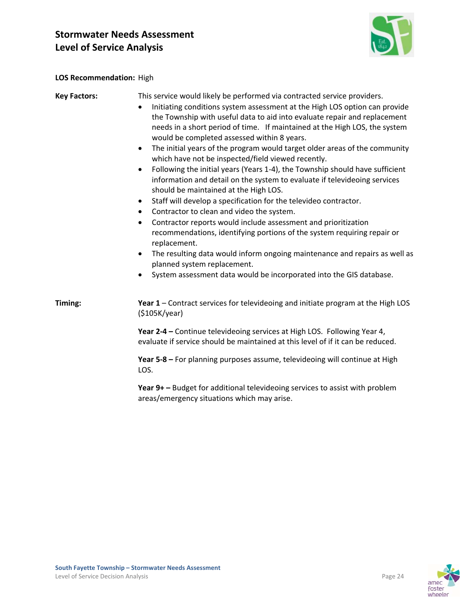

#### **LOS Recommendation:** High

## **Key Factors:** This service would likely be performed via contracted service providers. Initiating conditions system assessment at the High LOS option can provide the Township with useful data to aid into evaluate repair and replacement needs in a short period of time. If maintained at the High LOS, the system would be completed assessed within 8 years. • The initial years of the program would target older areas of the community which have not be inspected/field viewed recently. Following the initial years (Years 1‐4), the Township should have sufficient information and detail on the system to evaluate if televideoing services should be maintained at the High LOS. Staff will develop a specification for the televideo contractor. Contractor to clean and video the system. Contractor reports would include assessment and prioritization recommendations, identifying portions of the system requiring repair or replacement. • The resulting data would inform ongoing maintenance and repairs as well as planned system replacement. System assessment data would be incorporated into the GIS database. **Timing: Year 1** – Contract services for televideoing and initiate program at the High LOS (\$105K/year) **Year 2‐4 –** Continue televideoing services at High LOS. Following Year 4, evaluate if service should be maintained at this level of if it can be reduced. **Year 5‐8 –** For planning purposes assume, televideoing will continue at High LOS. **Year 9+ –** Budget for additional televideoing services to assist with problem areas/emergency situations which may arise.

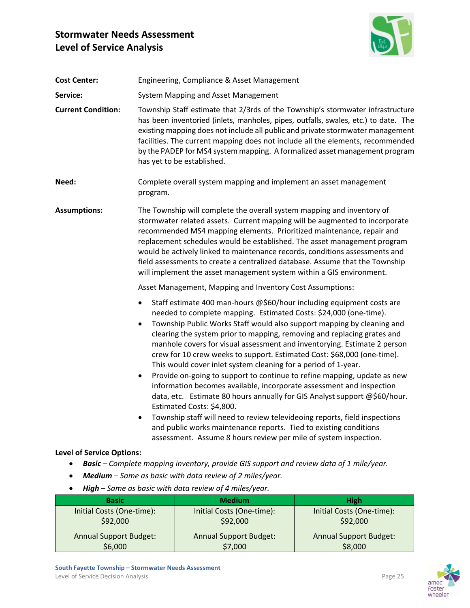

| <b>Cost Center:</b>                   | Engineering, Compliance & Asset Management                                                                                                                                                                                                                                                                                                                                                                                                                                                                                                        |                                                                                                                                                                                                                                                                                                                                                                                                                                                                                                                                                                                                                                                                                                                                                                                                                                                                                                                                                                                                              |                                                      |  |  |
|---------------------------------------|---------------------------------------------------------------------------------------------------------------------------------------------------------------------------------------------------------------------------------------------------------------------------------------------------------------------------------------------------------------------------------------------------------------------------------------------------------------------------------------------------------------------------------------------------|--------------------------------------------------------------------------------------------------------------------------------------------------------------------------------------------------------------------------------------------------------------------------------------------------------------------------------------------------------------------------------------------------------------------------------------------------------------------------------------------------------------------------------------------------------------------------------------------------------------------------------------------------------------------------------------------------------------------------------------------------------------------------------------------------------------------------------------------------------------------------------------------------------------------------------------------------------------------------------------------------------------|------------------------------------------------------|--|--|
| Service:                              |                                                                                                                                                                                                                                                                                                                                                                                                                                                                                                                                                   | System Mapping and Asset Management                                                                                                                                                                                                                                                                                                                                                                                                                                                                                                                                                                                                                                                                                                                                                                                                                                                                                                                                                                          |                                                      |  |  |
| <b>Current Condition:</b>             |                                                                                                                                                                                                                                                                                                                                                                                                                                                                                                                                                   | Township Staff estimate that 2/3rds of the Township's stormwater infrastructure<br>has been inventoried (inlets, manholes, pipes, outfalls, swales, etc.) to date. The<br>existing mapping does not include all public and private stormwater management<br>facilities. The current mapping does not include all the elements, recommended<br>by the PADEP for MS4 system mapping. A formalized asset management program<br>has yet to be established.                                                                                                                                                                                                                                                                                                                                                                                                                                                                                                                                                       |                                                      |  |  |
| Need:                                 | program.                                                                                                                                                                                                                                                                                                                                                                                                                                                                                                                                          | Complete overall system mapping and implement an asset management                                                                                                                                                                                                                                                                                                                                                                                                                                                                                                                                                                                                                                                                                                                                                                                                                                                                                                                                            |                                                      |  |  |
| <b>Assumptions:</b>                   | The Township will complete the overall system mapping and inventory of<br>stormwater related assets. Current mapping will be augmented to incorporate<br>recommended MS4 mapping elements. Prioritized maintenance, repair and<br>replacement schedules would be established. The asset management program<br>would be actively linked to maintenance records, conditions assessments and<br>field assessments to create a centralized database. Assume that the Township<br>will implement the asset management system within a GIS environment. |                                                                                                                                                                                                                                                                                                                                                                                                                                                                                                                                                                                                                                                                                                                                                                                                                                                                                                                                                                                                              |                                                      |  |  |
|                                       | Asset Management, Mapping and Inventory Cost Assumptions:                                                                                                                                                                                                                                                                                                                                                                                                                                                                                         |                                                                                                                                                                                                                                                                                                                                                                                                                                                                                                                                                                                                                                                                                                                                                                                                                                                                                                                                                                                                              |                                                      |  |  |
|                                       | ٠<br>$\bullet$<br>$\bullet$<br>٠                                                                                                                                                                                                                                                                                                                                                                                                                                                                                                                  | Staff estimate 400 man-hours @\$60/hour including equipment costs are<br>needed to complete mapping. Estimated Costs: \$24,000 (one-time).<br>Township Public Works Staff would also support mapping by cleaning and<br>clearing the system prior to mapping, removing and replacing grates and<br>manhole covers for visual assessment and inventorying. Estimate 2 person<br>crew for 10 crew weeks to support. Estimated Cost: \$68,000 (one-time).<br>This would cover inlet system cleaning for a period of 1-year.<br>Provide on-going to support to continue to refine mapping, update as new<br>information becomes available, incorporate assessment and inspection<br>data, etc. Estimate 80 hours annually for GIS Analyst support @\$60/hour.<br>Estimated Costs: S4.800.<br>Township staff will need to review televideoing reports, field inspections<br>and public works maintenance reports. Tied to existing conditions<br>assessment. Assume 8 hours review per mile of system inspection. |                                                      |  |  |
| <b>Level of Service Options:</b>      |                                                                                                                                                                                                                                                                                                                                                                                                                                                                                                                                                   |                                                                                                                                                                                                                                                                                                                                                                                                                                                                                                                                                                                                                                                                                                                                                                                                                                                                                                                                                                                                              |                                                      |  |  |
|                                       |                                                                                                                                                                                                                                                                                                                                                                                                                                                                                                                                                   | <b>Basic</b> – Complete mapping inventory, provide GIS support and review data of 1 mile/year.                                                                                                                                                                                                                                                                                                                                                                                                                                                                                                                                                                                                                                                                                                                                                                                                                                                                                                               |                                                      |  |  |
|                                       |                                                                                                                                                                                                                                                                                                                                                                                                                                                                                                                                                   | Medium - Same as basic with data review of 2 miles/year.                                                                                                                                                                                                                                                                                                                                                                                                                                                                                                                                                                                                                                                                                                                                                                                                                                                                                                                                                     |                                                      |  |  |
| <b>Basic</b>                          |                                                                                                                                                                                                                                                                                                                                                                                                                                                                                                                                                   | High - Same as basic with data review of 4 miles/year.<br><b>Medium</b>                                                                                                                                                                                                                                                                                                                                                                                                                                                                                                                                                                                                                                                                                                                                                                                                                                                                                                                                      |                                                      |  |  |
| Initial Costs (One-time):<br>\$92,000 |                                                                                                                                                                                                                                                                                                                                                                                                                                                                                                                                                   | Initial Costs (One-time):<br>\$92,000                                                                                                                                                                                                                                                                                                                                                                                                                                                                                                                                                                                                                                                                                                                                                                                                                                                                                                                                                                        | <b>High</b><br>Initial Costs (One-time):<br>\$92,000 |  |  |
| <b>Annual Support Budget:</b>         |                                                                                                                                                                                                                                                                                                                                                                                                                                                                                                                                                   | <b>Annual Support Budget:</b>                                                                                                                                                                                                                                                                                                                                                                                                                                                                                                                                                                                                                                                                                                                                                                                                                                                                                                                                                                                | <b>Annual Support Budget:</b>                        |  |  |

\$7,000

\$6,000





\$8,000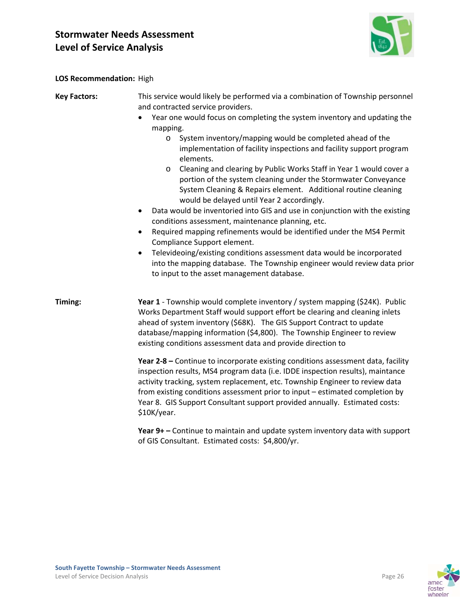

**LOS Recommendation:** High

| <b>Key Factors:</b> | This service would likely be performed via a combination of Township personnel<br>and contracted service providers.                                                                                                                                                                                                                                                                                                             |  |  |  |  |  |  |  |  |  |
|---------------------|---------------------------------------------------------------------------------------------------------------------------------------------------------------------------------------------------------------------------------------------------------------------------------------------------------------------------------------------------------------------------------------------------------------------------------|--|--|--|--|--|--|--|--|--|
|                     | Year one would focus on completing the system inventory and updating the<br>$\bullet$                                                                                                                                                                                                                                                                                                                                           |  |  |  |  |  |  |  |  |  |
|                     | mapping.                                                                                                                                                                                                                                                                                                                                                                                                                        |  |  |  |  |  |  |  |  |  |
|                     | System inventory/mapping would be completed ahead of the<br>$\circ$                                                                                                                                                                                                                                                                                                                                                             |  |  |  |  |  |  |  |  |  |
|                     | implementation of facility inspections and facility support program<br>elements.                                                                                                                                                                                                                                                                                                                                                |  |  |  |  |  |  |  |  |  |
|                     | Cleaning and clearing by Public Works Staff in Year 1 would cover a<br>$\circ$<br>portion of the system cleaning under the Stormwater Conveyance<br>System Cleaning & Repairs element. Additional routine cleaning<br>would be delayed until Year 2 accordingly.                                                                                                                                                                |  |  |  |  |  |  |  |  |  |
|                     | Data would be inventoried into GIS and use in conjunction with the existing<br>$\bullet$<br>conditions assessment, maintenance planning, etc.                                                                                                                                                                                                                                                                                   |  |  |  |  |  |  |  |  |  |
|                     | Required mapping refinements would be identified under the MS4 Permit<br>$\bullet$<br>Compliance Support element.                                                                                                                                                                                                                                                                                                               |  |  |  |  |  |  |  |  |  |
|                     | Televideoing/existing conditions assessment data would be incorporated<br>$\bullet$<br>into the mapping database. The Township engineer would review data prior<br>to input to the asset management database.                                                                                                                                                                                                                   |  |  |  |  |  |  |  |  |  |
| Timing:             | Year 1 - Township would complete inventory / system mapping (\$24K). Public<br>Works Department Staff would support effort be clearing and cleaning inlets<br>ahead of system inventory (\$68K). The GIS Support Contract to update<br>database/mapping information (\$4,800). The Township Engineer to review<br>existing conditions assessment data and provide direction to                                                  |  |  |  |  |  |  |  |  |  |
|                     | Year 2-8 - Continue to incorporate existing conditions assessment data, facility<br>inspection results, MS4 program data (i.e. IDDE inspection results), maintance<br>activity tracking, system replacement, etc. Township Engineer to review data<br>from existing conditions assessment prior to input - estimated completion by<br>Year 8. GIS Support Consultant support provided annually. Estimated costs:<br>\$10K/year. |  |  |  |  |  |  |  |  |  |
|                     | Year 9+ - Continue to maintain and update system inventory data with support<br>of GIS Consultant. Estimated costs: \$4,800/yr.                                                                                                                                                                                                                                                                                                 |  |  |  |  |  |  |  |  |  |

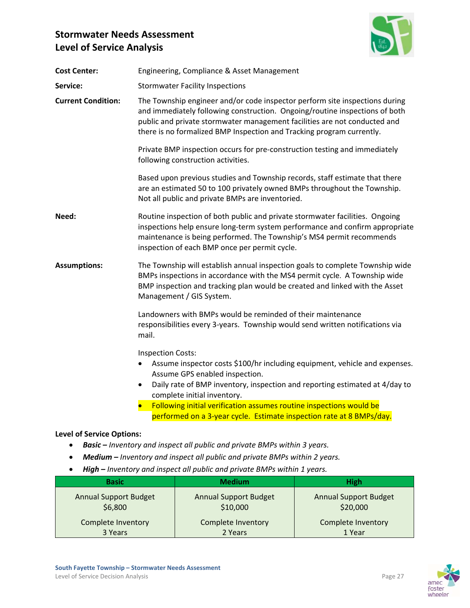

| <b>Cost Center:</b>       | Engineering, Compliance & Asset Management                                                                                                                                                                                                                                                                                                 |  |  |  |  |  |  |  |  |
|---------------------------|--------------------------------------------------------------------------------------------------------------------------------------------------------------------------------------------------------------------------------------------------------------------------------------------------------------------------------------------|--|--|--|--|--|--|--|--|
| Service:                  | <b>Stormwater Facility Inspections</b>                                                                                                                                                                                                                                                                                                     |  |  |  |  |  |  |  |  |
| <b>Current Condition:</b> | The Township engineer and/or code inspector perform site inspections during<br>and immediately following construction. Ongoing/routine inspections of both<br>public and private stormwater management facilities are not conducted and<br>there is no formalized BMP Inspection and Tracking program currently.                           |  |  |  |  |  |  |  |  |
|                           | Private BMP inspection occurs for pre-construction testing and immediately<br>following construction activities.                                                                                                                                                                                                                           |  |  |  |  |  |  |  |  |
|                           | Based upon previous studies and Township records, staff estimate that there<br>are an estimated 50 to 100 privately owned BMPs throughout the Township.<br>Not all public and private BMPs are inventoried.                                                                                                                                |  |  |  |  |  |  |  |  |
| Need:                     | Routine inspection of both public and private stormwater facilities. Ongoing<br>inspections help ensure long-term system performance and confirm appropriate<br>maintenance is being performed. The Township's MS4 permit recommends<br>inspection of each BMP once per permit cycle.                                                      |  |  |  |  |  |  |  |  |
| <b>Assumptions:</b>       | The Township will establish annual inspection goals to complete Township wide<br>BMPs inspections in accordance with the MS4 permit cycle. A Township wide<br>BMP inspection and tracking plan would be created and linked with the Asset<br>Management / GIS System.                                                                      |  |  |  |  |  |  |  |  |
|                           | Landowners with BMPs would be reminded of their maintenance<br>responsibilities every 3-years. Township would send written notifications via<br>mail.                                                                                                                                                                                      |  |  |  |  |  |  |  |  |
|                           | <b>Inspection Costs:</b><br>Assume inspector costs \$100/hr including equipment, vehicle and expenses.<br>Assume GPS enabled inspection.<br>Daily rate of BMP inventory, inspection and reporting estimated at 4/day to<br>$\bullet$<br>complete initial inventory.<br>Following initial verification assumes routine inspections would be |  |  |  |  |  |  |  |  |
|                           | performed on a 3-year cycle. Estimate inspection rate at 8 BMPs/day.                                                                                                                                                                                                                                                                       |  |  |  |  |  |  |  |  |

#### **Level of Service Options:**

- *Basic – Inventory and inspect all public and private BMPs within 3 years.*
- *Medium – Inventory and inspect all public and private BMPs within 2 years.*
- *High – Inventory and inspect all public and private BMPs within 1 years.*

| <b>Basic</b>                 | <b>Medium</b>                | <b>High</b>                  |  |  |  |
|------------------------------|------------------------------|------------------------------|--|--|--|
| <b>Annual Support Budget</b> | <b>Annual Support Budget</b> | <b>Annual Support Budget</b> |  |  |  |
| \$6,800                      | \$10,000                     | \$20,000                     |  |  |  |
| <b>Complete Inventory</b>    | Complete Inventory           | Complete Inventory           |  |  |  |
| 3 Years                      | 2 Years                      | 1 Year                       |  |  |  |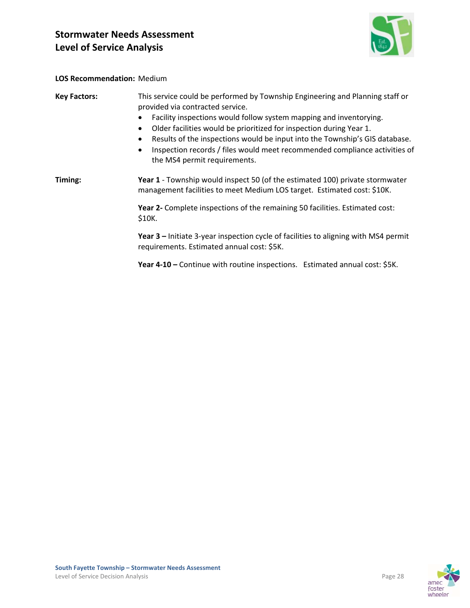

#### **LOS Recommendation:** Medium

| <b>Key Factors:</b> | This service could be performed by Township Engineering and Planning staff or<br>provided via contracted service.<br>Facility inspections would follow system mapping and inventorying.<br>Older facilities would be prioritized for inspection during Year 1.<br>٠<br>Results of the inspections would be input into the Township's GIS database.<br>Inspection records / files would meet recommended compliance activities of<br>$\bullet$<br>the MS4 permit requirements. |  |  |  |  |  |  |  |
|---------------------|-------------------------------------------------------------------------------------------------------------------------------------------------------------------------------------------------------------------------------------------------------------------------------------------------------------------------------------------------------------------------------------------------------------------------------------------------------------------------------|--|--|--|--|--|--|--|
| Timing:             | Year 1 - Township would inspect 50 (of the estimated 100) private stormwater<br>management facilities to meet Medium LOS target. Estimated cost: \$10K.                                                                                                                                                                                                                                                                                                                       |  |  |  |  |  |  |  |
|                     | Year 2- Complete inspections of the remaining 50 facilities. Estimated cost:<br>\$10K.                                                                                                                                                                                                                                                                                                                                                                                        |  |  |  |  |  |  |  |
|                     | Year 3 – Initiate 3-year inspection cycle of facilities to aligning with MS4 permit<br>requirements. Estimated annual cost: \$5K.                                                                                                                                                                                                                                                                                                                                             |  |  |  |  |  |  |  |

**Year 4‐10 –** Continue with routine inspections. Estimated annual cost: \$5K.

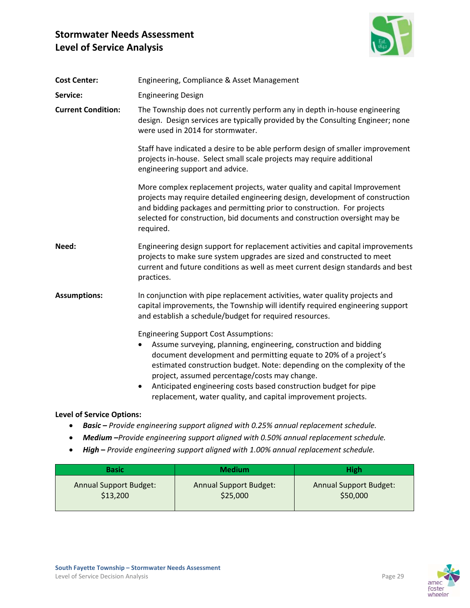

| <b>Cost Center:</b>              | Engineering, Compliance & Asset Management                                                                                                                                                                                                                                                                                                                                                                                                                          |  |  |  |  |  |  |  |
|----------------------------------|---------------------------------------------------------------------------------------------------------------------------------------------------------------------------------------------------------------------------------------------------------------------------------------------------------------------------------------------------------------------------------------------------------------------------------------------------------------------|--|--|--|--|--|--|--|
| Service:                         | <b>Engineering Design</b>                                                                                                                                                                                                                                                                                                                                                                                                                                           |  |  |  |  |  |  |  |
| <b>Current Condition:</b>        | The Township does not currently perform any in depth in-house engineering<br>design. Design services are typically provided by the Consulting Engineer; none<br>were used in 2014 for stormwater.                                                                                                                                                                                                                                                                   |  |  |  |  |  |  |  |
|                                  | Staff have indicated a desire to be able perform design of smaller improvement<br>projects in-house. Select small scale projects may require additional<br>engineering support and advice.                                                                                                                                                                                                                                                                          |  |  |  |  |  |  |  |
|                                  | More complex replacement projects, water quality and capital Improvement<br>projects may require detailed engineering design, development of construction<br>and bidding packages and permitting prior to construction. For projects<br>selected for construction, bid documents and construction oversight may be<br>required.                                                                                                                                     |  |  |  |  |  |  |  |
| Need:                            | Engineering design support for replacement activities and capital improvements<br>projects to make sure system upgrades are sized and constructed to meet<br>current and future conditions as well as meet current design standards and best<br>practices.                                                                                                                                                                                                          |  |  |  |  |  |  |  |
| <b>Assumptions:</b>              | In conjunction with pipe replacement activities, water quality projects and<br>capital improvements, the Township will identify required engineering support<br>and establish a schedule/budget for required resources.                                                                                                                                                                                                                                             |  |  |  |  |  |  |  |
|                                  | <b>Engineering Support Cost Assumptions:</b><br>Assume surveying, planning, engineering, construction and bidding<br>document development and permitting equate to 20% of a project's<br>estimated construction budget. Note: depending on the complexity of the<br>project, assumed percentage/costs may change.<br>Anticipated engineering costs based construction budget for pipe<br>$\bullet$<br>replacement, water quality, and capital improvement projects. |  |  |  |  |  |  |  |
| <b>Level of Service Options:</b> |                                                                                                                                                                                                                                                                                                                                                                                                                                                                     |  |  |  |  |  |  |  |

- *Basic – Provide engineering support aligned with 0.25% annual replacement schedule.*
- *Medium –Provide engineering support aligned with 0.50% annual replacement schedule.*
- *High* **–** *Provide engineering support aligned with 1.00% annual replacement schedule.*

| <b>Basic</b>                  | <b>Medium</b>                 | <b>High</b>                   |  |  |  |  |
|-------------------------------|-------------------------------|-------------------------------|--|--|--|--|
| <b>Annual Support Budget:</b> | <b>Annual Support Budget:</b> | <b>Annual Support Budget:</b> |  |  |  |  |
| \$13,200                      | \$25,000                      | \$50,000                      |  |  |  |  |



foster wheeler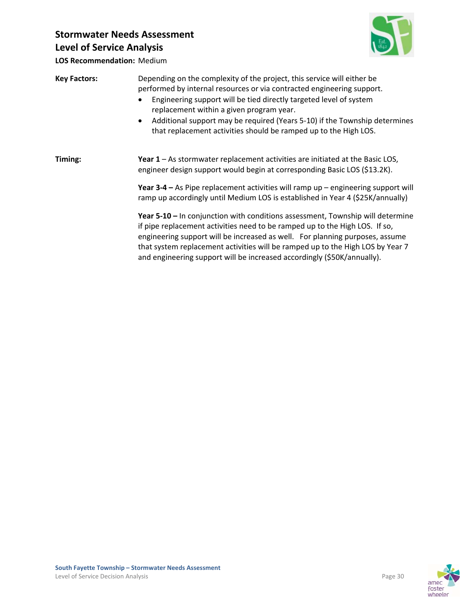

**LOS Recommendation:** Medium

| <b>Key Factors:</b> | Depending on the complexity of the project, this service will either be<br>performed by internal resources or via contracted engineering support.<br>Engineering support will be tied directly targeted level of system<br>replacement within a given program year.<br>Additional support may be required (Years 5-10) if the Township determines<br>$\bullet$<br>that replacement activities should be ramped up to the High LOS. |  |  |  |  |  |  |  |  |
|---------------------|------------------------------------------------------------------------------------------------------------------------------------------------------------------------------------------------------------------------------------------------------------------------------------------------------------------------------------------------------------------------------------------------------------------------------------|--|--|--|--|--|--|--|--|
| Timing:             | Year 1 - As stormwater replacement activities are initiated at the Basic LOS,<br>engineer design support would begin at corresponding Basic LOS (\$13.2K).                                                                                                                                                                                                                                                                         |  |  |  |  |  |  |  |  |
|                     | Year $3-4$ – As Pipe replacement activities will ramp up – engineering support will<br>ramp up accordingly until Medium LOS is established in Year 4 (\$25K/annually)                                                                                                                                                                                                                                                              |  |  |  |  |  |  |  |  |
|                     | Year 5-10 – In conjunction with conditions assessment, Township will determine<br>if pipe replacement activities need to be ramped up to the High LOS. If so,<br>engineering support will be increased as well. For planning purposes, assume<br>that system replacement activities will be ramped up to the High LOS by Year 7<br>and engineering support will be increased accordingly (\$50K/annually).                         |  |  |  |  |  |  |  |  |

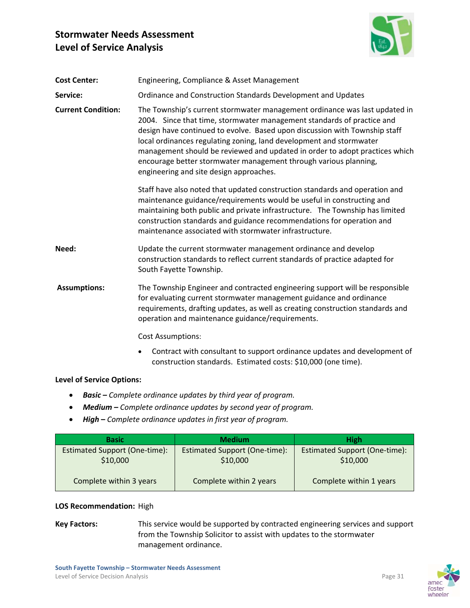

| <b>Cost Center:</b>       | Engineering, Compliance & Asset Management                                                                                                                                                                                                                                                                                                                                                                                                                                                              |  |  |  |  |  |  |  |  |
|---------------------------|---------------------------------------------------------------------------------------------------------------------------------------------------------------------------------------------------------------------------------------------------------------------------------------------------------------------------------------------------------------------------------------------------------------------------------------------------------------------------------------------------------|--|--|--|--|--|--|--|--|
| Service:                  | Ordinance and Construction Standards Development and Updates                                                                                                                                                                                                                                                                                                                                                                                                                                            |  |  |  |  |  |  |  |  |
| <b>Current Condition:</b> | The Township's current stormwater management ordinance was last updated in<br>2004. Since that time, stormwater management standards of practice and<br>design have continued to evolve. Based upon discussion with Township staff<br>local ordinances regulating zoning, land development and stormwater<br>management should be reviewed and updated in order to adopt practices which<br>encourage better stormwater management through various planning,<br>engineering and site design approaches. |  |  |  |  |  |  |  |  |
|                           | Staff have also noted that updated construction standards and operation and<br>maintenance guidance/requirements would be useful in constructing and<br>maintaining both public and private infrastructure. The Township has limited<br>construction standards and guidance recommendations for operation and<br>maintenance associated with stormwater infrastructure.                                                                                                                                 |  |  |  |  |  |  |  |  |
| Need:                     | Update the current stormwater management ordinance and develop<br>construction standards to reflect current standards of practice adapted for<br>South Fayette Township.                                                                                                                                                                                                                                                                                                                                |  |  |  |  |  |  |  |  |
| <b>Assumptions:</b>       | The Township Engineer and contracted engineering support will be responsible<br>for evaluating current stormwater management guidance and ordinance<br>requirements, drafting updates, as well as creating construction standards and<br>operation and maintenance guidance/requirements.                                                                                                                                                                                                               |  |  |  |  |  |  |  |  |
|                           | <b>Cost Assumptions:</b>                                                                                                                                                                                                                                                                                                                                                                                                                                                                                |  |  |  |  |  |  |  |  |
|                           | Contract with consultant to support ordinance updates and development of<br>$\bullet$<br>construction standards. Estimated costs: \$10,000 (one time).                                                                                                                                                                                                                                                                                                                                                  |  |  |  |  |  |  |  |  |

#### **Level of Service Options:**

- *Basic – Complete ordinance updates by third year of program.*
- *Medium – Complete ordinance updates by second year of program.*
- *High* **–** *Complete ordinance updates in first year of program.*

| <b>Basic</b>                                     | <b>Medium</b>                             | <b>High</b>                                      |  |  |  |
|--------------------------------------------------|-------------------------------------------|--------------------------------------------------|--|--|--|
| <b>Estimated Support (One-time):</b><br>\$10,000 | Estimated Support (One-time):<br>\$10,000 | <b>Estimated Support (One-time):</b><br>\$10,000 |  |  |  |
| Complete within 3 years                          | Complete within 2 years                   | Complete within 1 years                          |  |  |  |

### **LOS Recommendation:** High

**Key Factors:** This service would be supported by contracted engineering services and support from the Township Solicitor to assist with updates to the stormwater management ordinance.

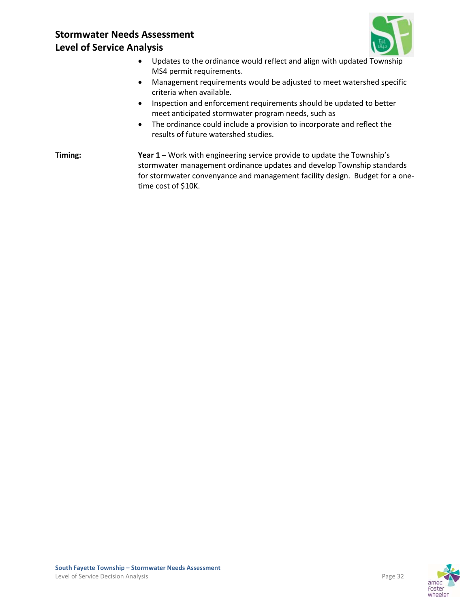

- Updates to the ordinance would reflect and align with updated Township MS4 permit requirements.
- Management requirements would be adjusted to meet watershed specific criteria when available.
- Inspection and enforcement requirements should be updated to better meet anticipated stormwater program needs, such as
- The ordinance could include a provision to incorporate and reflect the results of future watershed studies.
- **Timing: Year 1** Work with engineering service provide to update the Township's stormwater management ordinance updates and develop Township standards for stormwater convenyance and management facility design. Budget for a one‐ time cost of \$10K.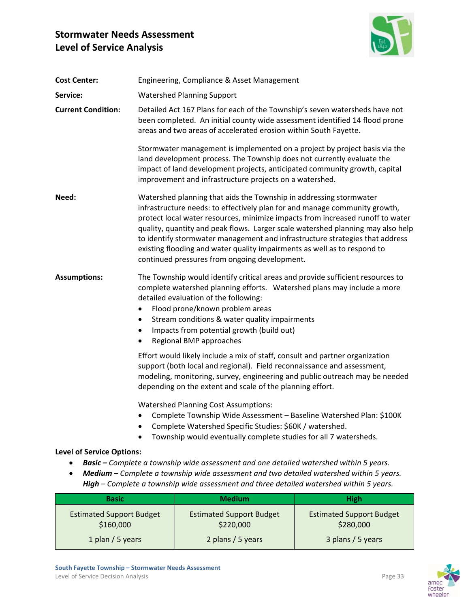

| <b>Cost Center:</b>                          | Engineering, Compliance & Asset Management                                                                                                                                                                                                                                                                                                                                                     |                                                                                                                                                                                                                                                                                                                                                                                                                                                                                                                                    |                                              |  |  |  |  |  |  |  |  |  |
|----------------------------------------------|------------------------------------------------------------------------------------------------------------------------------------------------------------------------------------------------------------------------------------------------------------------------------------------------------------------------------------------------------------------------------------------------|------------------------------------------------------------------------------------------------------------------------------------------------------------------------------------------------------------------------------------------------------------------------------------------------------------------------------------------------------------------------------------------------------------------------------------------------------------------------------------------------------------------------------------|----------------------------------------------|--|--|--|--|--|--|--|--|--|
| Service:                                     | <b>Watershed Planning Support</b>                                                                                                                                                                                                                                                                                                                                                              |                                                                                                                                                                                                                                                                                                                                                                                                                                                                                                                                    |                                              |  |  |  |  |  |  |  |  |  |
| <b>Current Condition:</b>                    | Detailed Act 167 Plans for each of the Township's seven watersheds have not<br>been completed. An initial county wide assessment identified 14 flood prone<br>areas and two areas of accelerated erosion within South Fayette.                                                                                                                                                                 |                                                                                                                                                                                                                                                                                                                                                                                                                                                                                                                                    |                                              |  |  |  |  |  |  |  |  |  |
|                                              |                                                                                                                                                                                                                                                                                                                                                                                                | Stormwater management is implemented on a project by project basis via the<br>land development process. The Township does not currently evaluate the<br>impact of land development projects, anticipated community growth, capital<br>improvement and infrastructure projects on a watershed.                                                                                                                                                                                                                                      |                                              |  |  |  |  |  |  |  |  |  |
| Need:                                        |                                                                                                                                                                                                                                                                                                                                                                                                | Watershed planning that aids the Township in addressing stormwater<br>infrastructure needs: to effectively plan for and manage community growth,<br>protect local water resources, minimize impacts from increased runoff to water<br>quality, quantity and peak flows. Larger scale watershed planning may also help<br>to identify stormwater management and infrastructure strategies that address<br>existing flooding and water quality impairments as well as to respond to<br>continued pressures from ongoing development. |                                              |  |  |  |  |  |  |  |  |  |
| <b>Assumptions:</b>                          | The Township would identify critical areas and provide sufficient resources to<br>complete watershed planning efforts.  Watershed plans may include a more<br>detailed evaluation of the following:<br>Flood prone/known problem areas<br>Stream conditions & water quality impairments<br>$\bullet$<br>Impacts from potential growth (build out)<br>٠<br>Regional BMP approaches<br>$\bullet$ |                                                                                                                                                                                                                                                                                                                                                                                                                                                                                                                                    |                                              |  |  |  |  |  |  |  |  |  |
|                                              |                                                                                                                                                                                                                                                                                                                                                                                                | Effort would likely include a mix of staff, consult and partner organization<br>support (both local and regional). Field reconnaissance and assessment,<br>modeling, monitoring, survey, engineering and public outreach may be needed<br>depending on the extent and scale of the planning effort.                                                                                                                                                                                                                                |                                              |  |  |  |  |  |  |  |  |  |
|                                              |                                                                                                                                                                                                                                                                                                                                                                                                | <b>Watershed Planning Cost Assumptions:</b><br>• Complete Township Wide Assessment - Baseline Watershed Plan: \$100K<br>Complete Watershed Specific Studies: \$60K / watershed.<br>Township would eventually complete studies for all 7 watersheds.                                                                                                                                                                                                                                                                                |                                              |  |  |  |  |  |  |  |  |  |
| <b>Level of Service Options:</b>             |                                                                                                                                                                                                                                                                                                                                                                                                |                                                                                                                                                                                                                                                                                                                                                                                                                                                                                                                                    |                                              |  |  |  |  |  |  |  |  |  |
|                                              |                                                                                                                                                                                                                                                                                                                                                                                                | Basic - Complete a township wide assessment and one detailed watershed within 5 years.<br>Medium - Complete a township wide assessment and two detailed watershed within 5 years.<br>High - Complete a township wide assessment and three detailed watershed within 5 years.                                                                                                                                                                                                                                                       |                                              |  |  |  |  |  |  |  |  |  |
| <b>Basic</b>                                 |                                                                                                                                                                                                                                                                                                                                                                                                | <b>Medium</b>                                                                                                                                                                                                                                                                                                                                                                                                                                                                                                                      | <b>High</b>                                  |  |  |  |  |  |  |  |  |  |
| <b>Estimated Support Budget</b><br>\$160,000 |                                                                                                                                                                                                                                                                                                                                                                                                | <b>Estimated Support Budget</b><br>\$220,000                                                                                                                                                                                                                                                                                                                                                                                                                                                                                       | <b>Estimated Support Budget</b><br>\$280,000 |  |  |  |  |  |  |  |  |  |

2 plans / 5 years

1 plan / 5 years



3 plans / 5 years

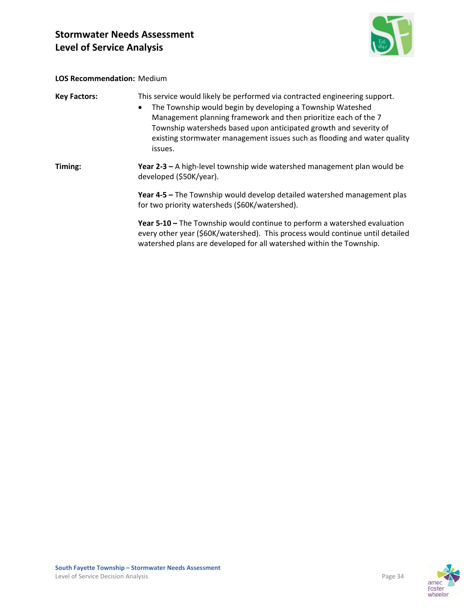

#### **LOS Recommendation:** Medium

| <b>Key Factors:</b> | This service would likely be performed via contracted engineering support.<br>The Township would begin by developing a Township Wateshed<br>$\bullet$<br>Management planning framework and then prioritize each of the 7<br>Township watersheds based upon anticipated growth and severity of<br>existing stormwater management issues such as flooding and water quality<br>issues. |  |  |  |  |  |  |
|---------------------|--------------------------------------------------------------------------------------------------------------------------------------------------------------------------------------------------------------------------------------------------------------------------------------------------------------------------------------------------------------------------------------|--|--|--|--|--|--|
| Timing:             | <b>Year 2-3 – A</b> high-level township wide watershed management plan would be<br>developed (\$50K/year).                                                                                                                                                                                                                                                                           |  |  |  |  |  |  |
|                     | Year 4-5 – The Township would develop detailed watershed management plas<br>for two priority watersheds (\$60K/watershed).                                                                                                                                                                                                                                                           |  |  |  |  |  |  |
|                     | Year 5-10 – The Township would continue to perform a watershed evaluation<br>every other year (\$60K/watershed). This process would continue until detailed<br>watershed plans are developed for all watershed within the Township.                                                                                                                                                  |  |  |  |  |  |  |

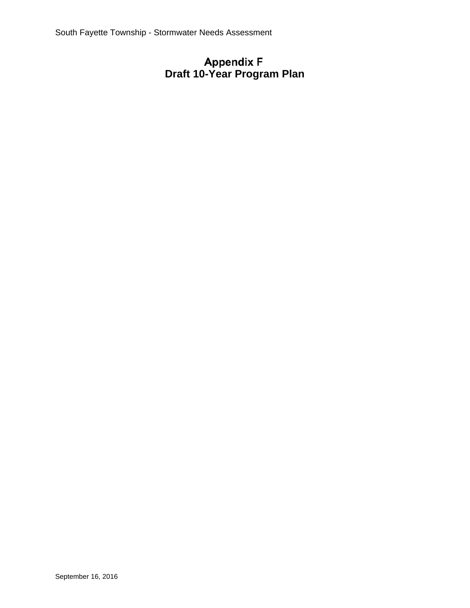# **Draft 10-Year Program Plan**